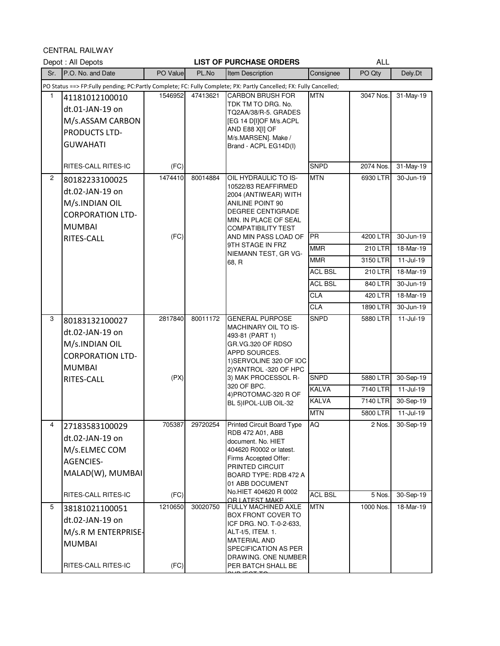CENTRAL RAILWAY

|                | <u>ULIVINAL NAILWAI</u><br>Depot: All Depots                                                                  |                 |          | <b>LIST OF PURCHASE ORDERS</b>                                                                                                                                                                     |                                            | <b>ALL</b>                       |                                         |
|----------------|---------------------------------------------------------------------------------------------------------------|-----------------|----------|----------------------------------------------------------------------------------------------------------------------------------------------------------------------------------------------------|--------------------------------------------|----------------------------------|-----------------------------------------|
| Sr.            | P.O. No. and Date                                                                                             | PO Value        | PL.No    | Item Description                                                                                                                                                                                   | Consignee                                  | PO Qty                           | Dely.Dt                                 |
|                |                                                                                                               |                 |          | PO Status ==> FP:Fully pending; PC:Partly Complete; FC: Fully Complete; PX: Partly Cancelled; FX: Fully Cancelled;                                                                                 |                                            |                                  |                                         |
| 1              | 41181012100010<br>dt.01-JAN-19 on<br>M/s.ASSAM CARBON<br>PRODUCTS LTD-<br><b>GUWAHATI</b>                     | 1546952         | 47413621 | <b>CARBON BRUSH FOR</b><br>TDK TM TO DRG. No.<br>TQ2AA/38/R-5. GRADES<br>[EG 14 D[I]OF M/s.ACPL<br>AND E88 X[I] OF<br>M/s.MARSEN]. Make /<br>Brand - ACPL EG14D(I)                                 | <b>MTN</b>                                 | 3047 Nos.                        | 31-May-19                               |
|                | RITES-CALL RITES-IC                                                                                           | (FC)            |          |                                                                                                                                                                                                    | <b>SNPD</b>                                | 2074 Nos.                        | 31-May-19                               |
| $\overline{2}$ | 80182233100025<br>dt.02-JAN-19 on<br>M/s.INDIAN OIL<br><b>CORPORATION LTD-</b><br><b>MUMBAI</b>               | 1474410         | 80014884 | OIL HYDRAULIC TO IS-<br>10522/83 REAFFIRMED<br>2004 (ANTIWEAR) WITH<br>ANILINE POINT 90<br>DEGREE CENTIGRADE<br>MIN. IN PLACE OF SEAL<br><b>COMPATIBILITY TEST</b>                                 | <b>MTN</b>                                 | 6930 LTR                         | 30-Jun-19                               |
|                | RITES-CALL                                                                                                    | (FC)            |          | AND MIN PASS LOAD OF                                                                                                                                                                               | <b>PR</b>                                  | 4200 LTR                         | 30-Jun-19                               |
|                |                                                                                                               |                 |          | 9TH STAGE IN FRZ<br>NIEMANN TEST, GR VG-                                                                                                                                                           | <b>MMR</b>                                 | <b>210 LTR</b>                   | 18-Mar-19                               |
|                |                                                                                                               |                 |          | 68, R                                                                                                                                                                                              | <b>MMR</b>                                 | 3150 LTR                         | $11-Jul-19$                             |
|                |                                                                                                               |                 |          |                                                                                                                                                                                                    | <b>ACL BSL</b>                             | 210 LTR                          | 18-Mar-19                               |
|                |                                                                                                               |                 |          |                                                                                                                                                                                                    | <b>ACL BSL</b>                             | 840 LTR                          | 30-Jun-19                               |
|                |                                                                                                               |                 |          |                                                                                                                                                                                                    | <b>CLA</b>                                 | 420 LTR                          | 18-Mar-19                               |
|                |                                                                                                               |                 |          |                                                                                                                                                                                                    | <b>CLA</b>                                 | 1890 LTR                         | 30-Jun-19                               |
| 3              | 80183132100027<br>dt.02-JAN-19 on<br>M/s.INDIAN OIL<br><b>CORPORATION LTD-</b><br><b>MUMBAI</b><br>RITES-CALL | 2817840<br>(PX) | 80011172 | <b>GENERAL PURPOSE</b><br>MACHINARY OIL TO IS-<br>493-81 (PART 1)<br>GR.VG.320 OF RDSO<br>APPD SOURCES.<br>1) SERVOLINE 320 OF IOC<br>2) YANTROL -320 OF HPC<br>3) MAK PROCESSOL R-<br>320 OF BPC. | <b>SNPD</b><br><b>SNPD</b><br><b>KALVA</b> | 5880 LTR<br>5880 LTR<br>7140 LTR | $11-Jul-19$<br>30-Sep-19<br>$11-Jul-19$ |
|                |                                                                                                               |                 |          | 4) PROTOMAC-320 R OF<br>BL 5) IPOL-LUB OIL-32                                                                                                                                                      | <b>KALVA</b>                               | 7140 LTR                         | 30-Sep-19                               |
|                |                                                                                                               |                 |          |                                                                                                                                                                                                    | <b>MTN</b>                                 | 5800 LTR                         | $11 -$ Jul-19                           |
| 4              | 27183583100029<br>dt.02-JAN-19 on<br>M/s.ELMEC COM<br><b>AGENCIES-</b><br>MALAD(W), MUMBAI                    | 705387          | 29720254 | <b>Printed Circuit Board Type</b><br>RDB 472 A01, ABB<br>document. No. HIET<br>404620 R0002 or latest.<br>Firms Accepted Offer:<br>PRINTED CIRCUIT<br>BOARD TYPE: RDB 472 A<br>01 ABB DOCUMENT     | AQ                                         | 2 Nos.                           | 30-Sep-19                               |
|                | RITES-CALL RITES-IC                                                                                           | (FC)            |          | No.HIET 404620 R 0002<br>OR LATEST MAKE                                                                                                                                                            | <b>ACL BSL</b>                             | 5 Nos.                           | 30-Sep-19                               |
| 5              | 38181021100051<br>dt.02-JAN-19 on<br>M/s.R M ENTERPRISE-<br><b>MUMBAI</b><br>RITES-CALL RITES-IC              | 1210650<br>(FC) | 30020750 | <b>FULLY MACHINED AXLE</b><br><b>BOX FRONT COVER TO</b><br>ICF DRG. NO. T-0-2-633,<br>ALT-t/5, ITEM. 1.<br>MATERIAL AND<br>SPECIFICATION AS PER<br>DRAWING. ONE NUMBER<br>PER BATCH SHALL BE       | <b>MTN</b>                                 | 1000 Nos.                        | 18-Mar-19                               |

our i<del>e oe eo.</del>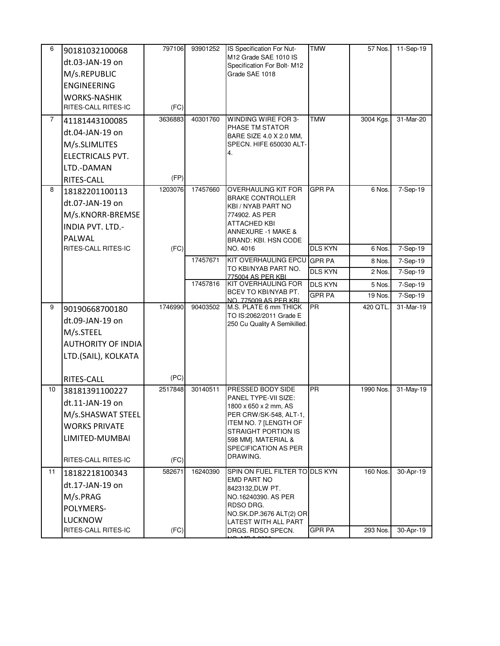| 6              | 90181032100068<br>dt.03-JAN-19 on<br>M/s.REPUBLIC<br><b>ENGINEERING</b><br><b>WORKS-NASHIK</b><br>RITES-CALL RITES-IC   | 797106<br>(FC)  | 93901252 | IS Specification For Nut-<br>M12 Grade SAE 1010 IS<br>Specification For Bolt-M12<br>Grade SAE 1018                                                                                                      | <b>TMW</b>                      | 57 Nos               | 11-Sep-19              |
|----------------|-------------------------------------------------------------------------------------------------------------------------|-----------------|----------|---------------------------------------------------------------------------------------------------------------------------------------------------------------------------------------------------------|---------------------------------|----------------------|------------------------|
| $\overline{7}$ | 41181443100085<br>dt.04-JAN-19 on<br>M/s.SLIMLITES<br>ELECTRICALS PVT.<br>LTD.-DAMAN<br>RITES-CALL                      | 3636883<br>(FP) | 40301760 | WINDING WIRE FOR 3-<br>PHASE TM STATOR<br>BARE SIZE 4.0 X 2.0 MM,<br>SPECN. HIFE 650030 ALT-<br>4.                                                                                                      | <b>TMW</b>                      | 3004 Kgs.            | 31-Mar-20              |
| 8              | 18182201100113<br>dt.07-JAN-19 on<br>M/s.KNORR-BREMSE<br><b>INDIA PVT. LTD.-</b><br>PALWAL                              | 1203076         | 17457660 | <b>OVERHAULING KIT FOR</b><br><b>BRAKE CONTROLLER</b><br>KBI / NYAB PART NO<br>774902. AS PER<br>ATTACHED KBI<br><b>ANNEXURE -1 MAKE &amp;</b><br>BRAND: KBI. HSN CODE                                  | <b>GPR PA</b>                   | 6 Nos.               | 7-Sep-19               |
|                | RITES-CALL RITES-IC                                                                                                     | (FC)            |          | NO. 4016                                                                                                                                                                                                | <b>DLS KYN</b>                  | 6 Nos.               | 7-Sep-19               |
|                |                                                                                                                         |                 | 17457671 | KIT OVERHAULING EPCU<br>TO KBI/NYAB PART NO.                                                                                                                                                            | <b>GPR PA</b>                   | 8 Nos.               | 7-Sep-19               |
|                |                                                                                                                         |                 |          | 775004 AS PER KBL                                                                                                                                                                                       | <b>DLS KYN</b>                  | 2 Nos.               | 7-Sep-19               |
|                |                                                                                                                         |                 | 17457816 | <b>KIT OVERHAULING FOR</b><br>BCEV TO KBI/NYAB PT.                                                                                                                                                      | <b>DLS KYN</b><br><b>GPR PA</b> | 5 Nos.<br>19 Nos.    | 7-Sep-19               |
| 9              |                                                                                                                         | 1746990         | 90403502 | NO. 775009 AS PER KBL<br>M.S. PLATE 6 mm THICK                                                                                                                                                          | PR                              | 420 QTL              | 7-Sep-19<br>31-Mar-19  |
|                | 90190668700180<br>dt.09-JAN-19 on<br>M/s.STEEL<br><b>AUTHORITY OF INDIA</b><br>LTD.(SAIL), KOLKATA                      |                 |          | TO IS:2062/2011 Grade E<br>250 Cu Quality A Semikilled.                                                                                                                                                 |                                 |                      |                        |
|                | RITES-CALL                                                                                                              | (PC)            |          |                                                                                                                                                                                                         |                                 |                      |                        |
| 10             | 38181391100227<br>dt.11-JAN-19 on<br>M/s.SHASWAT STEEL<br><b>WORKS PRIVATE</b><br>LIMITED-MUMBAI<br>RITES-CALL RITES-IC | 2517848<br>(FC) | 30140511 | PRESSED BODY SIDE<br>PANEL TYPE-VII SIZE:<br>1800 x 650 x 2 mm, AS<br>PER CRW/SK-548, ALT-1,<br>ITEM NO. 7 [LENGTH OF<br>STRAIGHT PORTION IS<br>598 MM]. MATERIAL &<br>SPECIFICATION AS PER<br>DRAWING. | PR                              | 1990 Nos.            | 31-May-19              |
| 11             | 18182218100343<br>dt.17-JAN-19 on<br>M/s.PRAG<br>POLYMERS-<br><b>LUCKNOW</b><br>RITES-CALL RITES-IC                     | 582671<br>(FC)  | 16240390 | SPIN ON FUEL FILTER TO DLS KYN<br>EMD PART NO<br>8423132, DLW PT.<br>NO.16240390. AS PER<br>RDSO DRG.<br>NO.SK.DP.3676 ALT(2) OR<br>LATEST WITH ALL PART<br>DRGS. RDSO SPECN.                           | <b>GPR PA</b>                   | 160 Nos.<br>293 Nos. | 30-Apr-19<br>30-Apr-19 |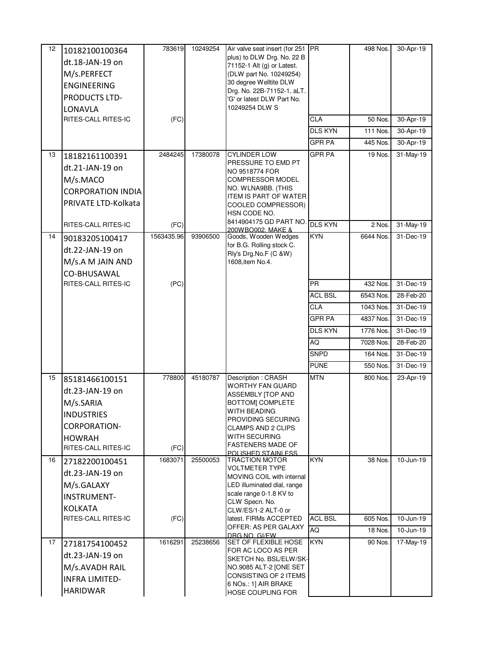| 12 | 10182100100364           | 783619     | 10249254 | Air valve seat insert (for 251 PR<br>plus) to DLW Drg. No. 22 B |                | 498 Nos.  | 30-Apr-19    |
|----|--------------------------|------------|----------|-----------------------------------------------------------------|----------------|-----------|--------------|
|    | dt.18-JAN-19 on          |            |          | 71152-1 Alt (g) or Latest.                                      |                |           |              |
|    | M/s.PERFECT              |            |          | (DLW part No. 10249254)                                         |                |           |              |
|    | <b>ENGINEERING</b>       |            |          | 30 degree Welltite DLW<br>Drg. No. 22B-71152-1, aLT.            |                |           |              |
|    | PRODUCTS LTD-            |            |          | 'G' or latest DLW Part No.                                      |                |           |              |
|    | LONAVLA                  |            |          | 10249254 DLW S                                                  |                |           |              |
|    | RITES-CALL RITES-IC      | (FC)       |          |                                                                 | <b>CLA</b>     | 50 Nos.   | $30-Apr-19$  |
|    |                          |            |          |                                                                 | <b>DLS KYN</b> | 111 Nos.  | 30-Apr-19    |
|    |                          |            |          |                                                                 | <b>GPR PA</b>  | 445 Nos.  | 30-Apr-19    |
| 13 | 18182161100391           | 2484245    | 17380078 | <b>CYLINDER LOW</b><br>PRESSURE TO EMD PT                       | <b>GPR PA</b>  | 19 Nos.   | 31-May-19    |
|    | dt.21-JAN-19 on          |            |          | NO 9518774 FOR                                                  |                |           |              |
|    | M/s.MACO                 |            |          | <b>COMPRESSOR MODEL</b>                                         |                |           |              |
|    | <b>CORPORATION INDIA</b> |            |          | NO. WLNA9BB. (THIS<br><b>ITEM IS PART OF WATER</b>              |                |           |              |
|    | PRIVATE LTD-Kolkata      |            |          | COOLED COMPRESSOR)                                              |                |           |              |
|    |                          |            |          | HSN CODE NO.                                                    |                |           |              |
|    | RITES-CALL RITES-IC      | (FC)       |          | 8414904175 GD PART NO.<br>200W BO002, MAKE &                    | <b>DLS KYN</b> | 2 Nos.    | 31-May-19    |
| 14 | 90183205100417           | 1563435.96 | 93906500 | Goods, Wooden Wedges                                            | <b>KYN</b>     | 6644 Nos. | 31-Dec-19    |
|    | dt.22-JAN-19 on          |            |          | for B.G. Rolling stock C.<br>Rly's Drg.No.F (C &W)              |                |           |              |
|    | M/s.A M JAIN AND         |            |          | 1608, item No.4.                                                |                |           |              |
|    | CO-BHUSAWAL              |            |          |                                                                 |                |           |              |
|    | RITES-CALL RITES-IC      | (PC)       |          |                                                                 | <b>PR</b>      | 432 Nos.  | 31-Dec-19    |
|    |                          |            |          |                                                                 | <b>ACL BSL</b> | 6543 Nos. | 28-Feb-20    |
|    |                          |            |          |                                                                 | <b>CLA</b>     | 1043 Nos. | 31-Dec-19    |
|    |                          |            |          |                                                                 | <b>GPR PA</b>  | 4837 Nos. | 31-Dec-19    |
|    |                          |            |          |                                                                 | <b>DLS KYN</b> | 1776 Nos. | 31-Dec-19    |
|    |                          |            |          |                                                                 | AQ             | 7028 Nos. | 28-Feb-20    |
|    |                          |            |          |                                                                 | <b>SNPD</b>    | 164 Nos.  | 31-Dec-19    |
|    |                          |            |          |                                                                 | <b>PUNE</b>    | 550 Nos.  | 31-Dec-19    |
| 15 | 85181466100151           | 778800     | 45180787 | Description: CRASH<br><b>WORTHY FAN GUARD</b>                   | <b>MTN</b>     | 800 Nos.  | 23-Apr-19    |
|    | dt.23-JAN-19 on          |            |          | ASSEMBLY [TOP AND                                               |                |           |              |
|    | M/s.SARIA                |            |          | <b>BOTTOM] COMPLETE</b>                                         |                |           |              |
|    | <b>INDUSTRIES</b>        |            |          | WITH BEADING<br>PROVIDING SECURING                              |                |           |              |
|    | <b>CORPORATION-</b>      |            |          | <b>CLAMPS AND 2 CLIPS</b>                                       |                |           |              |
|    | <b>HOWRAH</b>            |            |          | WITH SECURING                                                   |                |           |              |
|    | RITES-CALL RITES-IC      | (FC)       |          | <b>FASTENERS MADE OF</b><br><u>POLISHED STAINI ESS.</u>         |                |           |              |
| 16 | 27182200100451           | 1683071    | 25500053 | <b>TRACTION MOTOR</b>                                           | <b>KYN</b>     | 38 Nos.   | 10-Jun-19    |
|    | dt.23-JAN-19 on          |            |          | <b>VOLTMETER TYPE</b><br>MOVING COIL with internal              |                |           |              |
|    | M/s.GALAXY               |            |          | LED illuminated dial, range                                     |                |           |              |
|    | <b>INSTRUMENT-</b>       |            |          | scale range 0-1.8 KV to                                         |                |           |              |
|    | <b>KOLKATA</b>           |            |          | CLW Specn. No.<br>CLW/ES/1-2 ALT-0 or                           |                |           |              |
|    | RITES-CALL RITES-IC      | (FC)       |          | latest. FIRMs ACCEPTED                                          | <b>ACL BSL</b> | 605 Nos.  | 10-Jun-19    |
|    |                          |            |          | OFFER: AS PER GALAXY<br>DRG.NO. GI/FW                           | AQ             | 18 Nos.   | $10$ -Jun-19 |
| 17 | 27181754100452           | 1616291    | 25238656 | SET OF FLEXIBLE HOSE                                            | <b>KYN</b>     | 90 Nos.   | 17-May-19    |
|    | dt.23-JAN-19 on          |            |          | FOR AC LOCO AS PER<br>SKETCH No. BSL/ELW/SK-                    |                |           |              |
|    | M/s.AVADH RAIL           |            |          | NO.9085 ALT-2 [ONE SET                                          |                |           |              |
|    | <b>INFRA LIMITED-</b>    |            |          | CONSISTING OF 2 ITEMS                                           |                |           |              |
|    | <b>HARIDWAR</b>          |            |          | 6 NOs.: 1] AIR BRAKE<br>HOSE COUPLING FOR                       |                |           |              |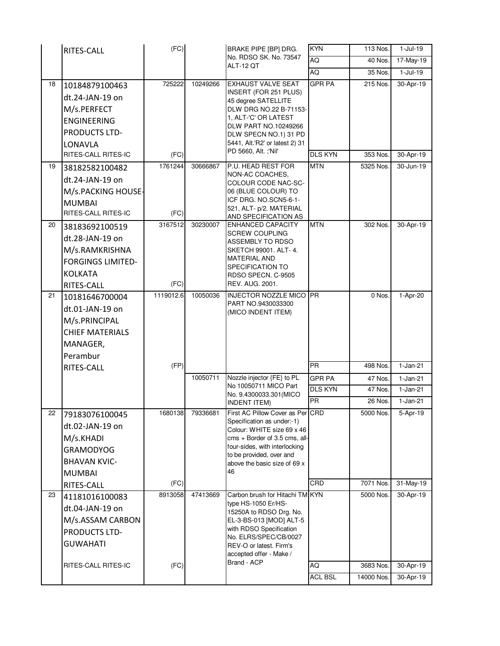|    | RITES-CALL                                                                                                       | (FC)            |          | BRAKE PIPE [BP] DRG.                                                                                                                                                                                                                  | <b>KYN</b>     | 113 Nos.               | $1-Jul-19$             |
|----|------------------------------------------------------------------------------------------------------------------|-----------------|----------|---------------------------------------------------------------------------------------------------------------------------------------------------------------------------------------------------------------------------------------|----------------|------------------------|------------------------|
|    |                                                                                                                  |                 |          | No. RDSO SK. No. 73547<br>ALT-12 OT                                                                                                                                                                                                   | <b>AQ</b>      | 40 Nos.                | 17-May-19              |
|    |                                                                                                                  |                 |          |                                                                                                                                                                                                                                       | AQ             | 35 Nos.                | $1-Jul-19$             |
| 18 | 10184879100463<br>dt.24-JAN-19 on<br>M/s.PERFECT<br><b>ENGINEERING</b><br>PRODUCTS LTD-<br>LONAVLA               | 725222          | 10249266 | <b>EXHAUST VALVE SEAT</b><br>INSERT (FOR 251 PLUS)<br>45 degree SATELLITE<br>DLW DRG NO.22 B-71153-<br>1, ALT-'C' OR LATEST<br>DLW PART NO.10249266<br>DLW SPECN NO.1) 31 PD<br>5441, Alt.'R2' or latest 2) 31                        | <b>GPR PA</b>  | 215 Nos.               | 30-Apr-19              |
|    | RITES-CALL RITES-IC                                                                                              | (FC)            |          | PD 5660, Alt. ;'Nil'                                                                                                                                                                                                                  | <b>DLS KYN</b> | 353 Nos.               | 30-Apr-19              |
| 19 | 38182582100482<br>dt.24-JAN-19 on<br>M/s.PACKING HOUSE-<br><b>MUMBAI</b><br>RITES-CALL RITES-IC                  | 1761244<br>(FC) | 30666867 | P.U. HEAD REST FOR<br>NON-AC COACHES.<br>COLOUR CODE NAC-SC-<br>06 (BLUE COLOUR) TO<br>ICF DRG. NO.SCN5-6-1-<br>521, ALT- p/2. MATERIAL<br>AND SPECIFICATION AS                                                                       | <b>MTN</b>     | 5325 Nos.              | 30-Jun-19              |
| 20 | 38183692100519<br>dt.28-JAN-19 on<br>M/s.RAMKRISHNA<br><b>FORGINGS LIMITED-</b><br><b>KOLKATA</b><br>RITES-CALL  | 3167512<br>(FC) | 30230007 | ENHANCED CAPACITY<br><b>SCREW COUPLING</b><br>ASSEMBLY TO RDSO<br>SKETCH 99001. ALT-4.<br>MATERIAL AND<br>SPECIFICATION TO<br>RDSO SPECN, C-9505<br>REV. AUG. 2001.                                                                   | <b>MTN</b>     | 302 Nos.               | 30-Apr-19              |
| 21 | 10181646700004<br>dt.01-JAN-19 on<br>M/s.PRINCIPAL<br><b>CHIEF MATERIALS</b><br>MANAGER,<br>Perambur             | 1119012.6       | 10050036 | <b>INJECTOR NOZZLE MICO PR</b><br>PART NO.9430033300<br>(MICO INDENT ITEM)                                                                                                                                                            |                | 0 Nos.                 | 1-Apr-20               |
|    | RITES-CALL                                                                                                       | (FP)            |          |                                                                                                                                                                                                                                       | <b>PR</b>      | 498 Nos.               | $1-Jan-21$             |
|    |                                                                                                                  |                 | 10050711 | Nozzle injector {FE} to PL                                                                                                                                                                                                            | <b>GPR PA</b>  | 47 Nos.                | $1-Jan-21$             |
|    |                                                                                                                  |                 |          | No 10050711 MICO Part<br>No. 9.4300033.301 (MICO                                                                                                                                                                                      | <b>DLS KYN</b> | 47 Nos.                | $1-Jan-21$             |
|    |                                                                                                                  |                 |          | <b>INDENT ITEM)</b>                                                                                                                                                                                                                   | PR             | 26 Nos.                | $1-Jan-21$             |
| 22 | 79183076100045<br>dt.02-JAN-19 on<br>M/s.KHADI<br><b>GRAMODYOG</b><br><b>BHAVAN KVIC-</b><br><b>MUMBAI</b>       | 1680138         | 79336681 | First AC Pillow Cover as Per CRD<br>Specification as under:-1)<br>Colour: WHITE size 69 x 46<br>cms + Border of 3.5 cms, all-<br>four-sides, with interlocking<br>to be provided, over and<br>above the basic size of 69 x<br>46      |                | 5000 Nos.              | 5-Apr-19               |
|    | RITES-CALL                                                                                                       | (FC)            |          |                                                                                                                                                                                                                                       | CRD            | 7071 Nos.              | 31-May-19              |
| 23 | 41181016100083<br>dt.04-JAN-19 on<br>M/s.ASSAM CARBON<br>PRODUCTS LTD-<br><b>GUWAHATI</b><br>RITES-CALL RITES-IC | 8913058<br>(FC) | 47413669 | Carbon brush for Hitachi TM KYN<br>type HS-1050 Er/HS-<br>15250A to RDSO Drg. No.<br>EL-3-BS-013 [MOD] ALT-5<br>with RDSO Specification<br>No. ELRS/SPEC/CB/0027<br>REV-O or latest. Firm's<br>accepted offer - Make /<br>Brand - ACP | AQ             | 5000 Nos.<br>3683 Nos. | 30-Apr-19<br>30-Apr-19 |
|    |                                                                                                                  |                 |          |                                                                                                                                                                                                                                       | <b>ACL BSL</b> | 14000 Nos.             | 30-Apr-19              |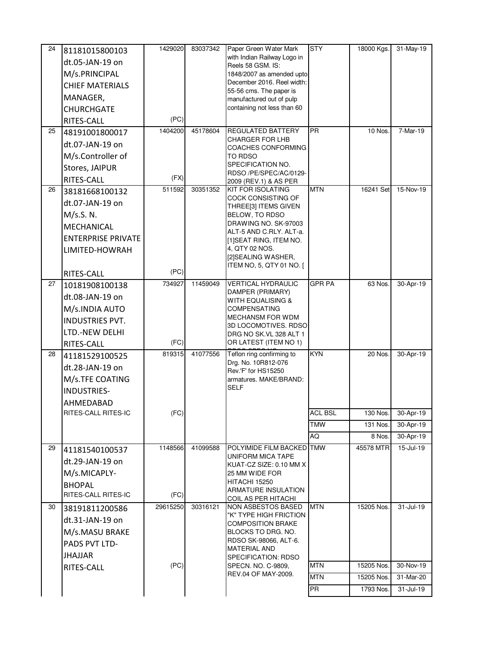| 24 | 81181015800103                   | 1429020  | 83037342 | Paper Green Water Mark                                  | <b>STY</b>     | 18000 Kgs. | 31-May-19     |
|----|----------------------------------|----------|----------|---------------------------------------------------------|----------------|------------|---------------|
|    | dt.05-JAN-19 on                  |          |          | with Indian Railway Logo in<br>Reels 58 GSM. IS:        |                |            |               |
|    | M/s.PRINCIPAL                    |          |          | 1848/2007 as amended upto                               |                |            |               |
|    | <b>CHIEF MATERIALS</b>           |          |          | December 2016. Reel width:                              |                |            |               |
|    | MANAGER,                         |          |          | 55-56 cms. The paper is                                 |                |            |               |
|    | <b>CHURCHGATE</b>                |          |          | manufactured out of pulp<br>containing not less than 60 |                |            |               |
|    |                                  | (PC)     |          |                                                         |                |            |               |
| 25 | RITES-CALL                       | 1404200  | 45178604 | REGULATED BATTERY                                       | <b>PR</b>      | 10 Nos.    | 7-Mar-19      |
|    | 48191001800017                   |          |          | CHARGER FOR LHB                                         |                |            |               |
|    | dt.07-JAN-19 on                  |          |          | COACHES CONFORMING                                      |                |            |               |
|    | M/s.Controller of                |          |          | <b>TO RDSO</b><br>SPECIFICATION NO.                     |                |            |               |
|    | Stores, JAIPUR                   |          |          | RDSO /PE/SPEC/AC/0129-                                  |                |            |               |
|    | RITES-CALL                       | (FX)     |          | 2009 (REV.1) & AS PER                                   |                |            |               |
| 26 | 38181668100132                   | 511592   | 30351352 | <b>KIT FOR ISOLATING</b><br>COCK CONSISTING OF          | <b>MTN</b>     | 16241 Set  | 15-Nov-19     |
|    | dt.07-JAN-19 on                  |          |          | THREE[3] ITEMS GIVEN                                    |                |            |               |
|    | M/s.S. N.                        |          |          | BELOW, TO RDSO                                          |                |            |               |
|    | MECHANICAL                       |          |          | DRAWING NO. SK-97003<br>ALT-5 AND C.RLY. ALT-a.         |                |            |               |
|    | <b>ENTERPRISE PRIVATE</b>        |          |          | [1]SEAT RING, ITEM NO.                                  |                |            |               |
|    | LIMITED-HOWRAH                   |          |          | 4, QTY 02 NOS.                                          |                |            |               |
|    |                                  |          |          | [2]SEALING WASHER,                                      |                |            |               |
|    | RITES-CALL                       | (PC)     |          | ITEM NO, 5, QTY 01 NO. [                                |                |            |               |
| 27 | 10181908100138                   | 734927   | 11459049 | <b>VERTICAL HYDRAULIC</b>                               | <b>GPR PA</b>  | 63 Nos.    | 30-Apr-19     |
|    | dt.08-JAN-19 on                  |          |          | DAMPER (PRIMARY)<br>WITH EQUALISING &                   |                |            |               |
|    | M/s.INDIA AUTO                   |          |          | <b>COMPENSATING</b>                                     |                |            |               |
|    | <b>INDUSTRIES PVT.</b>           |          |          | MECHANSM FOR WDM                                        |                |            |               |
|    | LTD.-NEW DELHI                   |          |          | 3D LOCOMOTIVES. RDSO<br>DRG NO SK.VL 328 ALT 1          |                |            |               |
|    | RITES-CALL                       | (FC)     |          | OR LATEST (ITEM NO 1)                                   |                |            |               |
| 28 | 41181529100525                   | 819315   | 41077556 | Teflon ring confirming to                               | <b>KYN</b>     | 20 Nos.    | 30-Apr-19     |
|    | dt.28-JAN-19 on                  |          |          | Drg. No. 10R812-076                                     |                |            |               |
|    | M/s.TFE COATING                  |          |          | Rev.'F' for HS15250<br>armatures. MAKE/BRAND:           |                |            |               |
|    |                                  |          |          | <b>SELF</b>                                             |                |            |               |
|    | <b>INDUSTRIES-</b>               |          |          |                                                         |                |            |               |
|    | AHMEDABAD<br>RITES-CALL RITES-IC | (FC)     |          |                                                         | <b>ACL BSL</b> | 130 Nos.   | 30-Apr-19     |
|    |                                  |          |          |                                                         | <b>TMW</b>     | 131 Nos.   | 30-Apr-19     |
|    |                                  |          |          |                                                         | AQ             | 8 Nos.     | 30-Apr-19     |
| 29 | 41181540100537                   | 1148566  | 41099588 | POLYIMIDE FILM BACKED TMW                               |                | 45578 MTR  | 15-Jul-19     |
|    | dt.29-JAN-19 on                  |          |          | UNIFORM MICA TAPE                                       |                |            |               |
|    | M/s.MICAPLY-                     |          |          | KUAT-CZ SIZE: 0.10 MM X<br>25 MM WIDE FOR               |                |            |               |
|    | <b>BHOPAL</b>                    |          |          | <b>HITACHI 15250</b>                                    |                |            |               |
|    | RITES-CALL RITES-IC              | (FC)     |          | ARMATURE INSULATION                                     |                |            |               |
| 30 |                                  | 29615250 | 30316121 | COIL AS PER HITACHI<br><b>NON ASBESTOS BASED</b>        | <b>MTN</b>     | 15205 Nos. | 31-Jul-19     |
|    | 38191811200586                   |          |          | "K" TYPE HIGH FRICTION                                  |                |            |               |
|    | dt.31-JAN-19 on                  |          |          | <b>COMPOSITION BRAKE</b>                                |                |            |               |
|    | M/s.MASU BRAKE                   |          |          | BLOCKS TO DRG. NO.<br>RDSO SK-98066, ALT-6.             |                |            |               |
|    | PADS PVT LTD-                    |          |          | <b>MATERIAL AND</b>                                     |                |            |               |
|    | <b>JHAJJAR</b>                   |          |          | <b>SPECIFICATION: RDSO</b>                              |                |            |               |
|    | RITES-CALL                       | (PC)     |          | SPECN. NO. C-9809,<br>REV.04 OF MAY-2009.               | <b>MTN</b>     | 15205 Nos. | 30-Nov-19     |
|    |                                  |          |          |                                                         | MTN            | 15205 Nos. | 31-Mar-20     |
|    |                                  |          |          |                                                         | <b>PR</b>      | 1793 Nos.  | $31 -$ Jul-19 |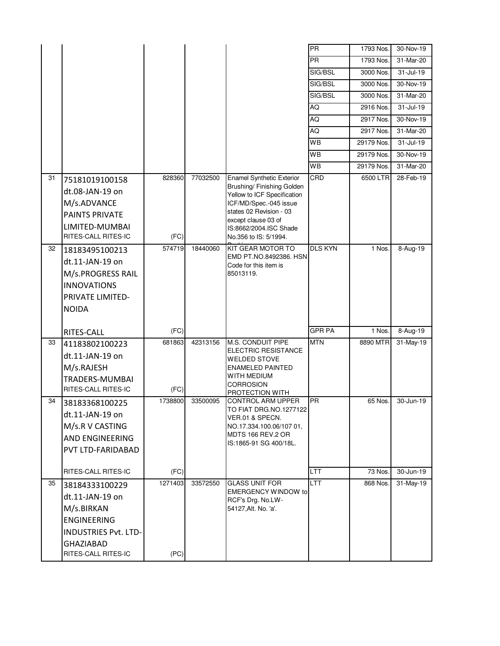|    |                                                                                                                                                 |                 |          |                                                                                                                                                                                                                       | PR             | 1793 Nos.  | 30-Nov-19     |
|----|-------------------------------------------------------------------------------------------------------------------------------------------------|-----------------|----------|-----------------------------------------------------------------------------------------------------------------------------------------------------------------------------------------------------------------------|----------------|------------|---------------|
|    |                                                                                                                                                 |                 |          |                                                                                                                                                                                                                       | <b>PR</b>      | 1793 Nos.  | 31-Mar-20     |
|    |                                                                                                                                                 |                 |          |                                                                                                                                                                                                                       | SIG/BSL        | 3000 Nos.  | $31 -$ Jul-19 |
|    |                                                                                                                                                 |                 |          |                                                                                                                                                                                                                       | SIG/BSL        | 3000 Nos.  | 30-Nov-19     |
|    |                                                                                                                                                 |                 |          |                                                                                                                                                                                                                       | SIG/BSL        | 3000 Nos.  | 31-Mar-20     |
|    |                                                                                                                                                 |                 |          |                                                                                                                                                                                                                       | AQ             | 2916 Nos.  | 31-Jul-19     |
|    |                                                                                                                                                 |                 |          |                                                                                                                                                                                                                       | AQ             | 2917 Nos.  | 30-Nov-19     |
|    |                                                                                                                                                 |                 |          |                                                                                                                                                                                                                       | AQ             | 2917 Nos.  | 31-Mar-20     |
|    |                                                                                                                                                 |                 |          |                                                                                                                                                                                                                       | WB             | 29179 Nos. | 31-Jul-19     |
|    |                                                                                                                                                 |                 |          |                                                                                                                                                                                                                       | WB             | 29179 Nos. | 30-Nov-19     |
|    |                                                                                                                                                 |                 |          |                                                                                                                                                                                                                       | WB             | 29179 Nos. | 31-Mar-20     |
| 31 | 75181019100158<br>dt.08-JAN-19 on<br>M/s.ADVANCE<br><b>PAINTS PRIVATE</b><br>LIMITED-MUMBAI<br>RITES-CALL RITES-IC                              | 828360<br>(FC)  | 77032500 | Enamel Synthetic Exterior<br>Brushing/ Finishing Golden<br>Yellow to ICF Specification<br>ICF/MD/Spec.-045 issue<br>states 02 Revision - 03<br>except clause 03 of<br>IS:8662/2004.ISC Shade<br>No.356 to IS: 5/1994. | CRD            | 6500 LTR   | 28-Feb-19     |
| 32 | 18183495100213<br>dt.11-JAN-19 on<br>M/s.PROGRESS RAIL<br><b>INNOVATIONS</b><br>PRIVATE LIMITED-<br><b>NOIDA</b>                                | 574719          | 18440060 | KIT GEAR MOTOR TO<br>EMD PT.NO.8492386. HSN<br>Code for this item is<br>85013119.                                                                                                                                     | <b>DLS KYN</b> | 1 Nos.     | 8-Aug-19      |
|    | RITES-CALL                                                                                                                                      | (FC)            |          |                                                                                                                                                                                                                       | <b>GPR PA</b>  | 1 Nos.     | 8-Aug-19      |
| 33 | 41183802100223<br>dt.11-JAN-19 on                                                                                                               | 681863          | 42313156 | <b>M.S. CONDUIT PIPE</b><br>ELECTRIC RESISTANCE<br><b>WELDED STOVE</b><br><b>ENAMELED PAINTED</b>                                                                                                                     | <b>MTN</b>     | 8890 MTR   | 31-May-19     |
|    | M/s.RAJESH<br>TRADERS-MUMBAI<br>RITES-CALL RITES-IC                                                                                             | (FC)            |          | WITH MEDIUM<br>CORROSION<br>PROTECTION WITH                                                                                                                                                                           |                |            |               |
| 34 | 38183368100225<br>dt.11-JAN-19 on<br>M/s.R V CASTING<br><b>AND ENGINEERING</b><br>PVT LTD-FARIDABAD                                             | 1738800         | 33500095 | <b>CONTROL ARM UPPER</b><br>TO FIAT DRG.NO.1277122<br>VER.01 & SPECN.<br>NO.17.334.100.06/107 01,<br>MDTS 166 REV.2 OR<br>IS:1865-91 SG 400/18L.                                                                      | PR             | 65 Nos.    | 30-Jun-19     |
|    | RITES-CALL RITES-IC                                                                                                                             | (FC)            |          |                                                                                                                                                                                                                       | <b>LTT</b>     | 73 Nos.    | 30-Jun-19     |
| 35 | 38184333100229<br>dt.11-JAN-19 on<br>M/s.BIRKAN<br><b>ENGINEERING</b><br><b>INDUSTRIES Pvt. LTD-</b><br><b>GHAZIABAD</b><br>RITES-CALL RITES-IC | 1271403<br>(PC) | 33572550 | <b>GLASS UNIT FOR</b><br><b>EMERGENCY WINDOW to</b><br>RCF's Drg. No.LW-<br>54127, Alt. No. 'a'.                                                                                                                      | LTT            | 868 Nos.   | 31-May-19     |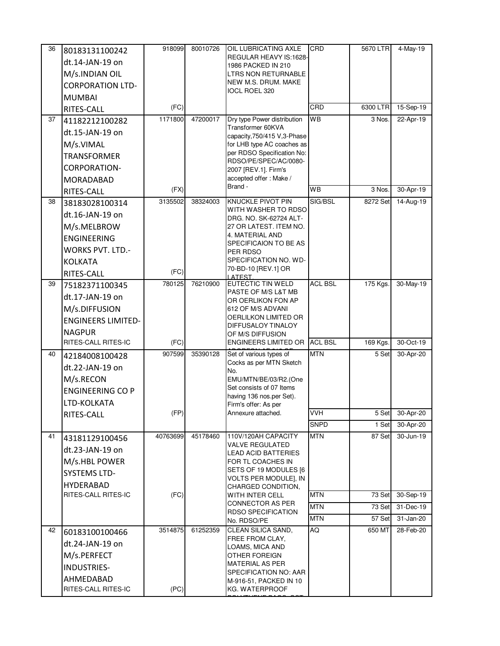| 36 | 80183131100242                   | 918099   | 80010726 | OIL LUBRICATING AXLE                                 | CRD            | 5670 LTR         | 4-May-19               |
|----|----------------------------------|----------|----------|------------------------------------------------------|----------------|------------------|------------------------|
|    | dt.14-JAN-19 on                  |          |          | REGULAR HEAVY IS:1628-<br>1986 PACKED IN 210         |                |                  |                        |
|    | M/s.INDIAN OIL                   |          |          | LTRS NON RETURNABLE                                  |                |                  |                        |
|    | <b>CORPORATION LTD-</b>          |          |          | NEW M.S. DRUM. MAKE                                  |                |                  |                        |
|    | <b>MUMBAI</b>                    |          |          | <b>IOCL ROEL 320</b>                                 |                |                  |                        |
|    | RITES-CALL                       | (FC)     |          |                                                      | CRD            | 6300 LTR         | 15-Sep-19              |
| 37 | 41182212100282                   | 1171800  | 47200017 | Dry type Power distribution                          | WB             | 3 Nos.           | 22-Apr-19              |
|    | dt.15-JAN-19 on                  |          |          | Transformer 60KVA<br>capacity, 750/415 V, 3-Phase    |                |                  |                        |
|    | M/s.VIMAL                        |          |          | for LHB type AC coaches as                           |                |                  |                        |
|    | <b>TRANSFORMER</b>               |          |          | per RDSO Specification No:                           |                |                  |                        |
|    | <b>CORPORATION-</b>              |          |          | RDSO/PE/SPEC/AC/0080-<br>2007 [REV.1]. Firm's        |                |                  |                        |
|    | MORADABAD                        |          |          | accepted offer: Make /                               |                |                  |                        |
|    | RITES-CALL                       | (FX)     |          | Brand -                                              | <b>WB</b>      | 3 Nos.           | 30-Apr-19              |
| 38 | 38183028100314                   | 3135502  | 38324003 | KNUCKLE PIVOT PIN                                    | SIG/BSL        | 8272 Set         | 14-Aug-19              |
|    | dt.16-JAN-19 on                  |          |          | WITH WASHER TO RDSO<br>DRG. NO. SK-62724 ALT-        |                |                  |                        |
|    | M/s.MELBROW                      |          |          | 27 OR LATEST. ITEM NO.                               |                |                  |                        |
|    | <b>ENGINEERING</b>               |          |          | 4. MATERIAL AND                                      |                |                  |                        |
|    | <b>WORKS PVT. LTD.-</b>          |          |          | SPECIFICAION TO BE AS<br>PER RDSO                    |                |                  |                        |
|    | <b>KOLKATA</b>                   |          |          | SPECIFICATION NO. WD-                                |                |                  |                        |
|    | RITES-CALL                       | (FC)     |          | 70-BD-10 [REV.1] OR<br><b>ATFST</b>                  |                |                  |                        |
| 39 | 75182371100345                   | 780125   | 76210900 | EUTECTIC TIN WELD                                    | <b>ACL BSL</b> | 175 Kgs.         | 30-May-19              |
|    | dt.17-JAN-19 on                  |          |          | PASTE OF M/S L&T MB<br>OR OERLIKON FON AP            |                |                  |                        |
|    | M/s.DIFFUSION                    |          |          | 612 OF M/S ADVANI                                    |                |                  |                        |
|    | <b>ENGINEERS LIMITED-</b>        |          |          | OERLILKON LIMITED OR<br>DIFFUSALOY TINALOY           |                |                  |                        |
|    | <b>NAGPUR</b>                    |          |          | OF M/S DIFFUSION                                     |                |                  |                        |
|    | RITES-CALL RITES-IC              | (FC)     |          | <b>ENGINEERS LIMITED OR</b>                          | <b>ACL BSL</b> | 169 Kgs.         | 30-Oct-19              |
| 40 | 42184008100428                   | 907599   | 35390128 | Set of various types of                              | <b>MTN</b>     | 5 Set            | 30-Apr-20              |
|    | dt.22-JAN-19 on                  |          |          | Cocks as per MTN Sketch<br>No.                       |                |                  |                        |
|    | M/s.RECON                        |          |          | EMU/MTN/BE/03/R2.(One                                |                |                  |                        |
|    | <b>ENGINEERING CO P</b>          |          |          | Set consists of 07 Items<br>having 136 nos.per Set). |                |                  |                        |
|    | LTD-KOLKATA                      |          |          | Firm's offer: As per                                 |                |                  |                        |
|    | RITES-CALL                       | (FP)     |          | Annexure attached.                                   | <b>VVH</b>     | 5 Set            | 30-Apr-20              |
|    |                                  |          |          |                                                      | <b>SNPD</b>    | 1 Set            | 30-Apr-20              |
| 41 | 43181129100456                   | 40763699 | 45178460 | 110V/120AH CAPACITY<br><b>VALVE REGULATED</b>        | <b>MTN</b>     | 87 Set           | 30-Jun-19              |
|    | dt.23-JAN-19 on                  |          |          | LEAD ACID BATTERIES                                  |                |                  |                        |
|    | M/s.HBL POWER                    |          |          | FOR TL COACHES IN                                    |                |                  |                        |
|    | <b>SYSTEMS LTD-</b>              |          |          | SETS OF 19 MODULES [6]<br>VOLTS PER MODULE], IN      |                |                  |                        |
|    | <b>HYDERABAD</b>                 |          |          | CHARGED CONDITION,                                   |                |                  |                        |
|    | RITES-CALL RITES-IC              | (FC)     |          | WITH INTER CELL<br><b>CONNECTOR AS PER</b>           | <b>MTN</b>     | 73 Set           | 30-Sep-19              |
|    |                                  |          |          | <b>RDSO SPECIFICATION</b>                            | <b>MTN</b>     | 73 Set           | $31 - Dec-19$          |
|    |                                  | 3514875  |          | No. RDSO/PE                                          | MTN            | 57 Set<br>650 MT | 31-Jan-20<br>28-Feb-20 |
| 42 | 60183100100466                   |          | 61252359 | CLEAN SILICA SAND,<br>FREE FROM CLAY,                | AQ             |                  |                        |
|    | dt.24-JAN-19 on                  |          |          | LOAMS, MICA AND                                      |                |                  |                        |
|    | M/s.PERFECT                      |          |          | OTHER FOREIGN<br>MATERIAL AS PER                     |                |                  |                        |
|    | <b>INDUSTRIES-</b>               |          |          | SPECIFICATION NO: AAR                                |                |                  |                        |
|    | AHMEDABAD<br>RITES-CALL RITES-IC | (PC)     |          | M-916-51, PACKED IN 10                               |                |                  |                        |
|    |                                  |          |          | KG. WATERPROOF                                       |                |                  |                        |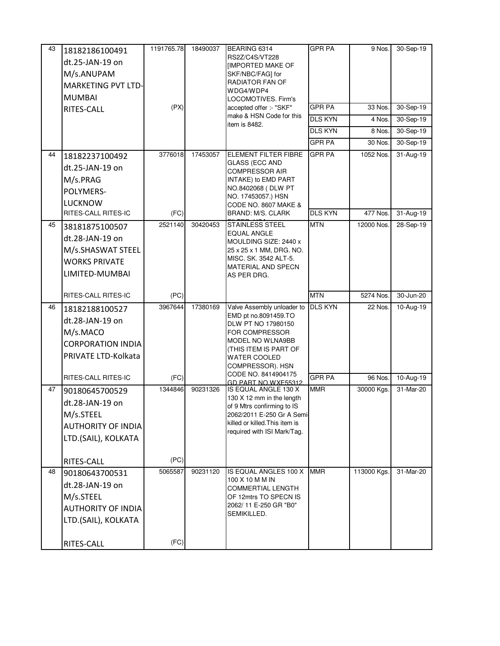| 43 | 18182186100491            | 1191765.78 | 18490037 | BEARING 6314                                             | <b>GPR PA</b>  | 9 Nos.                | 30-Sep-19     |
|----|---------------------------|------------|----------|----------------------------------------------------------|----------------|-----------------------|---------------|
|    | dt.25-JAN-19 on           |            |          | RS2Z/C4S/VT228                                           |                |                       |               |
|    | M/s.ANUPAM                |            |          | <b>IMPORTED MAKE OF</b><br>SKF/NBC/FAG] for              |                |                       |               |
|    | <b>MARKETING PVT LTD-</b> |            |          | RADIATOR FAN OF                                          |                |                       |               |
|    | <b>MUMBAI</b>             |            |          | WDG4/WDP4<br><b>LOCOMOTIVES. Firm's</b>                  |                |                       |               |
|    | RITES-CALL                | (PX)       |          | accepted offer :- "SKF"                                  | <b>GPR PA</b>  | 33 Nos.               | 30-Sep-19     |
|    |                           |            |          | make & HSN Code for this                                 | <b>DLS KYN</b> | 4 Nos.                | 30-Sep-19     |
|    |                           |            |          | item is 8482.                                            | <b>DLS KYN</b> | 8 Nos.                | 30-Sep-19     |
|    |                           |            |          |                                                          | <b>GPR PA</b>  | 30 Nos.               | 30-Sep-19     |
| 44 | 18182237100492            | 3776018    | 17453057 | ELEMENT FILTER FIBRE                                     | <b>GPR PA</b>  | 1052 Nos.             | $31 - Aug-19$ |
|    |                           |            |          | <b>GLASS (ECC AND</b>                                    |                |                       |               |
|    | dt.25-JAN-19 on           |            |          | <b>COMPRESSOR AIR</b>                                    |                |                       |               |
|    | M/s.PRAG                  |            |          | INTAKE) to EMD PART<br>NO.8402068 (DLW PT                |                |                       |               |
|    | POLYMERS-                 |            |          | NO. 17453057.) HSN                                       |                |                       |               |
|    | <b>LUCKNOW</b>            |            |          | CODE NO. 8607 MAKE &                                     |                | $\overline{477}$ Nos. |               |
|    | RITES-CALL RITES-IC       | (FC)       |          | <b>BRAND: M/S. CLARK</b>                                 | <b>DLS KYN</b> |                       | 31-Aug-19     |
| 45 | 38181875100507            | 2521140    | 30420453 | <b>STAINLESS STEEL</b><br>EQUAL ANGLE                    | <b>MTN</b>     | 12000 Nos.            | 28-Sep-19     |
|    | dt.28-JAN-19 on           |            |          | MOULDING SIZE: 2440 x                                    |                |                       |               |
|    | M/s.SHASWAT STEEL         |            |          | 25 x 25 x 1 MM, DRG. NO.                                 |                |                       |               |
|    | <b>WORKS PRIVATE</b>      |            |          | MISC. SK. 3542 ALT-5.<br>MATERIAL AND SPECN              |                |                       |               |
|    | LIMITED-MUMBAI            |            |          | AS PER DRG.                                              |                |                       |               |
|    |                           |            |          |                                                          |                |                       |               |
|    | RITES-CALL RITES-IC       | (PC)       |          |                                                          | <b>MTN</b>     | 5274 Nos.             | 30-Jun-20     |
| 46 | 18182188100527            | 3967644    | 17380169 | Valve Assembly unloader to                               | <b>DLS KYN</b> | 22 Nos.               | 10-Aug-19     |
|    |                           |            |          |                                                          |                |                       |               |
|    | dt.28-JAN-19 on           |            |          | EMD pt no.8091459.TO                                     |                |                       |               |
|    | M/s.MACO                  |            |          | DLW PT NO 17980150<br>FOR COMPRESSOR                     |                |                       |               |
|    | <b>CORPORATION INDIA</b>  |            |          | MODEL NO WLNA9BB                                         |                |                       |               |
|    | PRIVATE LTD-Kolkata       |            |          | (THIS ITEM IS PART OF                                    |                |                       |               |
|    |                           |            |          | <b>WATER COOLED</b><br>COMPRESSOR). HSN                  |                |                       |               |
|    | RITES-CALL RITES-IC       | (FC)       |          | CODE NO. 8414904175                                      | <b>GPR PA</b>  | 96 Nos.               | 10-Aug-19     |
| 47 | 90180645700529            | 1344846    | 90231326 | GD PART NO WXE55312<br>IS EQUAL ANGLE 130 X              | <b>MMR</b>     | 30000 Kgs.            | 31-Mar-20     |
|    | dt.28-JAN-19 on           |            |          | 130 X 12 mm in the length                                |                |                       |               |
|    |                           |            |          | of 9 Mtrs confirming to IS<br>2062/2011 E-250 Gr A Semi- |                |                       |               |
|    | M/s.STEEL                 |            |          | killed or killed. This item is                           |                |                       |               |
|    | <b>AUTHORITY OF INDIA</b> |            |          | required with ISI Mark/Tag.                              |                |                       |               |
|    | LTD.(SAIL), KOLKATA       |            |          |                                                          |                |                       |               |
|    |                           | (PC)       |          |                                                          |                |                       |               |
| 48 | RITES-CALL                | 5065587    | 90231120 | IS EQUAL ANGLES 100 X                                    | <b>MMR</b>     | 113000 Kgs.           | 31-Mar-20     |
|    | 90180643700531            |            |          | 100 X 10 M M IN                                          |                |                       |               |
|    | dt.28-JAN-19 on           |            |          | <b>COMMERTIAL LENGTH</b>                                 |                |                       |               |
|    | M/s.STEEL                 |            |          | OF 12mtrs TO SPECN IS<br>2062/11 E-250 GR "B0"           |                |                       |               |
|    | <b>AUTHORITY OF INDIA</b> |            |          | SEMIKILLED.                                              |                |                       |               |
|    | LTD.(SAIL), KOLKATA       |            |          |                                                          |                |                       |               |
|    | RITES-CALL                | (FC)       |          |                                                          |                |                       |               |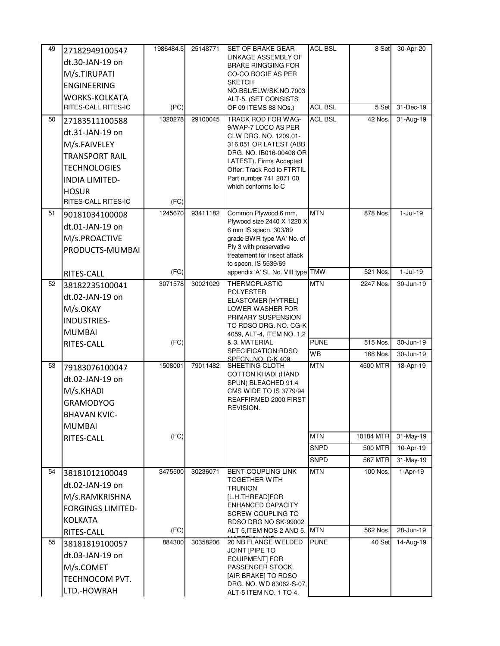| 49 | 27182949100547           | 1986484.5 | 25148771 | <b>SET OF BRAKE GEAR</b>                              | <b>ACL BSL</b> | 8 Set          | 30-Apr-20               |
|----|--------------------------|-----------|----------|-------------------------------------------------------|----------------|----------------|-------------------------|
|    | dt.30-JAN-19 on          |           |          | LINKAGE ASSEMBLY OF<br><b>BRAKE RINGGING FOR</b>      |                |                |                         |
|    | M/s.TIRUPATI             |           |          | CO-CO BOGIE AS PER                                    |                |                |                         |
|    | <b>ENGINEERING</b>       |           |          | <b>SKETCH</b>                                         |                |                |                         |
|    | <b>WORKS-KOLKATA</b>     |           |          | NO.BSL/ELW/SK.NO.7003<br>ALT-5. (SET CONSISTS         |                |                |                         |
|    | RITES-CALL RITES-IC      | (PC)      |          | OF 09 ITEMS 88 NOs.)                                  | <b>ACL BSL</b> | 5 Set          | 31-Dec-19               |
| 50 | 27183511100588           | 1320278   | 29100045 | TRACK ROD FOR WAG-                                    | <b>ACL BSL</b> | 42 Nos.        | 31-Aug-19               |
|    | dt.31-JAN-19 on          |           |          | 9/WAP-7 LOCO AS PER<br>CLW DRG. NO. 1209.01-          |                |                |                         |
|    | M/s.FAIVELEY             |           |          | 316.051 OR LATEST (ABB                                |                |                |                         |
|    | <b>TRANSPORT RAIL</b>    |           |          | DRG. NO. IB016-00408 OR                               |                |                |                         |
|    | <b>TECHNOLOGIES</b>      |           |          | LATEST). Firms Accepted<br>Offer: Track Rod to FTRTIL |                |                |                         |
|    | <b>INDIA LIMITED-</b>    |           |          | Part number 741 2071 00                               |                |                |                         |
|    | <b>HOSUR</b>             |           |          | which conforms to C                                   |                |                |                         |
|    | RITES-CALL RITES-IC      | (FC)      |          |                                                       |                |                |                         |
| 51 | 90181034100008           | 1245670   | 93411182 | Common Plywood 6 mm,                                  | <b>MTN</b>     | 878 Nos.       | $1-Jul-19$              |
|    | dt.01-JAN-19 on          |           |          | Plywood size 2440 X 1220 X<br>6 mm IS specn. 303/89   |                |                |                         |
|    | M/s.PROACTIVE            |           |          | grade BWR type 'AA' No. of                            |                |                |                         |
|    | PRODUCTS-MUMBAI          |           |          | Ply 3 with preservative                               |                |                |                         |
|    |                          |           |          | treatement for insect attack<br>to specn. IS 5539/69  |                |                |                         |
|    | RITES-CALL               | (FC)      |          | appendix 'A' SL No. VIII type TMW                     |                | 521 Nos.       | $1-Jul-19$              |
| 52 | 38182235100041           | 3071578   | 30021029 | THERMOPLASTIC                                         | <b>MTN</b>     | 2247 Nos.      | 30-Jun-19               |
|    | dt.02-JAN-19 on          |           |          | <b>POLYESTER</b>                                      |                |                |                         |
|    | M/s.OKAY                 |           |          | <b>ELASTOMER [HYTREL]</b><br>LOWER WASHER FOR         |                |                |                         |
|    | <b>INDUSTRIES-</b>       |           |          | PRIMARY SUSPENSION                                    |                |                |                         |
|    | <b>MUMBAI</b>            |           |          | to RDSO DRG. No. CG-K<br>4059, ALT-4, ITEM NO. 1,2    |                |                |                         |
|    | RITES-CALL               | (FC)      |          | & 3. MATERIAL                                         | <b>PUNE</b>    | 515 Nos.       | 30-Jun-19               |
|    |                          |           |          | SPECIFICATION:RDSO                                    | <b>WB</b>      | 168 Nos.       | 30-Jun-19               |
| 53 | 79183076100047           | 1508001   | 79011482 | SPECN, NO. C-K 409<br>SHEETING CLOTH                  | <b>MTN</b>     | 4500 MTR       | 18-Apr-19               |
|    | dt.02-JAN-19 on          |           |          | <b>COTTON KHADI (HAND</b>                             |                |                |                         |
|    | M/s.KHADI                |           |          | SPUN) BLEACHED 91.4<br>CMS WIDE TO IS 3779/94         |                |                |                         |
|    | <b>GRAMODYOG</b>         |           |          | REAFFIRMED 2000 FIRST                                 |                |                |                         |
|    | <b>BHAVAN KVIC-</b>      |           |          | REVISION.                                             |                |                |                         |
|    | <b>MUMBAI</b>            |           |          |                                                       |                |                |                         |
|    | RITES-CALL               | (FC)      |          |                                                       | <b>MTN</b>     | 10184 MTR      | 31-May-19               |
|    |                          |           |          |                                                       | <b>SNPD</b>    | 500 MTR        | 10-Apr-19               |
|    |                          |           |          |                                                       | SNPD           | <b>567 MTR</b> | $\overline{31}$ -May-19 |
| 54 | 38181012100049           | 3475500   | 30236071 | <b>BENT COUPLING LINK</b>                             | <b>MTN</b>     | 100 Nos.       | $1-Apr-19$              |
|    | dt.02-JAN-19 on          |           |          | TOGETHER WITH<br><b>TRUNION</b>                       |                |                |                         |
|    | M/s.RAMKRISHNA           |           |          | [L.H.THREAD]FOR                                       |                |                |                         |
|    | <b>FORGINGS LIMITED-</b> |           |          | <b>ENHANCED CAPACITY</b><br><b>SCREW COUPLING TO</b>  |                |                |                         |
|    | <b>KOLKATA</b>           |           |          | RDSO DRG NO SK-99002                                  |                |                |                         |
|    | RITES-CALL               | (FC)      |          | ALT 5, ITEM NOS 2 AND 5. MTN                          |                | 562 Nos.       | 28-Jun-19               |
| 55 | 38181819100057           | 884300    | 30358206 | 20 NB FLANGE WELDED                                   | <b>PUNE</b>    | 40 Set         | 14-Aug-19               |
|    | dt.03-JAN-19 on          |           |          | JOINT [PIPE TO<br><b>EQUIPMENT] FOR</b>               |                |                |                         |
|    | M/s.COMET                |           |          | PASSENGER STOCK.                                      |                |                |                         |
|    | TECHNOCOM PVT.           |           |          | [AIR BRAKE] TO RDSO<br>DRG. NO. WD 83062-S-07.        |                |                |                         |
|    | LTD.-HOWRAH              |           |          | ALT-5 ITEM NO. 1 TO 4.                                |                |                |                         |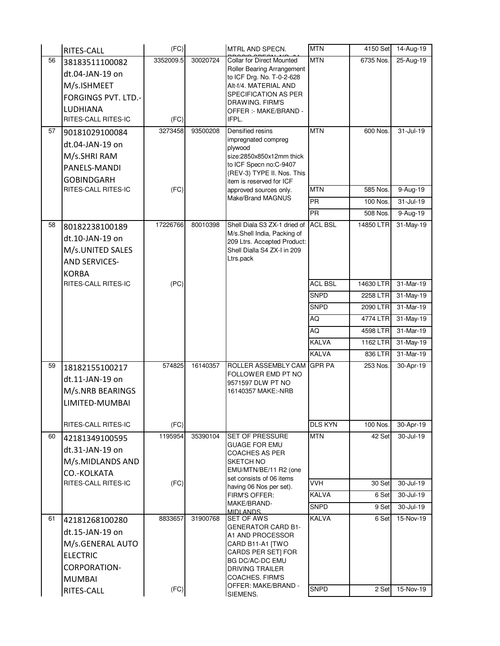|    | RITES-CALL                 | (FC)      |          | MTRL AND SPECN.                                            | <b>MTN</b>                  | 4150 Set       | 14-Aug-19               |
|----|----------------------------|-----------|----------|------------------------------------------------------------|-----------------------------|----------------|-------------------------|
| 56 | 38183511100082             | 3352009.5 | 30020724 | <b>Collar for Direct Mounted</b>                           | <b>MTN</b>                  | 6735 Nos.      | 25-Aug-19               |
|    | dt.04-JAN-19 on            |           |          | Roller Bearing Arrangement<br>to ICF Drg. No. T-0-2-628    |                             |                |                         |
|    | M/s.ISHMEET                |           |          | Alt-f/4. MATERIAL AND                                      |                             |                |                         |
|    | <b>FORGINGS PVT. LTD.-</b> |           |          | SPECIFICATION AS PER                                       |                             |                |                         |
|    | LUDHIANA                   |           |          | DRAWING. FIRM'S<br>OFFER :- MAKE/BRAND -                   |                             |                |                         |
|    | RITES-CALL RITES-IC        | (FC)      |          | IFPL.                                                      |                             |                |                         |
| 57 | 90181029100084             | 3273458   | 93500208 | Densified resins                                           | <b>MTN</b>                  | 600 Nos.       | 31-Jul-19               |
|    | dt.04-JAN-19 on            |           |          | impregnated compreg<br>plywood                             |                             |                |                         |
|    | M/s.SHRI RAM               |           |          | size:2850x850x12mm thick                                   |                             |                |                         |
|    | PANELS-MANDI               |           |          | to ICF Specn no:C-9407                                     |                             |                |                         |
|    | <b>GOBINDGARH</b>          |           |          | (REV-3) TYPE II. Nos. This<br>item is reserved for ICF     |                             |                |                         |
|    | RITES-CALL RITES-IC        | (FC)      |          | approved sources only.                                     | <b>MTN</b>                  | 585 Nos.       | 9-Aug-19                |
|    |                            |           |          | Make/Brand MAGNUS                                          | <b>PR</b>                   | 100 Nos.       | 31-Jul-19               |
|    |                            |           |          |                                                            | PR                          | 508 Nos.       | 9-Aug-19                |
| 58 | 80182238100189             | 17226766  | 80010398 | Shell Diala S3 ZX-1 dried of ACL BSL                       |                             | 14850 LTR      | 31-May-19               |
|    | dt.10-JAN-19 on            |           |          | M/s.Shell India, Packing of<br>209 Ltrs. Accepted Product: |                             |                |                         |
|    | M/s.UNITED SALES           |           |          | Shell Dialla S4 ZX-I in 209                                |                             |                |                         |
|    | <b>AND SERVICES-</b>       |           |          | Ltrs.pack                                                  |                             |                |                         |
|    | <b>KORBA</b>               |           |          |                                                            |                             |                |                         |
|    | RITES-CALL RITES-IC        | (PC)      |          |                                                            | <b>ACL BSL</b>              | 14630 LTR      | 31-Mar-19               |
|    |                            |           |          |                                                            | <b>SNPD</b>                 | 2258 LTR       | $31-May-19$             |
|    |                            |           |          |                                                            | <b>SNPD</b>                 | 2090 LTR       | 31-Mar-19               |
|    |                            |           |          |                                                            | AQ                          | 4774 LTR       | 31-May-19               |
|    |                            |           |          |                                                            | AQ                          | 4598 LTR       | $\overline{31}$ -Mar-19 |
|    |                            |           |          |                                                            | <b>KALVA</b>                | 1162 LTR       | 31-May-19               |
|    |                            |           |          |                                                            | <b>KALVA</b>                | 836 LTR        | 31-Mar-19               |
| 59 | 18182155100217             | 574825    | 16140357 | ROLLER ASSEMBLY CAM<br>FOLLOWER EMD PT NO                  | <b>GPR PA</b>               | 253 Nos.       | 30-Apr-19               |
|    | dt.11-JAN-19 on            |           |          | 9571597 DLW PT NO                                          |                             |                |                         |
|    | M/s.NRB BEARINGS           |           |          | 16140357 MAKE:-NRB                                         |                             |                |                         |
|    | LIMITED-MUMBAI             |           |          |                                                            |                             |                |                         |
|    |                            |           |          |                                                            |                             |                |                         |
|    | RITES-CALL RITES-IC        | (FC)      |          |                                                            | <b>DLS KYN</b>              | 100 Nos.       | 30-Apr-19               |
| 60 | 42181349100595             | 1195954   | 35390104 | <b>SET OF PRESSURE</b><br><b>GUAGE FOR EMU</b>             | <b>MTN</b>                  | 42 Set         | 30-Jul-19               |
|    | dt.31-JAN-19 on            |           |          | COACHES AS PER                                             |                             |                |                         |
|    | M/s.MIDLANDS AND           |           |          | SKETCH NO<br>EMU/MTN/BE/11 R2 (one                         |                             |                |                         |
|    | CO.-KOLKATA                |           |          | set consists of 06 items                                   |                             |                |                         |
|    | RITES-CALL RITES-IC        | (FC)      |          | having 06 Nos per set).                                    | <b>VVH</b>                  | 30 Set         | 30-Jul-19               |
|    |                            |           |          | FIRM'S OFFER:<br>MAKE/BRAND-                               | <b>KALVA</b>                | 6 Set          | 30-Jul-19               |
|    |                            | 8833657   | 31900768 | <b>MIDI ANDS</b>                                           | <b>SNPD</b><br><b>KALVA</b> | 9 Set<br>6 Set | 30-Jul-19<br>15-Nov-19  |
| 61 | 42181268100280             |           |          | SET OF AWS<br><b>GENERATOR CARD B1-</b>                    |                             |                |                         |
|    | dt.15-JAN-19 on            |           |          | A1 AND PROCESSOR                                           |                             |                |                         |
|    | M/s.GENERAL AUTO           |           |          | CARD B11-A1 [TWO<br>CARDS PER SETI FOR                     |                             |                |                         |
|    | <b>ELECTRIC</b>            |           |          | <b>BG DC/AC-DC EMU</b>                                     |                             |                |                         |
|    | <b>CORPORATION-</b>        |           |          | DRIVING TRAILER                                            |                             |                |                         |
|    | <b>MUMBAI</b>              |           |          | COACHES. FIRM'S<br>OFFER: MAKE/BRAND -                     | <b>SNPD</b>                 |                |                         |
|    | RITES-CALL                 | (FC)      |          | SIEMENS.                                                   |                             | 2 Set          | 15-Nov-19               |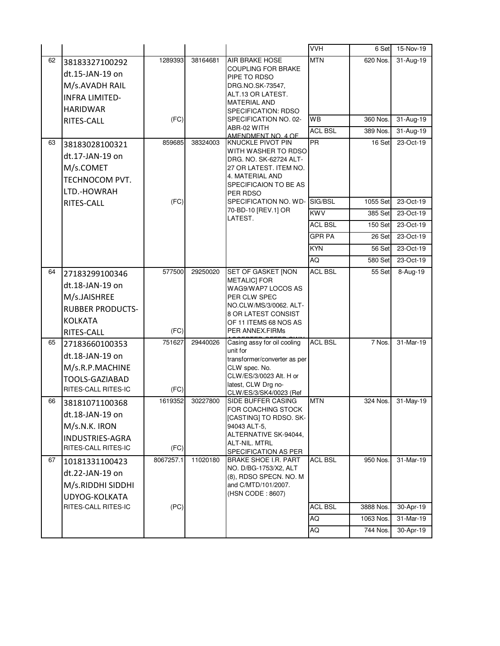|    |                         |           |          |                                                 | VVH             | 6 Set     | 15-Nov-19     |
|----|-------------------------|-----------|----------|-------------------------------------------------|-----------------|-----------|---------------|
| 62 | 38183327100292          | 1289393   | 38164681 | AIR BRAKE HOSE                                  | <b>MTN</b>      | 620 Nos.  | 31-Aug-19     |
|    | dt.15-JAN-19 on         |           |          | <b>COUPLING FOR BRAKE</b>                       |                 |           |               |
|    | M/s.AVADH RAIL          |           |          | PIPE TO RDSO<br>DRG.NO.SK-73547.                |                 |           |               |
|    | <b>INFRA LIMITED-</b>   |           |          | ALT.13 OR LATEST.                               |                 |           |               |
|    |                         |           |          | <b>MATERIAL AND</b>                             |                 |           |               |
|    | <b>HARIDWAR</b>         | (FC)      |          | SPECIFICATION: RDSO<br>SPECIFICATION NO. 02-    | WB              | 360 Nos.  | 31-Aug-19     |
|    | RITES-CALL              |           |          | ABR-02 WITH                                     | <b>ACL BSL</b>  | 389 Nos.  | $31 - Aug-19$ |
|    |                         | 859685    |          | AMENDMENT NO. 4 OF                              | $\overline{PR}$ |           |               |
| 63 | 38183028100321          |           | 38324003 | KNUCKLE PIVOT PIN<br>WITH WASHER TO RDSO        |                 | 16 Set    | 23-Oct-19     |
|    | dt.17-JAN-19 on         |           |          | DRG. NO. SK-62724 ALT-                          |                 |           |               |
|    | M/s.COMET               |           |          | 27 OR LATEST. ITEM NO.                          |                 |           |               |
|    | TECHNOCOM PVT.          |           |          | 4. MATERIAL AND<br>SPECIFICAION TO BE AS        |                 |           |               |
|    | LTD.-HOWRAH             |           |          | PER RDSO                                        |                 |           |               |
|    | RITES-CALL              | (FC)      |          | SPECIFICATION NO. WD-                           | SIG/BSL         | 1055 Set  | 23-Oct-19     |
|    |                         |           |          | 70-BD-10 [REV.1] OR<br>LATEST.                  | <b>KWV</b>      | 385 Set   | 23-Oct-19     |
|    |                         |           |          |                                                 | <b>ACL BSL</b>  | 150 Set   | 23-Oct-19     |
|    |                         |           |          |                                                 | <b>GPR PA</b>   | 26 Set    | 23-Oct-19     |
|    |                         |           |          |                                                 | <b>KYN</b>      | 56 Set    | 23-Oct-19     |
|    |                         |           |          |                                                 | AQ              | 580 Set   | 23-Oct-19     |
| 64 | 27183299100346          | 577500    | 29250020 | SET OF GASKET [NON                              | <b>ACL BSL</b>  | 55 Set    | 8-Aug-19      |
|    | dt.18-JAN-19 on         |           |          | <b>METALICI FOR</b>                             |                 |           |               |
|    | M/s.JAISHREE            |           |          | WAG9/WAP7 LOCOS AS<br>PER CLW SPEC              |                 |           |               |
|    | <b>RUBBER PRODUCTS-</b> |           |          | NO.CLW/MS/3/0062. ALT-                          |                 |           |               |
|    | <b>KOLKATA</b>          |           |          | 8 OR LATEST CONSIST                             |                 |           |               |
|    | RITES-CALL              | (FC)      |          | OF 11 ITEMS 68 NOS AS<br>PER ANNEX.FIRMs        |                 |           |               |
| 65 |                         | 751627    | 29440026 | Casing assy for oil cooling                     | <b>ACL BSL</b>  | 7 Nos.    | 31-Mar-19     |
|    | 27183660100353          |           |          | unit for                                        |                 |           |               |
|    | dt.18-JAN-19 on         |           |          | transformer/converter as per                    |                 |           |               |
|    | M/s.R.P.MACHINE         |           |          | CLW spec. No.<br>CLW/ES/3/0023 Alt. H or        |                 |           |               |
|    | <b>TOOLS-GAZIABAD</b>   |           |          | latest, CLW Drg no-                             |                 |           |               |
|    | RITES-CALL RITES-IC     | (FC)      |          | CLW/ES/3/SK4/0023 (Ref                          |                 |           |               |
| 66 | 38181071100368          | 1619352   | 30227800 | SIDE BUFFER CASING<br>FOR COACHING STOCK        | <b>MTN</b>      | 324 Nos.  | 31-May-19     |
|    | dt.18-JAN-19 on         |           |          | [CASTING] TO RDSO. SK-                          |                 |           |               |
|    | M/s.N.K. IRON           |           |          | 94043 ALT-5,                                    |                 |           |               |
|    | <b>INDUSTRIES-AGRA</b>  |           |          | ALTERNATIVE SK-94044,<br>ALT-NIL. MTRL          |                 |           |               |
|    | RITES-CALL RITES-IC     | (FC)      |          | SPECIFICATION AS PER                            |                 |           |               |
| 67 | 10181331100423          | 8067257.1 | 11020180 | <b>BRAKE SHOE I.R. PART</b>                     | <b>ACL BSL</b>  | 950 Nos.  | 31-Mar-19     |
|    | dt.22-JAN-19 on         |           |          | NO. D/BG-1753/X2, ALT<br>(8), RDSO SPECN. NO. M |                 |           |               |
|    | M/s.RIDDHI SIDDHI       |           |          | and C/MTD/101/2007.                             |                 |           |               |
|    | UDYOG-KOLKATA           |           |          | (HSN CODE: 8607)                                |                 |           |               |
|    | RITES-CALL RITES-IC     | (PC)      |          |                                                 | <b>ACL BSL</b>  | 3888 Nos. | 30-Apr-19     |
|    |                         |           |          |                                                 |                 |           |               |
|    |                         |           |          |                                                 | <b>AQ</b>       | 1063 Nos. | $31-Mar-19$   |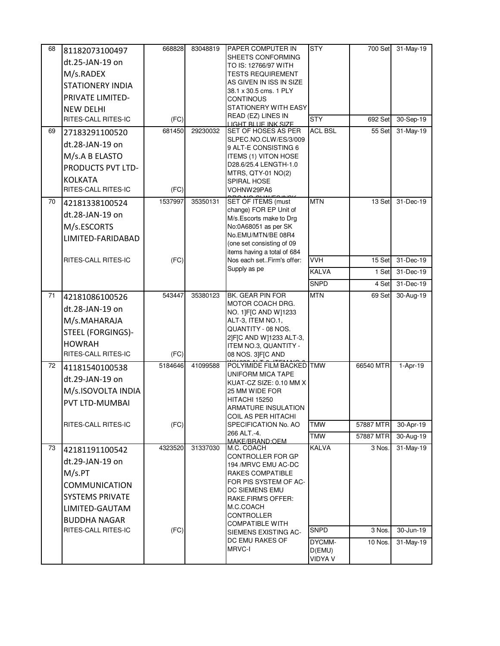| 68 | 81182073100497                          | 668828  | 83048819 | <b>PAPER COMPUTER IN</b>                                 | <b>STY</b>               | 700 Set             | 31-May-19 |
|----|-----------------------------------------|---------|----------|----------------------------------------------------------|--------------------------|---------------------|-----------|
|    | dt.25-JAN-19 on                         |         |          | SHEETS CONFORMING                                        |                          |                     |           |
|    | M/s.RADEX                               |         |          | TO IS: 12766/97 WITH<br><b>TESTS REQUIREMENT</b>         |                          |                     |           |
|    | <b>STATIONERY INDIA</b>                 |         |          | AS GIVEN IN ISS IN SIZE                                  |                          |                     |           |
|    | PRIVATE LIMITED-                        |         |          | 38.1 x 30.5 cms. 1 PLY                                   |                          |                     |           |
|    |                                         |         |          | <b>CONTINOUS</b><br>STATIONERY WITH EASY                 |                          |                     |           |
|    | <b>NEW DELHI</b><br>RITES-CALL RITES-IC | (FC)    |          | READ (EZ) LINES IN                                       | <b>STY</b>               | 692 Set             | 30-Sep-19 |
|    |                                         | 681450  | 29230032 | <b>LIGHT BLUE INK SIZE</b><br><b>SET OF HOSES AS PER</b> | <b>ACL BSL</b>           | 55 Set              | 31-May-19 |
| 69 | 27183291100520                          |         |          | SLPEC.NO.CLW/ES/3/009                                    |                          |                     |           |
|    | dt.28-JAN-19 on                         |         |          | 9 ALT-E CONSISTING 6                                     |                          |                     |           |
|    | M/s.A B ELASTO                          |         |          | <b>ITEMS (1) VITON HOSE</b>                              |                          |                     |           |
|    | PRODUCTS PVT LTD-                       |         |          | D28.6/25.4 LENGTH-1.0<br>MTRS, QTY-01 NO(2)              |                          |                     |           |
|    | <b>KOLKATA</b>                          |         |          | SPIRAL HOSE                                              |                          |                     |           |
|    | RITES-CALL RITES-IC                     | (FC)    |          | VOHNW29PA6                                               |                          |                     |           |
| 70 | 42181338100524                          | 1537997 | 35350131 | SET OF ITEMS (must                                       | <b>MTN</b>               | 13 Set              | 31-Dec-19 |
|    | dt.28-JAN-19 on                         |         |          | change) FOR EP Unit of<br>M/s. Escorts make to Drg       |                          |                     |           |
|    | M/s.ESCORTS                             |         |          | No:0A68051 as per SK                                     |                          |                     |           |
|    | LIMITED-FARIDABAD                       |         |          | No.EMU/MTN/BE 08R4                                       |                          |                     |           |
|    |                                         |         |          | (one set consisting of 09<br>items having a total of 684 |                          |                     |           |
|    | RITES-CALL RITES-IC                     | (FC)    |          | Nos each setFirm's offer:                                | <b>VVH</b>               | 15 Set              | 31-Dec-19 |
|    |                                         |         |          | Supply as pe                                             | <b>KALVA</b>             | 1 Set               | 31-Dec-19 |
|    |                                         |         |          |                                                          | <b>SNPD</b>              | 4 Set               | 31-Dec-19 |
| 71 | 42181086100526                          | 543447  | 35380123 | BK. GEAR PIN FOR                                         | <b>MTN</b>               | 69 Set              | 30-Aug-19 |
|    | dt.28-JAN-19 on                         |         |          | MOTOR COACH DRG.                                         |                          |                     |           |
|    | M/s.MAHARAJA                            |         |          | NO. 1]F[C AND W]1233<br>ALT-3, ITEM NO.1,                |                          |                     |           |
|    | STEEL (FORGINGS)-                       |         |          | QUANTITY - 08 NOS.                                       |                          |                     |           |
|    | <b>HOWRAH</b>                           |         |          | 2]F[C AND W]1233 ALT-3,                                  |                          |                     |           |
|    | RITES-CALL RITES-IC                     | (FC)    |          | ITEM NO.3, QUANTITY -<br>08 NOS. 3]F[C AND               |                          |                     |           |
| 72 | 41181540100538                          | 5184646 | 41099588 | POLYIMIDE FILM BACKED TMW                                |                          | 66540 MTR           | 1-Apr-19  |
|    | dt.29-JAN-19 on                         |         |          | UNIFORM MICA TAPE                                        |                          |                     |           |
|    | M/s.ISOVOLTA INDIA                      |         |          | KUAT-CZ SIZE: 0.10 MM X<br>25 MM WIDE FOR                |                          |                     |           |
|    |                                         |         |          | HITACHI 15250                                            |                          |                     |           |
|    | PVT LTD-MUMBAI                          |         |          | ARMATURE INSULATION                                      |                          |                     |           |
|    | <b>RITES-CALL RITES-IC</b>              | (FC)    |          | COIL AS PER HITACHI<br>SPECIFICATION No. AO              | <b>TMW</b>               | 57887 MTR           | 30-Apr-19 |
|    |                                         |         |          | 266 ALT.-4.                                              | <b>TMW</b>               | 57887 MTR           | 30-Aug-19 |
| 73 | 42181191100542                          | 4323520 | 31337030 | MAKE/BRAND:OFM<br>M.C. COACH                             | <b>KALVA</b>             | 3 Nos.              | 31-May-19 |
|    |                                         |         |          | CONTROLLER FOR GP                                        |                          |                     |           |
|    | dt.29-JAN-19 on                         |         |          | 194 /MRVC EMU AC-DC                                      |                          |                     |           |
|    | M/s.PT                                  |         |          | <b>RAKES COMPATIBLE</b><br>FOR PIS SYSTEM OF AC-         |                          |                     |           |
|    | <b>COMMUNICATION</b>                    |         |          | <b>DC SIEMENS EMU</b>                                    |                          |                     |           |
|    | <b>SYSTEMS PRIVATE</b>                  |         |          | RAKE.FIRM'S OFFER:                                       |                          |                     |           |
|    | LIMITED-GAUTAM                          |         |          | M.C.COACH<br>CONTROLLER                                  |                          |                     |           |
|    | <b>BUDDHA NAGAR</b>                     |         |          | <b>COMPATIBLE WITH</b>                                   |                          |                     |           |
|    | RITES-CALL RITES-IC                     | (FC)    |          | SIEMENS EXISTING AC-                                     | <b>SNPD</b>              | $\overline{3}$ Nos. | 30-Jun-19 |
|    |                                         |         |          | DC EMU RAKES OF<br><b>MRVC-I</b>                         | DYCMM-                   | 10 Nos.             | 31-May-19 |
|    |                                         |         |          |                                                          | D(EMU)<br><b>VIDYA V</b> |                     |           |
|    |                                         |         |          |                                                          |                          |                     |           |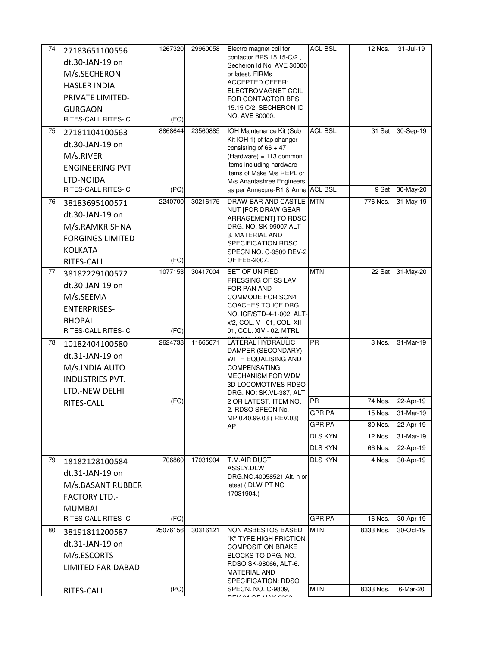| 74 | 27183651100556                        | 1267320  | 29960058 | Electro magnet coil for                                   | <b>ACL BSL</b> | 12 Nos.   | $31 -$ Jul-19 |
|----|---------------------------------------|----------|----------|-----------------------------------------------------------|----------------|-----------|---------------|
|    | dt.30-JAN-19 on                       |          |          | contactor BPS 15.15-C/2,                                  |                |           |               |
|    | M/s.SECHERON                          |          |          | Secheron Id No. AVE 30000<br>or latest. FIRMs             |                |           |               |
|    | <b>HASLER INDIA</b>                   |          |          | <b>ACCEPTED OFFER:</b>                                    |                |           |               |
|    | PRIVATE LIMITED-                      |          |          | ELECTROMAGNET COIL                                        |                |           |               |
|    |                                       |          |          | FOR CONTACTOR BPS<br>15.15 C/2, SECHERON ID               |                |           |               |
|    | <b>GURGAON</b><br>RITES-CALL RITES-IC | (FC)     |          | NO. AVE 80000.                                            |                |           |               |
| 75 |                                       | 8868644  | 23560885 | <b>IOH Maintenance Kit (Sub</b>                           | <b>ACL BSL</b> | 31 Set    | 30-Sep-19     |
|    | 27181104100563                        |          |          | Kit IOH 1) of tap changer                                 |                |           |               |
|    | dt.30-JAN-19 on                       |          |          | consisting of $66 + 47$                                   |                |           |               |
|    | M/s.RIVER                             |          |          | (Hardware) = 113 common<br>items including hardware       |                |           |               |
|    | <b>ENGINEERING PVT</b>                |          |          | items of Make M/s REPL or                                 |                |           |               |
|    | LTD-NOIDA                             |          |          | M/s Anantashree Engineers,                                |                |           |               |
|    | RITES-CALL RITES-IC                   | (PC)     |          | as per Annexure-R1 & Anne ACL BSL                         |                | 9 Set     | 30-May-20     |
| 76 | 38183695100571                        | 2240700  | 30216175 | DRAW BAR AND CASTLE MTN<br>NUT [FOR DRAW GEAR             |                | 776 Nos.  | 31-May-19     |
|    | dt.30-JAN-19 on                       |          |          | ARRAGEMENT] TO RDSO                                       |                |           |               |
|    | M/s.RAMKRISHNA                        |          |          | DRG. NO. SK-99007 ALT-                                    |                |           |               |
|    | <b>FORGINGS LIMITED-</b>              |          |          | 3. MATERIAL AND<br>SPECIFICATION RDSO                     |                |           |               |
|    | <b>KOLKATA</b>                        |          |          | SPECN NO. C-9509 REV-2                                    |                |           |               |
|    | RITES-CALL                            | (FC)     |          | OF FEB-2007.                                              |                |           |               |
| 77 | 38182229100572                        | 1077153  | 30417004 | SET OF UNIFIED                                            | <b>MTN</b>     | 22 Set    | 31-May-20     |
|    | dt.30-JAN-19 on                       |          |          | PRESSING OF SS LAV<br>FOR PAN AND                         |                |           |               |
|    | M/s.SEEMA                             |          |          | COMMODE FOR SCN4                                          |                |           |               |
|    | <b>ENTERPRISES-</b>                   |          |          | COACHES TO ICF DRG.                                       |                |           |               |
|    | <b>BHOPAL</b>                         |          |          | NO. ICF/STD-4-1-002, ALT-<br>x/2, COL. V - 01, COL. XII - |                |           |               |
|    | RITES-CALL RITES-IC                   | (FC)     |          | 01, COL. XIV - 02. MTRL                                   |                |           |               |
| 78 | 10182404100580                        | 2624738  | 11665671 | LATERAL HYDRAULIC                                         | <b>PR</b>      | 3 Nos.    | 31-Mar-19     |
|    | dt.31-JAN-19 on                       |          |          | DAMPER (SECONDARY)                                        |                |           |               |
|    | M/s.INDIA AUTO                        |          |          | WITH EQUALISING AND<br><b>COMPENSATING</b>                |                |           |               |
|    | <b>INDUSTRIES PVT.</b>                |          |          | MECHANISM FOR WDM                                         |                |           |               |
|    | LTD.-NEW DELHI                        |          |          | 3D LOCOMOTIVES RDSO                                       |                |           |               |
|    | RITES-CALL                            | (FC)     |          | DRG. NO: SK.VL-387, ALT<br>2 OR LATEST. ITEM NO.          | PR.            | 74 Nos.   | 22-Apr-19     |
|    |                                       |          |          | 2. RDSO SPECN No.                                         | <b>GPR PA</b>  | 15 Nos.   | 31-Mar-19     |
|    |                                       |          |          | MP.0.40.99.03 (REV.03)                                    | <b>GPR PA</b>  | 80 Nos.   | 22-Apr-19     |
|    |                                       |          |          | AP                                                        | DLS KYN        | 12 Nos.   | 31-Mar-19     |
|    |                                       |          |          |                                                           | <b>DLS KYN</b> | 66 Nos.   | 22-Apr-19     |
| 79 |                                       | 706860   | 17031904 | T.M.AIR DUCT                                              | DLS KYN        | 4 Nos.    | 30-Apr-19     |
|    | 18182128100584                        |          |          | ASSLY.DLW                                                 |                |           |               |
|    | dt.31-JAN-19 on                       |          |          | DRG.NO.40058521 Alt. h or                                 |                |           |               |
|    | M/s.BASANT RUBBER                     |          |          | latest (DLW PT NO<br>17031904.)                           |                |           |               |
|    | <b>FACTORY LTD.-</b>                  |          |          |                                                           |                |           |               |
|    | <b>MUMBAI</b>                         |          |          |                                                           |                |           |               |
|    | RITES-CALL RITES-IC                   | (FC)     |          |                                                           | <b>GPR PA</b>  | 16 Nos.   | 30-Apr-19     |
| 80 | 38191811200587                        | 25076156 | 30316121 | <b>NON ASBESTOS BASED</b><br>"K" TYPE HIGH FRICTION       | <b>MTN</b>     | 8333 Nos. | 30-Oct-19     |
|    | dt.31-JAN-19 on                       |          |          | <b>COMPOSITION BRAKE</b>                                  |                |           |               |
|    | M/s.ESCORTS                           |          |          | BLOCKS TO DRG. NO.                                        |                |           |               |
|    | LIMITED-FARIDABAD                     |          |          | RDSO SK-98066, ALT-6.<br>MATERIAL AND                     |                |           |               |
|    |                                       |          |          |                                                           |                |           |               |
|    |                                       | (PC)     |          | SPECIFICATION: RDSO                                       | <b>MTN</b>     | 8333 Nos. | 6-Mar-20      |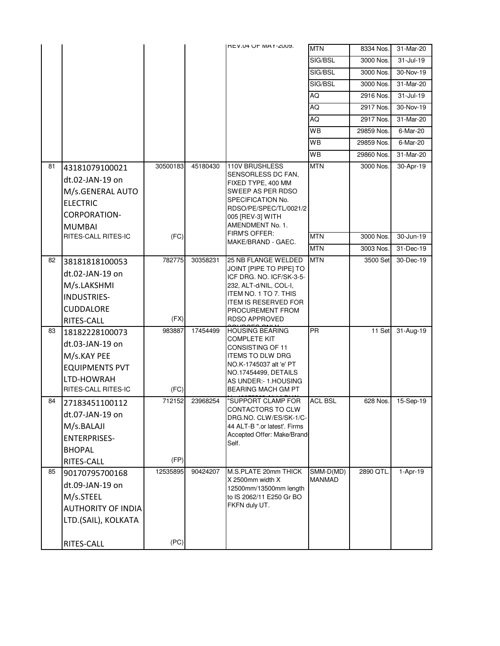|    |                           |          |          | <b>HEV.04 OF MAY-2009.</b>                           | <b>MTN</b>                 | 8334 Nos.  | 31-Mar-20     |
|----|---------------------------|----------|----------|------------------------------------------------------|----------------------------|------------|---------------|
|    |                           |          |          |                                                      | SIG/BSL                    | 3000 Nos.  | $31 -$ Jul-19 |
|    |                           |          |          |                                                      | SIG/BSL                    | 3000 Nos.  | 30-Nov-19     |
|    |                           |          |          |                                                      | SIG/BSL                    | 3000 Nos.  | 31-Mar-20     |
|    |                           |          |          |                                                      | AQ                         | 2916 Nos.  | $31 -$ Jul-19 |
|    |                           |          |          |                                                      | AQ                         | 2917 Nos.  | 30-Nov-19     |
|    |                           |          |          |                                                      | AQ                         | 2917 Nos.  | 31-Mar-20     |
|    |                           |          |          |                                                      | WB                         | 29859 Nos. | $6$ -Mar-20   |
|    |                           |          |          |                                                      | WB                         | 29859 Nos. | 6-Mar-20      |
|    |                           |          |          |                                                      | WB                         | 29860 Nos. | 31-Mar-20     |
| 81 | 43181079100021            | 30500183 | 45180430 | 110V BRUSHLESS                                       | <b>MTN</b>                 | 3000 Nos.  | 30-Apr-19     |
|    | dt.02-JAN-19 on           |          |          | SENSORLESS DC FAN,<br>FIXED TYPE, 400 MM             |                            |            |               |
|    | M/s.GENERAL AUTO          |          |          | SWEEP AS PER RDSO                                    |                            |            |               |
|    | <b>ELECTRIC</b>           |          |          | SPECIFICATION No.                                    |                            |            |               |
|    | <b>CORPORATION-</b>       |          |          | RDSO/PE/SPEC/TL/0021/2<br>005 [REV-3] WITH           |                            |            |               |
|    | <b>MUMBAI</b>             |          |          | AMENDMENT No. 1.                                     |                            |            |               |
|    | RITES-CALL RITES-IC       | (FC)     |          | FIRM'S OFFER:<br>MAKE/BRAND - GAEC.                  | <b>MTN</b>                 | 3000 Nos.  | 30-Jun-19     |
|    |                           |          |          |                                                      | <b>MTN</b>                 | 3003 Nos.  | 31-Dec-19     |
| 82 | 38181818100053            | 782775   | 30358231 | 25 NB FLANGE WELDED                                  | <b>MTN</b>                 | 3500 Set   | 30-Dec-19     |
|    | dt.02-JAN-19 on           |          |          | JOINT [PIPE TO PIPE] TO<br>ICF DRG. NO. ICF/SK-3-5-  |                            |            |               |
|    | M/s.LAKSHMI               |          |          | 232, ALT-d/NIL, COL-I,                               |                            |            |               |
|    | INDUSTRIES-               |          |          | ITEM NO. 1 TO 7. THIS<br><b>ITEM IS RESERVED FOR</b> |                            |            |               |
|    | CUDDALORE                 |          |          | PROCUREMENT FROM                                     |                            |            |               |
|    | RITES-CALL                | (FX)     |          | <b>RDSO APPROVED</b>                                 |                            |            |               |
| 83 | 18182228100073            | 983887   | 17454499 | <b>HOUSING BEARING</b>                               | PR                         | 11 Set     | 31-Aug-19     |
|    | dt.03-JAN-19 on           |          |          | COMPLETE KIT<br>CONSISTING OF 11                     |                            |            |               |
|    | M/s.KAY PEE               |          |          | ITEMS TO DLW DRG                                     |                            |            |               |
|    | <b>EQUIPMENTS PVT</b>     |          |          | NO.K-1745037 alt 'e' PT<br>NO.17454499, DETAILS      |                            |            |               |
|    | LTD-HOWRAH                |          |          | AS UNDER: - 1.HOUSING                                |                            |            |               |
|    | RITES-CALL RITES-IC       | (FC)     |          | BEARING MACH GM PT                                   |                            |            |               |
| 84 | 27183451100112            | 712152   | 23968254 | "SUPPORT CLAMP FOR<br>CONTACTORS TO CLW              | <b>ACL BSL</b>             | 628 Nos.   | 15-Sep-19     |
|    | dt.07-JAN-19 on           |          |          | DRG.NO. CLW/ES/SK-1/C-                               |                            |            |               |
|    | M/s.BALAJI                |          |          | 44 ALT-B ".or latest'. Firms                         |                            |            |               |
|    | <b>ENTERPRISES-</b>       |          |          | Accepted Offer: Make/Brand-<br>Self.                 |                            |            |               |
|    | <b>BHOPAL</b>             |          |          |                                                      |                            |            |               |
|    | RITES-CALL                | (FP)     |          |                                                      |                            |            |               |
| 85 | 90170795700168            | 12535895 | 90424207 | M.S.PLATE 20mm THICK<br>X 2500mm width X             | SMM-D(MD)<br><b>MANMAD</b> | 2890 QTL.  | 1-Apr-19      |
|    | dt.09-JAN-19 on           |          |          | 12500mm/13500mm length                               |                            |            |               |
|    | M/s.STEEL                 |          |          | to IS 2062/11 E250 Gr BO                             |                            |            |               |
|    | <b>AUTHORITY OF INDIA</b> |          |          | FKFN duly UT.                                        |                            |            |               |
|    | LTD.(SAIL), KOLKATA       |          |          |                                                      |                            |            |               |
|    |                           |          |          |                                                      |                            |            |               |
|    | RITES-CALL                | (PC)     |          |                                                      |                            |            |               |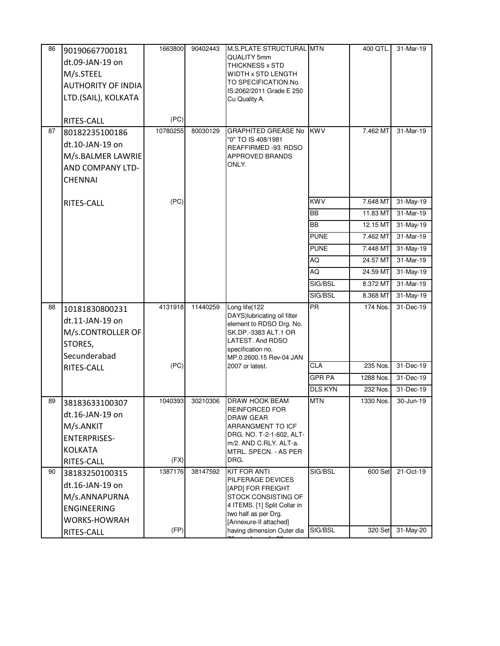| 86 | 90190667700181<br>dt.09-JAN-19 on<br>M/s.STEEL<br><b>AUTHORITY OF INDIA</b><br>LTD.(SAIL), KOLKATA<br>RITES-CALL | 1663800<br>(PC) | 90402443 | M.S.PLATE STRUCTURAL MTN<br>QUALITY 5mm<br>THICKNESS x STD<br>WIDTH x STD LENGTH<br>TO SPECIFICATION.No.<br>IS:2062/2011 Grade E 250<br>Cu Quality A.                         |                | 400 QTL.  | 31-Mar-19 |
|----|------------------------------------------------------------------------------------------------------------------|-----------------|----------|-------------------------------------------------------------------------------------------------------------------------------------------------------------------------------|----------------|-----------|-----------|
| 87 | 80182235100186<br>dt.10-JAN-19 on<br>M/s.BALMER LAWRIE<br>AND COMPANY LTD-<br><b>CHENNAI</b>                     | 10780255        | 80030129 | <b>GRAPHITED GREASE No</b><br>"0" TO IS 408/1981<br>REAFFIRMED -93. RDSO<br><b>APPROVED BRANDS</b><br>ONLY.                                                                   | <b>KWV</b>     | 7.462 MT  | 31-Mar-19 |
|    | RITES-CALL                                                                                                       | (PC)            |          |                                                                                                                                                                               | <b>KWV</b>     | 7.648 MT  | 31-May-19 |
|    |                                                                                                                  |                 |          |                                                                                                                                                                               | <b>BB</b>      | 11.83 MT  | 31-Mar-19 |
|    |                                                                                                                  |                 |          |                                                                                                                                                                               | <b>BB</b>      | 12.15 MT  | 31-May-19 |
|    |                                                                                                                  |                 |          |                                                                                                                                                                               | <b>PUNE</b>    | 7.462 MT  | 31-Mar-19 |
|    |                                                                                                                  |                 |          |                                                                                                                                                                               | <b>PUNE</b>    | 7.448 MT  | 31-May-19 |
|    |                                                                                                                  |                 |          |                                                                                                                                                                               | AQ             | 24.57 MT  | 31-Mar-19 |
|    |                                                                                                                  |                 |          |                                                                                                                                                                               | AQ             | 24.59 MT  | 31-May-19 |
|    |                                                                                                                  |                 |          |                                                                                                                                                                               | SIG/BSL        | 8.372 MT  | 31-Mar-19 |
|    |                                                                                                                  |                 |          |                                                                                                                                                                               | SIG/BSL        | 8.368 MT  | 31-May-19 |
| 88 | 10181830800231<br>dt.11-JAN-19 on<br>M/s.CONTROLLER OF<br>STORES,<br>Secunderabad                                | 4131918         | 11440259 | Long life(122<br>DAYS) lubricating oil filter<br>element to RDSO Drg. No.<br>SK.DP.-3383 ALT.1 OR<br>LATEST. And RDSO<br>specification no.<br>MP.0.2600.15 Rev-04 JAN         | <b>PR</b>      | 174 Nos.  | 31-Dec-19 |
|    | RITES-CALL                                                                                                       | (PC)            |          | 2007 or latest.                                                                                                                                                               | <b>CLA</b>     | 235 Nos.  | 31-Dec-19 |
|    |                                                                                                                  |                 |          |                                                                                                                                                                               | <b>GPR PA</b>  | 1288 Nos. | 31-Dec-19 |
|    |                                                                                                                  |                 |          |                                                                                                                                                                               | <b>DLS KYN</b> | 232 Nos.  | 31-Dec-19 |
| 89 | 38183633100307<br>dt.16-JAN-19 on<br>M/s.ANKIT<br><b>ENTERPRISES-</b><br><b>KOLKATA</b><br>RITES-CALL            | 1040393<br>(FX) | 30210306 | DRAW HOOK BEAM<br>REINFORCED FOR<br>DRAW GEAR<br>ARRANGMENT TO ICF<br>DRG. NO. T-2-1-602, ALT-<br>m/2. AND C.RLY. ALT-a.<br>MTRL. SPECN. - AS PER<br>DRG.                     | <b>MTN</b>     | 1330 Nos. | 30-Jun-19 |
| 90 | 38183250100315                                                                                                   | 1387176         | 38147592 | <b>KIT FOR ANTI</b>                                                                                                                                                           | SIG/BSL        | 600 Set   | 21-Oct-19 |
|    | dt.16-JAN-19 on<br>M/s.ANNAPURNA<br><b>ENGINEERING</b><br><b>WORKS-HOWRAH</b><br>RITES-CALL                      | (FP)            |          | PILFERAGE DEVICES<br>[APD] FOR FREIGHT<br>STOCK CONSISTING OF<br>4 ITEMS. [1] Split Collar in<br>two half as per Drg.<br>[Annexure-II attached]<br>having dimension Outer dia | SIG/BSL        | 320 Set   | 31-May-20 |
|    |                                                                                                                  |                 |          |                                                                                                                                                                               |                |           |           |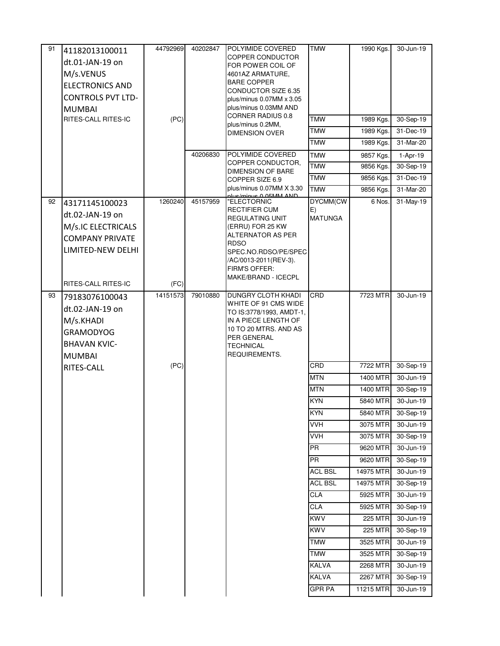| 91 | 41182013100011<br>dt.01-JAN-19 on<br>M/s.VENUS<br><b>ELECTRONICS AND</b><br><b>CONTROLS PVT LTD-</b><br><b>MUMBAI</b><br>RITES-CALL RITES-IC | 44792969<br>(PC) | 40202847<br>40206830 | POLYIMIDE COVERED<br>COPPER CONDUCTOR<br>FOR POWER COIL OF<br>4601AZ ARMATURE,<br><b>BARE COPPER</b><br>CONDUCTOR SIZE 6.35<br>plus/minus $0.07$ MM $\times$ 3.05<br>plus/minus 0.03MM AND<br><b>CORNER RADIUS 0.8</b><br>plus/minus 0.2MM,<br><b>DIMENSION OVER</b><br>POLYIMIDE COVERED<br>COPPER CONDUCTOR,<br><b>DIMENSION OF BARE</b><br>COPPER SIZE 6.9<br>plus/minus 0.07MM X 3.30<br>duc/minus 0.05MM AND | <b>TMW</b><br><b>TMW</b><br>TMW<br><b>TMW</b><br><b>TMW</b><br><b>TMW</b><br><b>TMW</b><br><b>TMW</b> | 1990 Kgs.<br>1989 Kgs.<br>1989 Kgs.<br>1989 Kgs.<br>9857 Kgs.<br>9856 Kgs.<br>9856 Kgs.<br>9856 Kgs. | 30-Jun-19<br>30-Sep-19<br>31-Dec-19<br>31-Mar-20<br>1-Apr-19<br>30-Sep-19<br>31-Dec-19<br>31-Mar-20 |
|----|----------------------------------------------------------------------------------------------------------------------------------------------|------------------|----------------------|-------------------------------------------------------------------------------------------------------------------------------------------------------------------------------------------------------------------------------------------------------------------------------------------------------------------------------------------------------------------------------------------------------------------|-------------------------------------------------------------------------------------------------------|------------------------------------------------------------------------------------------------------|-----------------------------------------------------------------------------------------------------|
| 92 | 43171145100023<br>dt.02-JAN-19 on<br>M/s.IC ELECTRICALS<br><b>COMPANY PRIVATE</b>                                                            | 1260240          | 45157959             | "ELECTORNIC<br>RECTIFIER CUM<br><b>REGULATING UNIT</b><br>(ERRU) FOR 25 KW<br>ALTERNATOR AS PER                                                                                                                                                                                                                                                                                                                   | DYCMM(CW<br>E)<br><b>MATUNGA</b>                                                                      | 6 Nos.                                                                                               | 31-May-19                                                                                           |
|    | LIMITED-NEW DELHI<br>RITES-CALL RITES-IC                                                                                                     | (FC)             |                      | <b>RDSO</b><br>SPEC.NO.RDSO/PE/SPEC<br>/AC/0013-2011(REV-3).<br>FIRM'S OFFER:<br>MAKE/BRAND - ICECPL                                                                                                                                                                                                                                                                                                              |                                                                                                       |                                                                                                      |                                                                                                     |
| 93 | 79183076100043<br>dt.02-JAN-19 on<br>M/s.KHADI<br><b>GRAMODYOG</b><br><b>BHAVAN KVIC-</b><br><b>MUMBAI</b>                                   | 14151573         | 79010880             | <b>DUNGRY CLOTH KHADI</b><br>WHITE OF 91 CMS WIDE<br>TO IS:3778/1993, AMDT-1,<br>IN A PIECE LENGTH OF<br>10 TO 20 MTRS. AND AS<br>PER GENERAL<br><b>TECHNICAL</b><br>REQUIREMENTS.                                                                                                                                                                                                                                | CRD                                                                                                   | 7723 MTR                                                                                             | 30-Jun-19                                                                                           |
|    | RITES-CALL                                                                                                                                   | (PC)             |                      |                                                                                                                                                                                                                                                                                                                                                                                                                   | CRD                                                                                                   | 7722 MTR                                                                                             | 30-Sep-19                                                                                           |
|    |                                                                                                                                              |                  |                      |                                                                                                                                                                                                                                                                                                                                                                                                                   | <b>MTN</b>                                                                                            | 1400 MTR                                                                                             | 30-Jun-19                                                                                           |
|    |                                                                                                                                              |                  |                      |                                                                                                                                                                                                                                                                                                                                                                                                                   | <b>MTN</b>                                                                                            | 1400 MTR                                                                                             | 30-Sep-19                                                                                           |
|    |                                                                                                                                              |                  |                      |                                                                                                                                                                                                                                                                                                                                                                                                                   | <b>KYN</b>                                                                                            | 5840 MTR                                                                                             | 30-Jun-19                                                                                           |
|    |                                                                                                                                              |                  |                      |                                                                                                                                                                                                                                                                                                                                                                                                                   | <b>KYN</b>                                                                                            | 5840 MTR                                                                                             | 30-Sep-19                                                                                           |
|    |                                                                                                                                              |                  |                      |                                                                                                                                                                                                                                                                                                                                                                                                                   | <b>VVH</b>                                                                                            | 3075 MTR                                                                                             | 30-Jun-19                                                                                           |
|    |                                                                                                                                              |                  |                      |                                                                                                                                                                                                                                                                                                                                                                                                                   | <b>VVH</b>                                                                                            | 3075 MTR                                                                                             | 30-Sep-19                                                                                           |
|    |                                                                                                                                              |                  |                      |                                                                                                                                                                                                                                                                                                                                                                                                                   | PR                                                                                                    | 9620 MTR                                                                                             | 30-Jun-19                                                                                           |
|    |                                                                                                                                              |                  |                      |                                                                                                                                                                                                                                                                                                                                                                                                                   | <b>PR</b>                                                                                             | 9620 MTR                                                                                             | 30-Sep-19                                                                                           |
|    |                                                                                                                                              |                  |                      |                                                                                                                                                                                                                                                                                                                                                                                                                   | <b>ACL BSL</b>                                                                                        | 14975 MTR                                                                                            | 30-Jun-19                                                                                           |
|    |                                                                                                                                              |                  |                      |                                                                                                                                                                                                                                                                                                                                                                                                                   | <b>ACL BSL</b>                                                                                        | 14975 MTR                                                                                            | 30-Sep-19                                                                                           |
|    |                                                                                                                                              |                  |                      |                                                                                                                                                                                                                                                                                                                                                                                                                   | <b>CLA</b>                                                                                            | 5925 MTR                                                                                             | 30-Jun-19                                                                                           |
|    |                                                                                                                                              |                  |                      |                                                                                                                                                                                                                                                                                                                                                                                                                   | <b>CLA</b>                                                                                            | 5925 MTR                                                                                             | 30-Sep-19                                                                                           |
|    |                                                                                                                                              |                  |                      |                                                                                                                                                                                                                                                                                                                                                                                                                   | <b>KWV</b>                                                                                            | 225 MTR                                                                                              | 30-Jun-19                                                                                           |
|    |                                                                                                                                              |                  |                      |                                                                                                                                                                                                                                                                                                                                                                                                                   | <b>KWV</b>                                                                                            | 225 MTR                                                                                              | 30-Sep-19                                                                                           |
|    |                                                                                                                                              |                  |                      |                                                                                                                                                                                                                                                                                                                                                                                                                   | <b>TMW</b>                                                                                            | 3525 MTR                                                                                             | 30-Jun-19                                                                                           |
|    |                                                                                                                                              |                  |                      |                                                                                                                                                                                                                                                                                                                                                                                                                   | <b>TMW</b>                                                                                            | 3525 MTR                                                                                             | 30-Sep-19                                                                                           |
|    |                                                                                                                                              |                  |                      |                                                                                                                                                                                                                                                                                                                                                                                                                   | <b>KALVA</b>                                                                                          | 2268 MTR                                                                                             | 30-Jun-19                                                                                           |
|    |                                                                                                                                              |                  |                      |                                                                                                                                                                                                                                                                                                                                                                                                                   | KALVA                                                                                                 | 2267 MTR                                                                                             | 30-Sep-19                                                                                           |
|    |                                                                                                                                              |                  |                      |                                                                                                                                                                                                                                                                                                                                                                                                                   | <b>GPR PA</b>                                                                                         | 11215 MTR                                                                                            | 30-Jun-19                                                                                           |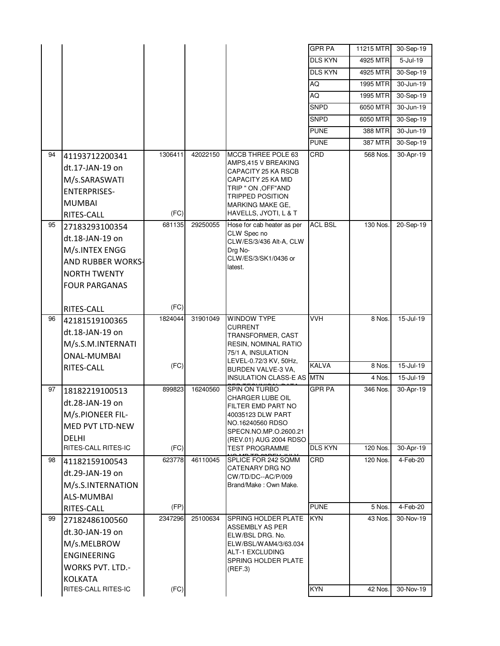|    |                                       |         |          |                                              | <b>GPR PA</b>  | 11215 MTR | 30-Sep-19       |
|----|---------------------------------------|---------|----------|----------------------------------------------|----------------|-----------|-----------------|
|    |                                       |         |          |                                              | <b>DLS KYN</b> | 4925 MTR  | $5 -$ Jul $-19$ |
|    |                                       |         |          |                                              | <b>DLS KYN</b> | 4925 MTR  | 30-Sep-19       |
|    |                                       |         |          |                                              | AQ             | 1995 MTR  | 30-Jun-19       |
|    |                                       |         |          |                                              | AQ             | 1995 MTR  | 30-Sep-19       |
|    |                                       |         |          |                                              | <b>SNPD</b>    | 6050 MTR  | 30-Jun-19       |
|    |                                       |         |          |                                              | SNPD           | 6050 MTR  | 30-Sep-19       |
|    |                                       |         |          |                                              | <b>PUNE</b>    | 388 MTR   | 30-Jun-19       |
|    |                                       |         |          |                                              | <b>PUNE</b>    | 387 MTR   | 30-Sep-19       |
| 94 | 41193712200341                        | 1306411 | 42022150 | MCCB THREE POLE 63                           | CRD            | 568 Nos.  | 30-Apr-19       |
|    | dt.17-JAN-19 on                       |         |          | AMPS,415 V BREAKING<br>CAPACITY 25 KA RSCB   |                |           |                 |
|    | M/s.SARASWATI                         |         |          | CAPACITY 25 KA MID                           |                |           |                 |
|    | <b>ENTERPRISES-</b>                   |         |          | TRIP " ON , OFF"AND                          |                |           |                 |
|    | <b>MUMBAI</b>                         |         |          | TRIPPED POSITION<br>MARKING MAKE GE,         |                |           |                 |
|    | <b>RITES-CALL</b>                     | (FC)    |          | HAVELLS, JYOTI, L & T                        |                |           |                 |
| 95 | 27183293100354                        | 681135  | 29250055 | Hose for cab heater as per                   | <b>ACL BSL</b> | 130 Nos.  | 20-Sep-19       |
|    | dt.18-JAN-19 on                       |         |          | CLW Spec no<br>CLW/ES/3/436 Alt-A, CLW       |                |           |                 |
|    | M/s.INTEX ENGG                        |         |          | Drg No-                                      |                |           |                 |
|    | <b>AND RUBBER WORKS-</b>              |         |          | CLW/ES/3/SK1/0436 or                         |                |           |                 |
|    | <b>NORTH TWENTY</b>                   |         |          | latest.                                      |                |           |                 |
|    | <b>FOUR PARGANAS</b>                  |         |          |                                              |                |           |                 |
|    |                                       |         |          |                                              |                |           |                 |
|    | RITES-CALL                            | (FC)    |          |                                              |                |           |                 |
| 96 | 42181519100365                        | 1824044 | 31901049 | <b>WINDOW TYPE</b><br><b>CURRENT</b>         | <b>VVH</b>     | 8 Nos.    | 15-Jul-19       |
|    | dt.18-JAN-19 on                       |         |          | TRANSFORMER, CAST                            |                |           |                 |
|    | M/s.S.M.INTERNATI                     |         |          | RESIN, NOMINAL RATIO                         |                |           |                 |
|    | <b>ONAL-MUMBAI</b>                    |         |          | 75/1 A, INSULATION<br>LEVEL-0.72/3 KV, 50Hz, |                |           |                 |
|    | RITES-CALL                            | (FC)    |          | BURDEN VALVE-3 VA,                           | <b>KALVA</b>   | 8 Nos.    | 15-Jul-19       |
|    |                                       |         |          | <b>INSULATION CLASS-E AS MTN</b>             |                | 4 Nos.    | 15-Jul-19       |
| 97 | 18182219100513                        | 899823  | 16240560 | SPIN ON TURBO<br>CHARGER LUBE OIL            | <b>GPR PA</b>  | 346 Nos.  | 30-Apr-19       |
|    | dt.28-JAN-19 on                       |         |          | FILTER EMD PART NO                           |                |           |                 |
|    | M/s.PIONEER FIL-                      |         |          | 40035123 DLW PART                            |                |           |                 |
|    | MED PVT LTD-NEW                       |         |          | NO.16240560 RDSO<br>SPECN.NO.MP.O.2600.21    |                |           |                 |
|    | <b>DELHI</b>                          |         |          | (REV.01) AUG 2004 RDSO                       |                |           |                 |
|    | <b>RITES-CALL RITES-IC</b>            | (FC)    |          | <b>TEST PROGRAMME</b>                        | <b>DLS KYN</b> | 120 Nos.  | 30-Apr-19       |
| 98 | 41182159100543                        | 623778  | 46110045 | SPLICE FOR 242 SQMM<br>CATENARY DRG NO       | CRD            | 120 Nos.  | 4-Feb-20        |
|    | dt.29-JAN-19 on                       |         |          | CW/TD/DC--AC/P/009                           |                |           |                 |
|    | M/s.S.INTERNATION                     |         |          | Brand/Make: Own Make.                        |                |           |                 |
|    | ALS-MUMBAI                            |         |          |                                              |                |           |                 |
|    | RITES-CALL                            | (FP)    |          |                                              | <b>PUNE</b>    | 5 Nos.    | 4-Feb-20        |
| 99 | 27182486100560                        | 2347296 | 25100634 | SPRING HOLDER PLATE<br>ASSEMBLY AS PER       | <b>KYN</b>     | 43 Nos.   | 30-Nov-19       |
|    | dt.30-JAN-19 on                       |         |          | ELW/BSL DRG. No.                             |                |           |                 |
|    | M/s.MELBROW                           |         |          | ELW/BSL/WAM4/3/63.034                        |                |           |                 |
|    | <b>ENGINEERING</b>                    |         |          | ALT-1 EXCLUDING<br>SPRING HOLDER PLATE       |                |           |                 |
|    | <b>WORKS PVT. LTD.-</b>               |         |          | (REF.3)                                      |                |           |                 |
|    |                                       |         |          |                                              |                |           |                 |
|    | <b>KOLKATA</b><br>RITES-CALL RITES-IC | (FC)    |          |                                              | <b>KYN</b>     | 42 Nos.   | 30-Nov-19       |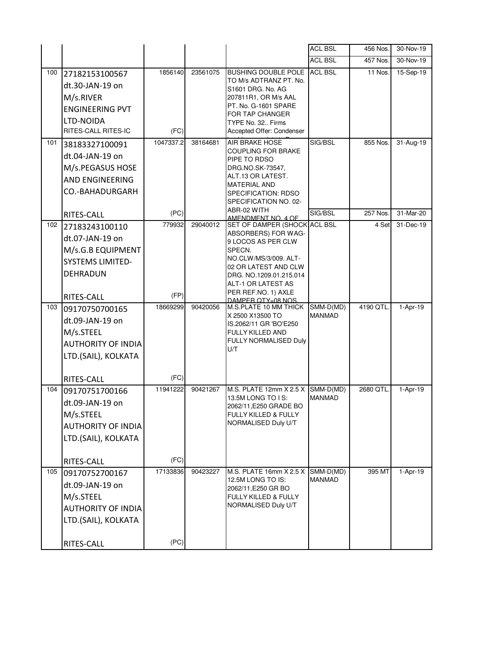|     |                           |                |          |                                                     | <b>ACL BSL</b> | 456 Nos.  | 30-Nov-19 |
|-----|---------------------------|----------------|----------|-----------------------------------------------------|----------------|-----------|-----------|
|     |                           |                |          |                                                     | <b>ACL BSL</b> | 457 Nos.  | 30-Nov-19 |
| 100 | 27182153100567            | 1856140        | 23561075 | BUSHING DOUBLE POLE ACL BSL                         |                | 11 Nos.   | 15-Sep-19 |
|     | dt.30-JAN-19 on           |                |          | TO M/s ADTRANZ PT. No.<br>S1601 DRG, No. AG         |                |           |           |
|     | M/s.RIVER                 |                |          | 207811R1, OR M/s AAL                                |                |           |           |
|     | <b>ENGINEERING PVT</b>    |                |          | PT. No. G-1601 SPARE                                |                |           |           |
|     | LTD-NOIDA                 |                |          | FOR TAP CHANGER<br>TYPE No. 32 Firms                |                |           |           |
|     | RITES-CALL RITES-IC       | (FC)           |          | Accepted Offer: Condenser                           |                |           |           |
| 101 | 38183327100091            | 1047337.2      | 38164681 | AIR BRAKE HOSE                                      | SIG/BSL        | 855 Nos.  | 31-Aug-19 |
|     | dt.04-JAN-19 on           |                |          | <b>COUPLING FOR BRAKE</b>                           |                |           |           |
|     | M/s.PEGASUS HOSE          |                |          | PIPE TO RDSO<br>DRG.NO.SK-73547,                    |                |           |           |
|     | AND ENGINEERING           |                |          | ALT.13 OR LATEST.                                   |                |           |           |
|     |                           |                |          | <b>MATERIAL AND</b>                                 |                |           |           |
|     | CO.-BAHADURGARH           |                |          | SPECIFICATION: RDSO<br>SPECIFICATION NO. 02-        |                |           |           |
|     |                           |                |          | ABR-02 WITH                                         | SIG/BSL        | 257 Nos.  | 31-Mar-20 |
|     | RITES-CALL                | (PC)<br>779932 |          | AMENDMENT NO. 4 OF                                  |                |           |           |
| 102 | 27183243100110            |                | 29040012 | SET OF DAMPER (SHOCK ACL BSL<br>ABSORBERS) FOR WAG- |                | 4 Set     | 31-Dec-19 |
|     | dt.07-JAN-19 on           |                |          | 9 LOCOS AS PER CLW                                  |                |           |           |
|     | M/s.G.B EQUIPMENT         |                |          | SPECN.                                              |                |           |           |
|     | <b>SYSTEMS LIMITED-</b>   |                |          | NO.CLW/MS/3/009. ALT-<br>02 OR LATEST AND CLW       |                |           |           |
|     | DEHRADUN                  |                |          | DRG. NO.1209.01.215.014                             |                |           |           |
|     |                           |                |          | ALT-1 OR LATEST AS                                  |                |           |           |
|     | RITES-CALL                | (FP)           |          | PER REF.NO. 1) AXLE<br>DAMPER OTY=08 NOS.           |                |           |           |
| 103 | 09170750700165            | 18669299       | 90420056 | M.S.PLATE 10 MM THICK                               | SMM-D(MD)      | 4190 QTL  | 1-Apr-19  |
|     | dt.09-JAN-19 on           |                |          | X 2500 X13500 TO<br>IS.2062/11 GR 'BO'E250          | <b>MANMAD</b>  |           |           |
|     | M/s.STEEL                 |                |          | FULLY KILLED AND                                    |                |           |           |
|     | <b>AUTHORITY OF INDIA</b> |                |          | FULLY NORMALISED Duly                               |                |           |           |
|     | LTD.(SAIL), KOLKATA       |                |          | U/T                                                 |                |           |           |
|     |                           |                |          |                                                     |                |           |           |
|     | RITES-CALL                | (FC)           |          |                                                     |                |           |           |
| 104 | 09170751700166            | 11941222       | 90421267 | M.S. PLATE 12mm $X 2.5 X$ SMM-D(MD)                 |                | 2680 QTL. | 1-Apr-19  |
|     | dt.09-JAN-19 on           |                |          | 13.5M LONG TO IS:<br>2062/11, E250 GRADE BO         | <b>MANMAD</b>  |           |           |
|     | M/s.STEEL                 |                |          | FULLY KILLED & FULLY                                |                |           |           |
|     | <b>AUTHORITY OF INDIA</b> |                |          | NORMALISED Duly U/T                                 |                |           |           |
|     | LTD.(SAIL), KOLKATA       |                |          |                                                     |                |           |           |
|     |                           |                |          |                                                     |                |           |           |
|     | RITES-CALL                | (FC)           |          |                                                     |                |           |           |
| 105 | 09170752700167            | 17133836       | 90423227 | M.S. PLATE 16mm X 2.5 X                             | SMM-D(MD)      | 395 MT    | 1-Apr-19  |
|     | dt.09-JAN-19 on           |                |          | 12.5M LONG TO IS:<br>2062/11, E250 GR BO            | <b>MANMAD</b>  |           |           |
|     | M/s.STEEL                 |                |          | FULLY KILLED & FULLY                                |                |           |           |
|     | <b>AUTHORITY OF INDIA</b> |                |          | NORMALISED Duly U/T                                 |                |           |           |
|     | LTD.(SAIL), KOLKATA       |                |          |                                                     |                |           |           |
|     |                           |                |          |                                                     |                |           |           |
|     | RITES-CALL                | (PC)           |          |                                                     |                |           |           |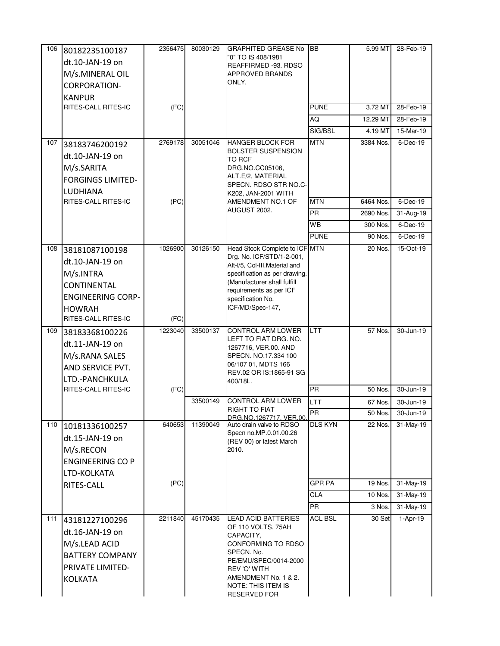| 106 | 80182235100187                  | 2356475 | 80030129 | <b>GRAPHITED GREASE No</b>                                   | <b>IBB</b>     | 5.99 MT   | 28-Feb-19               |
|-----|---------------------------------|---------|----------|--------------------------------------------------------------|----------------|-----------|-------------------------|
|     | dt.10-JAN-19 on                 |         |          | "0" TO IS 408/1981                                           |                |           |                         |
|     | M/s.MINERAL OIL                 |         |          | REAFFIRMED -93. RDSO<br><b>APPROVED BRANDS</b>               |                |           |                         |
|     | <b>CORPORATION-</b>             |         |          | ONLY.                                                        |                |           |                         |
|     | <b>KANPUR</b>                   |         |          |                                                              |                |           |                         |
|     | RITES-CALL RITES-IC             | (FC)    |          |                                                              | <b>PUNE</b>    | 3.72 MT   | 28-Feb-19               |
|     |                                 |         |          |                                                              | AQ             | 12.29 MT  | 28-Feb-19               |
|     |                                 |         |          |                                                              | SIG/BSL        | 4.19 MT   | 15-Mar-19               |
| 107 | 38183746200192                  | 2769178 | 30051046 | <b>HANGER BLOCK FOR</b>                                      | <b>MTN</b>     | 3384 Nos. | 6-Dec-19                |
|     | dt.10-JAN-19 on                 |         |          | <b>BOLSTER SUSPENSION</b>                                    |                |           |                         |
|     | M/s.SARITA                      |         |          | TO RCF<br>DRG.NO.CC05106,                                    |                |           |                         |
|     | <b>FORGINGS LIMITED-</b>        |         |          | ALT.E/2, MATERIAL                                            |                |           |                         |
|     |                                 |         |          | SPECN. RDSO STR NO.C-                                        |                |           |                         |
|     | LUDHIANA<br>RITES-CALL RITES-IC | (PC)    |          | K202, JAN-2001 WITH<br>AMENDMENT NO.1 OF                     | <b>MTN</b>     | 6464 Nos. | 6-Dec-19                |
|     |                                 |         |          | AUGUST 2002.                                                 | PR             | 2690 Nos. | $\overline{3}$ 1-Aug-19 |
|     |                                 |         |          |                                                              | <b>WB</b>      | 300 Nos.  | 6-Dec-19                |
|     |                                 |         |          |                                                              | <b>PUNE</b>    | 90 Nos.   | 6-Dec-19                |
| 108 |                                 | 1026900 | 30126150 | Head Stock Complete to ICF MTN                               |                | 20 Nos.   | 15-Oct-19               |
|     | 38181087100198                  |         |          | Drg. No. ICF/STD/1-2-001,                                    |                |           |                         |
|     | dt.10-JAN-19 on                 |         |          | Alt-I/5, Col-III. Material and                               |                |           |                         |
|     | M/s.INTRA                       |         |          | specification as per drawing.<br>(Manufacturer shall fulfill |                |           |                         |
|     | <b>CONTINENTAL</b>              |         |          | requirements as per ICF                                      |                |           |                         |
|     | <b>ENGINEERING CORP-</b>        |         |          | specification No.                                            |                |           |                         |
|     | <b>HOWRAH</b>                   |         |          | ICF/MD/Spec-147,                                             |                |           |                         |
|     | RITES-CALL RITES-IC             | (FC)    |          |                                                              |                |           |                         |
| 109 | 38183368100226                  | 1223040 | 33500137 | CONTROL ARM LOWER<br>LEFT TO FIAT DRG. NO.                   | LTT            | 57 Nos.   | 30-Jun-19               |
|     | dt.11-JAN-19 on                 |         |          | 1267716, VER.00. AND                                         |                |           |                         |
|     | M/s.RANA SALES                  |         |          | SPECN. NO.17.334 100                                         |                |           |                         |
|     | AND SERVICE PVT.                |         |          | 06/107 01, MDTS 166<br>REV.02 OR IS:1865-91 SG               |                |           |                         |
|     | LTD.-PANCHKULA                  |         |          | 400/18L.                                                     |                |           |                         |
|     | RITES-CALL RITES-IC             | (FC)    |          |                                                              | <b>PR</b>      | 50 Nos.   | 30-Jun-19               |
|     |                                 |         | 33500149 | <b>CONTROL ARM LOWER</b><br>RIGHT TO FIAT                    | LTT            | 67 Nos    | 30-Jun-19               |
|     |                                 |         |          | DRG.NO.1267717. VER.00.                                      | PR             | 50 Nos.   | $30 - Jun-19$           |
| 110 | 10181336100257                  | 640653  | 11390049 | Auto drain valve to RDSO<br>Specn no.MP.0.01.00.26           | <b>DLS KYN</b> | 22 Nos.   | 31-May-19               |
|     | dt.15-JAN-19 on                 |         |          | (REV 00) or latest March                                     |                |           |                         |
|     | M/s.RECON                       |         |          | 2010.                                                        |                |           |                         |
|     | <b>ENGINEERING CO P</b>         |         |          |                                                              |                |           |                         |
|     | LTD-KOLKATA                     |         |          |                                                              |                |           |                         |
|     | RITES-CALL                      | (PC)    |          |                                                              | <b>GPR PA</b>  | 19 Nos.   | 31-May-19               |
|     |                                 |         |          |                                                              | <b>CLA</b>     | 10 Nos.   | 31-May-19               |
|     |                                 |         |          |                                                              | <b>PR</b>      | 3 Nos.    | $\overline{31}$ -May-19 |
| 111 | 43181227100296                  | 2211840 | 45170435 | LEAD ACID BATTERIES                                          | <b>ACL BSL</b> | 30 Set    | $1-Apr-19$              |
|     | dt.16-JAN-19 on                 |         |          | OF 110 VOLTS, 75AH<br>CAPACITY,                              |                |           |                         |
|     | M/s.LEAD ACID                   |         |          | CONFORMING TO RDSO                                           |                |           |                         |
|     | <b>BATTERY COMPANY</b>          |         |          | SPECN. No.                                                   |                |           |                         |
|     | PRIVATE LIMITED-                |         |          | PE/EMU/SPEC/0014-2000<br><b>REV 'O' WITH</b>                 |                |           |                         |
|     | <b>KOLKATA</b>                  |         |          | AMENDMENT No. 1 & 2.                                         |                |           |                         |
|     |                                 |         |          | <b>NOTE: THIS ITEM IS</b><br><b>RESERVED FOR</b>             |                |           |                         |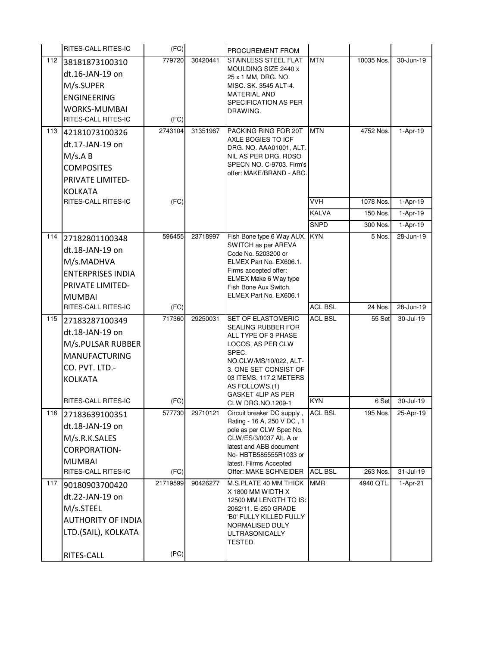|     | RITES-CALL RITES-IC                                                                                                | (FC)             |          | PROCUREMENT FROM                                                                                                                                                                                                          |                              |                       |                         |
|-----|--------------------------------------------------------------------------------------------------------------------|------------------|----------|---------------------------------------------------------------------------------------------------------------------------------------------------------------------------------------------------------------------------|------------------------------|-----------------------|-------------------------|
| 112 | 38181873100310<br>dt.16-JAN-19 on<br>M/s.SUPER<br><b>ENGINEERING</b><br>WORKS-MUMBAI<br>RITES-CALL RITES-IC        | 779720<br>(FC)   | 30420441 | <b>STAINLESS STEEL FLAT</b><br>MOULDING SIZE 2440 x<br>25 x 1 MM, DRG. NO.<br>MISC. SK. 3545 ALT-4.<br><b>MATERIAL AND</b><br>SPECIFICATION AS PER<br>DRAWING.                                                            | <b>MTN</b>                   | 10035 Nos.            | 30-Jun-19               |
| 113 | 42181073100326<br>dt.17-JAN-19 on<br>M/s.A B<br><b>COMPOSITES</b><br>PRIVATE LIMITED-<br><b>KOLKATA</b>            | 2743104          | 31351967 | PACKING RING FOR 20T<br>AXLE BOGIES TO ICF<br>DRG. NO. AAA01001, ALT.<br>NIL AS PER DRG. RDSO<br>SPECN NO. C-9703. Firm's<br>offer: MAKE/BRAND - ABC.                                                                     | <b>MTN</b>                   | 4752 Nos.             | 1-Apr-19                |
|     | RITES-CALL RITES-IC                                                                                                | (FC)             |          |                                                                                                                                                                                                                           | <b>VVH</b>                   | 1078 Nos.             | $1-Apr-19$              |
|     |                                                                                                                    |                  |          |                                                                                                                                                                                                                           | <b>KALVA</b>                 | 150 Nos.              | 1-Apr-19                |
| 114 | 27182801100348<br>dt.18-JAN-19 on<br>M/s.MADHVA<br><b>ENTERPRISES INDIA</b><br>PRIVATE LIMITED-<br><b>MUMBAI</b>   | 596455           | 23718997 | Fish Bone type 6 Way AUX.<br>SWITCH as per AREVA<br>Code No. 5203200 or<br>ELMEX Part No. EX606.1.<br>Firms accepted offer:<br>ELMEX Make 6 Way type<br>Fish Bone Aux Switch.<br>ELMEX Part No. EX606.1                   | <b>SNPD</b><br><b>KYN</b>    | 300 Nos.<br>5 Nos.    | $1-Apr-19$<br>28-Jun-19 |
|     | <b>RITES-CALL RITES-IC</b>                                                                                         | (FC)             |          |                                                                                                                                                                                                                           | <b>ACL BSL</b>               | 24 Nos.               | 28-Jun-19               |
| 115 | 27183287100349<br>dt.18-JAN-19 on<br>M/s.PULSAR RUBBER<br><b>MANUFACTURING</b><br>CO. PVT. LTD.-<br><b>KOLKATA</b> | 717360           | 29250031 | SET OF ELASTOMERIC<br>SEALING RUBBER FOR<br>ALL TYPE OF 3 PHASE<br>LOCOS, AS PER CLW<br>SPEC.<br>NO.CLW/MS/10/022, ALT-<br>3. ONE SET CONSIST OF<br>03 ITEMS, 117.2 METERS<br>AS FOLLOWS.(1)<br><b>GASKET 4LIP AS PER</b> | <b>ACL BSL</b>               | 55 Set                | 30-Jul-19               |
|     | RITES-CALL RITES-IC                                                                                                | (FC)             |          | <b>CLW DRG.NO.1209-1</b>                                                                                                                                                                                                  | <b>KYN</b>                   | 6 Set                 | 30-Jul-19               |
| 116 | 27183639100351<br>dt.18-JAN-19 on                                                                                  | 577730           | 29710121 | Circuit breaker DC supply,<br>Rating - 16 A, 250 V DC, 1<br>pole as per CLW Spec No.                                                                                                                                      | <b>ACL BSL</b>               | 195 Nos.              | 25-Apr-19               |
|     | M/s.R.K.SALES<br>CORPORATION-<br><b>MUMBAI</b>                                                                     |                  |          | CLW/ES/3/0037 Alt. A or<br>latest and ABB document<br>No- HBTB585555R1033 or<br>latest. Fiirms Accepted                                                                                                                   |                              |                       |                         |
| 117 | RITES-CALL RITES-IC<br>90180903700420                                                                              | (FC)<br>21719599 | 90426277 | Offer: MAKE SCHNEIDER<br>M.S.PLATE 40 MM THICK                                                                                                                                                                            | <b>ACL BSL</b><br><b>MMR</b> | 263 Nos.<br>4940 QTL. | 31-Jul-19<br>1-Apr-21   |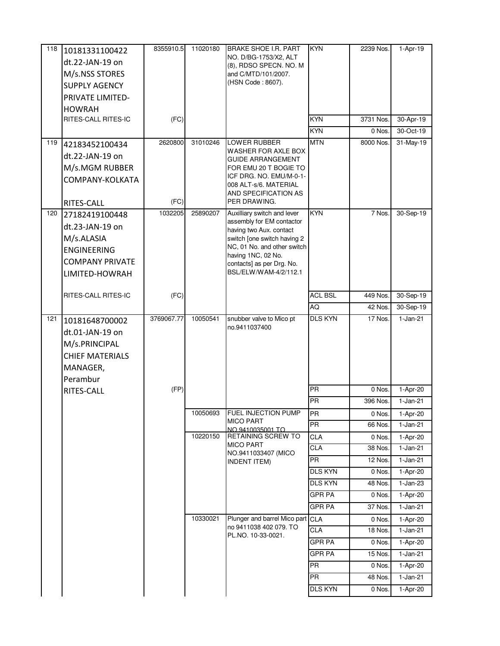| 118 | 10181331100422             | 8355910.5  | 11020180 | <b>BRAKE SHOE I.R. PART</b>                            | <b>KYN</b>      | 2239 Nos.           | 1-Apr-19               |
|-----|----------------------------|------------|----------|--------------------------------------------------------|-----------------|---------------------|------------------------|
|     | dt.22-JAN-19 on            |            |          | NO. D/BG-1753/X2, ALT<br>(8), RDSO SPECN. NO. M        |                 |                     |                        |
|     | M/s.NSS STORES             |            |          | and C/MTD/101/2007.                                    |                 |                     |                        |
|     | <b>SUPPLY AGENCY</b>       |            |          | (HSN Code: 8607).                                      |                 |                     |                        |
|     | <b>PRIVATE LIMITED-</b>    |            |          |                                                        |                 |                     |                        |
|     | <b>HOWRAH</b>              |            |          |                                                        |                 |                     |                        |
|     | RITES-CALL RITES-IC        | (FC)       |          |                                                        | <b>KYN</b>      | 3731 Nos.           | 30-Apr-19              |
|     |                            |            |          |                                                        | <b>KYN</b>      | 0 Nos.              | 30-Oct-19              |
| 119 | 42183452100434             | 2620800    | 31010246 | LOWER RUBBER                                           | <b>MTN</b>      | 8000 Nos.           | 31-May-19              |
|     | dt.22-JAN-19 on            |            |          | WASHER FOR AXLE BOX                                    |                 |                     |                        |
|     | M/s.MGM RUBBER             |            |          | <b>GUIDE ARRANGEMENT</b><br>FOR EMU 20 T BOGIE TO      |                 |                     |                        |
|     | COMPANY-KOLKATA            |            |          | ICF DRG. NO. EMU/M-0-1-                                |                 |                     |                        |
|     |                            |            |          | 008 ALT-s/6. MATERIAL                                  |                 |                     |                        |
|     | RITES-CALL                 | (FC)       |          | AND SPECIFICATION AS<br>PER DRAWING.                   |                 |                     |                        |
| 120 | 27182419100448             | 1032205    | 25890207 | Auxilliary switch and lever                            | KYN             | $\overline{7}$ Nos. | 30-Sep-19              |
|     | dt.23-JAN-19 on            |            |          | assembly for EM contactor                              |                 |                     |                        |
|     | M/s.ALASIA                 |            |          | having two Aux. contact<br>switch [one switch having 2 |                 |                     |                        |
|     | <b>ENGINEERING</b>         |            |          | NC, 01 No. and other switch                            |                 |                     |                        |
|     |                            |            |          | having 1NC, 02 No.                                     |                 |                     |                        |
|     | <b>COMPANY PRIVATE</b>     |            |          | contacts] as per Drg. No.<br>BSL/ELW/WAM-4/2/112.1     |                 |                     |                        |
|     | LIMITED-HOWRAH             |            |          |                                                        |                 |                     |                        |
|     | <b>RITES-CALL RITES-IC</b> | (FC)       |          |                                                        | <b>ACL BSL</b>  | 449 Nos.            | 30-Sep-19              |
|     |                            |            |          |                                                        | AQ              | 42 Nos.             | 30-Sep-19              |
| 121 |                            | 3769067.77 | 10050541 | snubber valve to Mico pt                               | <b>DLS KYN</b>  | 17 Nos.             | $1-Jan-21$             |
|     | 10181648700002             |            |          | no.9411037400                                          |                 |                     |                        |
|     | dt.01-JAN-19 on            |            |          |                                                        |                 |                     |                        |
|     | M/s.PRINCIPAL              |            |          |                                                        |                 |                     |                        |
|     | <b>CHIEF MATERIALS</b>     |            |          |                                                        |                 |                     |                        |
|     | MANAGER,                   |            |          |                                                        |                 |                     |                        |
|     | Perambur                   |            |          |                                                        | <b>PR</b>       |                     |                        |
|     | RITES-CALL                 | (FP)       |          |                                                        | <b>PR</b>       | 0 Nos.<br>396 Nos.  | 1-Apr-20<br>$1-Jan-21$ |
|     |                            |            | 10050693 | FUEL INJECTION PUMP                                    |                 |                     |                        |
|     |                            |            |          | <b>MICO PART</b>                                       | PR<br><b>PR</b> | 0 Nos.<br>66 Nos.   | 1-Apr-20<br>$1-Jan-21$ |
|     |                            |            | 10220150 | NO.9410035001 TO<br>RETAINING SCREW TO                 | CLA             | 0 Nos.              |                        |
|     |                            |            |          | <b>MICO PART</b>                                       | <b>CLA</b>      | 38 Nos.             | 1-Apr-20<br>$1-Jan-21$ |
|     |                            |            |          | NO.9411033407 (MICO                                    | <b>PR</b>       | 12 Nos.             | $1-Jan-21$             |
|     |                            |            |          | <b>INDENT ITEM)</b>                                    | <b>DLS KYN</b>  | 0 Nos.              | 1-Apr-20               |
|     |                            |            |          |                                                        | <b>DLS KYN</b>  | 48 Nos.             | $1-Jan-23$             |
|     |                            |            |          |                                                        | <b>GPR PA</b>   | 0 Nos.              | 1-Apr-20               |
|     |                            |            |          |                                                        | <b>GPR PA</b>   | 37 Nos.             | $1-Jan-21$             |
|     |                            |            | 10330021 | Plunger and barrel Mico part CLA                       |                 | 0 Nos.              | 1-Apr-20               |
|     |                            |            |          | no 9411038 402 079. TO                                 | CLA             | 18 Nos.             | $1-Jan-21$             |
|     |                            |            |          | PL.NO. 10-33-0021.                                     | <b>GPR PA</b>   | 0 Nos.              | 1-Apr-20               |
|     |                            |            |          |                                                        | <b>GPR PA</b>   | 15 Nos.             | $1-Jan-21$             |
|     |                            |            |          |                                                        | <b>PR</b>       | 0 Nos.              | 1-Apr-20               |
|     |                            |            |          |                                                        | <b>PR</b>       | 48 Nos.             | $1-Jan-21$             |
|     |                            |            |          |                                                        |                 |                     |                        |
|     |                            |            |          |                                                        | <b>DLS KYN</b>  | 0 Nos.              | 1-Apr-20               |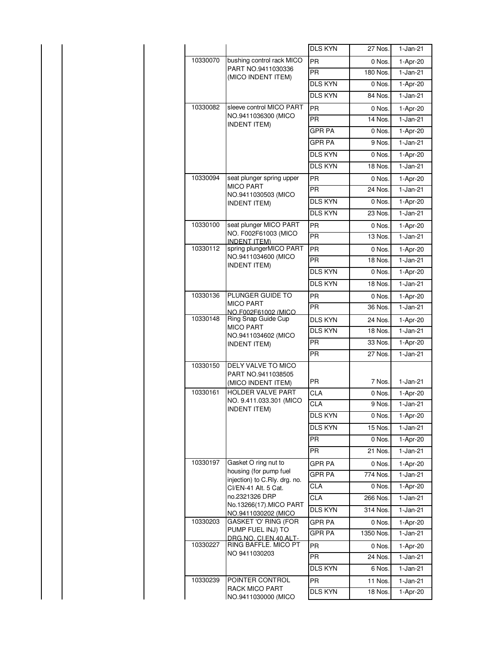|          |                                                                | <b>DLS KYN</b> | 27 Nos.   | $1-Jan-21$             |
|----------|----------------------------------------------------------------|----------------|-----------|------------------------|
| 10330070 | bushing control rack MICO                                      | <b>PR</b>      | 0 Nos.    | 1-Apr-20               |
|          | PART NO.9411030336<br>(MICO INDENT ITEM)                       | <b>PR</b>      | 180 Nos.  | $1-Jan-21$             |
|          |                                                                | <b>DLS KYN</b> | 0 Nos.    | 1-Apr-20               |
|          |                                                                | <b>DLS KYN</b> | 84 Nos.   | $\overline{1}$ -Jan-21 |
| 10330082 | sleeve control MICO PART                                       | <b>PR</b>      | 0 Nos.    | 1-Apr-20               |
|          | NO.9411036300 (MICO<br><b>INDENT ITEM)</b>                     | <b>PR</b>      | 14 Nos.   | $\overline{1}$ -Jan-21 |
|          |                                                                | <b>GPR PA</b>  | 0 Nos.    | 1-Apr-20               |
|          |                                                                | <b>GPR PA</b>  | 9 Nos.    | $1-Jan-21$             |
|          |                                                                | <b>DLS KYN</b> | 0 Nos.    | 1-Apr-20               |
|          |                                                                | <b>DLS KYN</b> | 18 Nos.   | $1-Jan-21$             |
| 10330094 | seat plunger spring upper                                      | <b>PR</b>      | 0 Nos.    | 1-Apr-20               |
|          | <b>MICO PART</b><br>NO.9411030503 (MICO                        | <b>PR</b>      | 24 Nos.   | $1-Jan-21$             |
|          | <b>INDENT ITEM)</b>                                            | <b>DLS KYN</b> | 0 Nos.    | 1-Apr-20               |
|          |                                                                | <b>DLS KYN</b> | 23 Nos.   | $\overline{1}$ -Jan-21 |
| 10330100 | seat plunger MICO PART                                         | <b>PR</b>      | 0 Nos.    | 1-Apr-20               |
|          | NO. F002F61003 (MICO<br><b>INDENT ITEM)</b>                    | <b>PR</b>      | 13 Nos.   | $\overline{1}$ -Jan-21 |
| 10330112 | spring plungerMICO PART                                        | <b>PR</b>      | 0 Nos.    | 1-Apr-20               |
|          | NO.9411034600 (MICO<br><b>INDENT ITEM)</b>                     | <b>PR</b>      | 18 Nos.   | $1 - Jan-21$           |
|          |                                                                | <b>DLS KYN</b> | 0 Nos.    | 1-Apr-20               |
|          |                                                                | <b>DLS KYN</b> | 18 Nos.   | $1-Jan-21$             |
| 10330136 | PLUNGER GUIDE TO                                               | <b>PR</b>      | 0 Nos.    | 1-Apr-20               |
|          | <b>MICO PART</b><br>NO.F002F61002 (MICO                        | <b>PR</b>      | 36 Nos.   | $1-Jan-21$             |
| 10330148 | Ring Snap Guide Cup                                            | <b>DLS KYN</b> | 24 Nos.   | 1-Apr-20               |
|          | <b>MICO PART</b><br>NO.9411034602 (MICO                        | <b>DLS KYN</b> | 18 Nos.   | $1-Jan-21$             |
|          | <b>INDENT ITEM)</b>                                            | <b>PR</b>      | 33 Nos.   | 1-Apr-20               |
|          |                                                                | <b>PR</b>      | 27 Nos.   | $1-Jan-21$             |
| 10330150 | DELY VALVE TO MICO<br>PART NO.9411038505<br>(MICO INDENT ITEM) | <b>PR</b>      | 7 Nos.    | $1-Jan-21$             |
| 10330161 | <b>HOLDER VALVE PART</b>                                       | <b>CLA</b>     | 0 Nos.    | 1-Apr-20               |
|          | NO. 9.411.033.301 (MICO<br>INDENT ITEM)                        | <b>CLA</b>     | 9 Nos.    | $1 - Jan-21$           |
|          |                                                                | DLS KYN        | 0 Nos.    | 1-Apr-20               |
|          |                                                                | DLS KYN        | 15 Nos.   | $1-Jan-21$             |
|          |                                                                | <b>PR</b>      | 0 Nos.    | 1-Apr-20               |
|          |                                                                | <b>PR</b>      | 21 Nos.   | 1-Jan-21               |
| 10330197 | Gasket O ring nut to                                           | <b>GPR PA</b>  | 0 Nos.    | 1-Apr-20               |
|          | housing (for pump fuel<br>injection) to C.Rly. drg. no.        | <b>GPR PA</b>  | 774 Nos.  | $1-Jan-21$             |
|          | CI/EN-41 Alt. 5 Cat.                                           | CLA            | 0 Nos.    | 1-Apr-20               |
|          | no.2321326 DRP                                                 | <b>CLA</b>     | 266 Nos.  | $1-Jan-21$             |
|          | No.13266(17). MICO PART<br>NO.9411030202 (MICO                 | <b>DLS KYN</b> | 314 Nos.  | 1-Jan-21               |
| 10330203 | GASKET 'O' RING (FOR                                           | GPR PA         | 0 Nos.    | 1-Apr-20               |
|          | PUMP FUEL INJ) TO<br>DRG.NO. CLEN.40.ALT-                      | <b>GPR PA</b>  | 1350 Nos. | $1-Jan-21$             |
| 10330227 | RING BAFFLE. MICO PT                                           | PR             | 0 Nos.    | 1-Apr-20               |
|          | NO 9411030203                                                  | <b>PR</b>      | 24 Nos.   | $\overline{1}$ -Jan-21 |
|          |                                                                | DLS KYN        | 6 Nos.    | 1-Jan-21               |
| 10330239 | POINTER CONTROL                                                | <b>PR</b>      | 11 Nos.   | $1-Jan-21$             |
|          | RACK MICO PART                                                 | <b>DLS KYN</b> | 18 Nos.   | 1-Apr-20               |
|          | NO.9411030000 (MICO                                            |                |           |                        |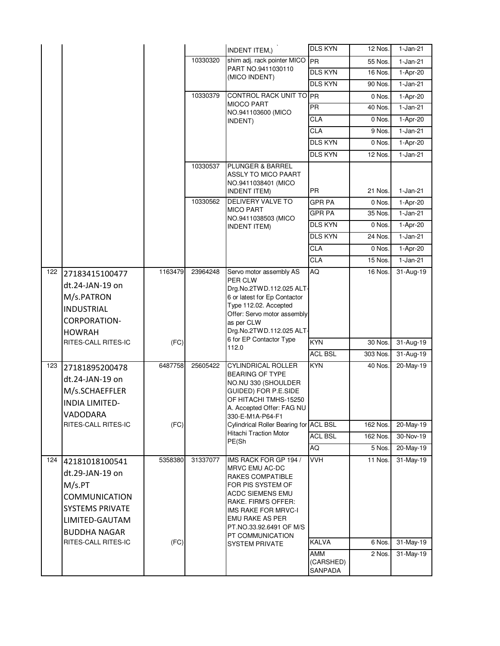|     |                                                                                                                 |         |          | <b>INDENT ITEM,)</b>                                                                                                                                                                                                        | <b>DLS KYN</b>       | 12 Nos.  | $1-Jan-21$    |
|-----|-----------------------------------------------------------------------------------------------------------------|---------|----------|-----------------------------------------------------------------------------------------------------------------------------------------------------------------------------------------------------------------------------|----------------------|----------|---------------|
|     |                                                                                                                 |         | 10330320 | shim adj. rack pointer MICO PR<br>PART NO.9411030110                                                                                                                                                                        |                      | 55 Nos.  | $1-Jan-21$    |
|     |                                                                                                                 |         |          | (MICO INDENT)                                                                                                                                                                                                               | <b>DLS KYN</b>       | 16 Nos.  | 1-Apr-20      |
|     |                                                                                                                 |         |          |                                                                                                                                                                                                                             | DLS KYN              | 90 Nos.  | $1-Jan-21$    |
|     |                                                                                                                 |         | 10330379 | CONTROL RACK UNIT TO PR<br><b>MIOCO PART</b>                                                                                                                                                                                |                      | 0 Nos.   | 1-Apr-20      |
|     |                                                                                                                 |         |          | NO.941103600 (MICO                                                                                                                                                                                                          | <b>PR</b>            | 40 Nos.  | $1-Jan-21$    |
|     |                                                                                                                 |         |          | INDENT)                                                                                                                                                                                                                     | <b>CLA</b>           | 0 Nos    | 1-Apr-20      |
|     |                                                                                                                 |         |          |                                                                                                                                                                                                                             | <b>CLA</b>           | 9 Nos.   | $1-Jan-21$    |
|     |                                                                                                                 |         |          |                                                                                                                                                                                                                             | <b>DLS KYN</b>       | 0 Nos.   | 1-Apr-20      |
|     |                                                                                                                 |         |          |                                                                                                                                                                                                                             | <b>DLS KYN</b>       | 12 Nos.  | $1-Jan-21$    |
|     |                                                                                                                 |         | 10330537 | PLUNGER & BARREL<br>ASSLY TO MICO PAART<br>NO.9411038401 (MICO                                                                                                                                                              |                      |          |               |
|     |                                                                                                                 |         |          | <b>INDENT ITEM)</b>                                                                                                                                                                                                         | <b>PR</b>            | 21 Nos.  | 1-Jan-21      |
|     |                                                                                                                 |         | 10330562 | <b>DELIVERY VALVE TO</b><br><b>MICO PART</b>                                                                                                                                                                                | <b>GPR PA</b>        | 0 Nos.   | 1-Apr-20      |
|     |                                                                                                                 |         |          | NO.9411038503 (MICO                                                                                                                                                                                                         | <b>GPR PA</b>        | 35 Nos.  | $1-Jan-21$    |
|     |                                                                                                                 |         |          | <b>INDENT ITEM)</b>                                                                                                                                                                                                         | <b>DLS KYN</b>       | 0 Nos.   | 1-Apr-20      |
|     |                                                                                                                 |         |          |                                                                                                                                                                                                                             | <b>DLS KYN</b>       | 24 Nos.  | $1-Jan-21$    |
|     |                                                                                                                 |         |          |                                                                                                                                                                                                                             | <b>CLA</b>           | 0 Nos.   | 1-Apr-20      |
|     |                                                                                                                 |         |          |                                                                                                                                                                                                                             | <b>CLA</b>           | 15 Nos.  | $1-Jan-21$    |
| 122 | 27183415100477<br>dt.24-JAN-19 on<br>M/s.PATRON<br><b>INDUSTRIAL</b><br><b>CORPORATION-</b><br><b>HOWRAH</b>    | 1163479 | 23964248 | Servo motor assembly AS<br>PER CLW<br>Drg.No.2TWD.112.025 ALT-<br>6 or latest for Ep Contactor<br>Type 112.02. Accepted<br>Offer: Servo motor assembly<br>as per CLW<br>Drg.No.2TWD.112.025 ALT-<br>6 for EP Contactor Type | AQ                   | 16 Nos.  | 31-Aug-19     |
|     | RITES-CALL RITES-IC                                                                                             | (FC)    |          | 112.0                                                                                                                                                                                                                       | <b>KYN</b>           | 30 Nos.  | 31-Aug-19     |
|     |                                                                                                                 |         |          |                                                                                                                                                                                                                             | <b>ACL BSL</b>       | 303 Nos. | $31 - Aug-19$ |
| 123 | 27181895200478<br>dt.24-JAN-19 on<br>M/s.SCHAEFFLER<br><b>INDIA LIMITED-</b><br>VADODARA                        | 6487758 | 25605422 | <b>CYLINDRICAL ROLLER</b><br>BEARING OF TYPE<br>NO.NU 330 (SHOULDER<br>GUIDED) FOR P.E.SIDE<br>OF HITACHI TMHS-15250<br>A. Accepted Offer: FAG NU<br>330-E-M1A-P64-F1                                                       | <b>KYN</b>           | 40 Nos.  | 20-May-19     |
|     | RITES-CALL RITES-IC                                                                                             | (FC)    |          | Cylindrical Roller Bearing for ACL BSL                                                                                                                                                                                      |                      | 162 Nos. | 20-May-19     |
|     |                                                                                                                 |         |          | <b>Hitachi Traction Motor</b><br>PE(Sh                                                                                                                                                                                      | <b>ACL BSL</b>       | 162 Nos. | 30-Nov-19     |
|     |                                                                                                                 |         |          |                                                                                                                                                                                                                             | AQ                   | 5 Nos.   | $20$ -May-19  |
| 124 | 42181018100541<br>dt.29-JAN-19 on<br>M/s.PT<br><b>COMMUNICATION</b><br><b>SYSTEMS PRIVATE</b><br>LIMITED-GAUTAM | 5358380 | 31337077 | IMS RACK FOR GP 194 /<br>MRVC EMU AC-DC<br>RAKES COMPATIBLE<br>FOR PIS SYSTEM OF<br>ACDC SIEMENS EMU<br>RAKE. FIRM'S OFFER:<br>IMS RAKE FOR MRVC-I<br><b>EMU RAKE AS PER</b>                                                | <b>VVH</b>           | 11 Nos.  | 31-May-19     |
|     | <b>BUDDHA NAGAR</b>                                                                                             |         |          | PT.NO.33.92.6491 OF M/S                                                                                                                                                                                                     |                      |          |               |
|     | RITES-CALL RITES-IC                                                                                             | (FC)    |          | PT COMMUNICATION                                                                                                                                                                                                            | <b>KALVA</b>         | 6 Nos.   | 31-May-19     |
|     |                                                                                                                 |         |          | <b>SYSTEM PRIVATE</b>                                                                                                                                                                                                       | AMM                  | 2 Nos.   | 31-May-19     |
|     |                                                                                                                 |         |          |                                                                                                                                                                                                                             | (CARSHED)<br>SANPADA |          |               |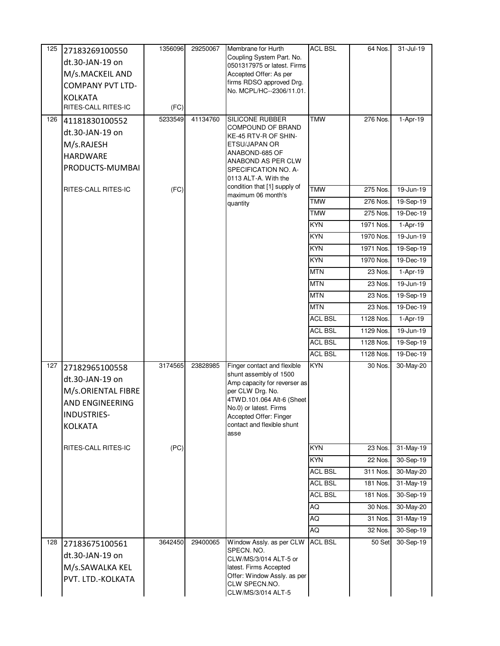| 125 | 27183269100550          | 1356096 | 29250067 | Membrane for Hurth                                       | <b>ACL BSL</b> | 64 Nos.   | $31 -$ Jul-19           |
|-----|-------------------------|---------|----------|----------------------------------------------------------|----------------|-----------|-------------------------|
|     | dt.30-JAN-19 on         |         |          | Coupling System Part. No.<br>0501317975 or latest. Firms |                |           |                         |
|     | M/s.MACKEIL AND         |         |          | Accepted Offer: As per                                   |                |           |                         |
|     | <b>COMPANY PVT LTD-</b> |         |          | firms RDSO approved Drg.                                 |                |           |                         |
|     | <b>KOLKATA</b>          |         |          | No. MCPL/HC--2306/11.01.                                 |                |           |                         |
|     | RITES-CALL RITES-IC     | (FC)    |          |                                                          |                |           |                         |
| 126 | 41181830100552          | 5233549 | 41134760 | <b>SILICONE RUBBER</b>                                   | <b>TMW</b>     | 276 Nos.  | 1-Apr-19                |
|     | dt.30-JAN-19 on         |         |          | COMPOUND OF BRAND<br>KE-45 RTV-R OF SHIN-                |                |           |                         |
|     | M/s.RAJESH              |         |          | ETSU/JAPAN OR                                            |                |           |                         |
|     | <b>HARDWARE</b>         |         |          | ANABOND-685 OF                                           |                |           |                         |
|     | PRODUCTS-MUMBAI         |         |          | ANABOND AS PER CLW<br>SPECIFICATION NO. A-               |                |           |                         |
|     |                         |         |          | 0113 ALT-A. With the                                     |                |           |                         |
|     | RITES-CALL RITES-IC     | (FC)    |          | condition that [1] supply of<br>maximum 06 month's       | <b>TMW</b>     | 275 Nos.  | 19-Jun-19               |
|     |                         |         |          | quantity                                                 | TMW            | 276 Nos.  | 19-Sep-19               |
|     |                         |         |          |                                                          | <b>TMW</b>     | 275 Nos.  | 19-Dec-19               |
|     |                         |         |          |                                                          | <b>KYN</b>     | 1971 Nos. | 1-Apr-19                |
|     |                         |         |          |                                                          | KYN            | 1970 Nos. | 19-Jun-19               |
|     |                         |         |          |                                                          | <b>KYN</b>     | 1971 Nos. | 19-Sep-19               |
|     |                         |         |          |                                                          | <b>KYN</b>     | 1970 Nos. | 19-Dec-19               |
|     |                         |         |          |                                                          | <b>MTN</b>     | 23 Nos.   | 1-Apr-19                |
|     |                         |         |          |                                                          | <b>MTN</b>     | 23 Nos.   | 19-Jun-19               |
|     |                         |         |          |                                                          | <b>MTN</b>     | 23 Nos.   | 19-Sep-19               |
|     |                         |         |          |                                                          | <b>MTN</b>     | 23 Nos.   | 19-Dec-19               |
|     |                         |         |          |                                                          | <b>ACL BSL</b> | 1128 Nos. | 1-Apr-19                |
|     |                         |         |          |                                                          | <b>ACL BSL</b> | 1129 Nos. | $\overline{19}$ -Jun-19 |
|     |                         |         |          |                                                          | <b>ACL BSL</b> | 1128 Nos. | 19-Sep-19               |
|     |                         |         |          |                                                          | <b>ACL BSL</b> | 1128 Nos. | 19-Dec-19               |
| 127 | 27182965100558          | 3174565 | 23828985 | Finger contact and flexible<br>shunt assembly of 1500    | KYN            | 30 Nos.   | 30-May-20               |
|     | dt.30-JAN-19 on         |         |          | Amp capacity for reverser as                             |                |           |                         |
|     | M/s.ORIENTAL FIBRE      |         |          | per CLW Drg. No.                                         |                |           |                         |
|     | AND ENGINEERING         |         |          | 4TWD.101.064 Alt-6 (Sheet<br>No.0) or latest. Firms      |                |           |                         |
|     | <b>INDUSTRIES-</b>      |         |          | Accepted Offer: Finger                                   |                |           |                         |
|     | <b>KOLKATA</b>          |         |          | contact and flexible shunt                               |                |           |                         |
|     |                         |         |          | asse                                                     |                |           |                         |
|     | RITES-CALL RITES-IC     | (PC)    |          |                                                          | <b>KYN</b>     | 23 Nos.   | 31-May-19               |
|     |                         |         |          |                                                          | KYN            | 22 Nos.   | 30-Sep-19               |
|     |                         |         |          |                                                          | <b>ACL BSL</b> | 311 Nos.  | $30$ -May-20            |
|     |                         |         |          |                                                          | <b>ACL BSL</b> | 181 Nos.  | 31-May-19               |
|     |                         |         |          |                                                          | <b>ACL BSL</b> | 181 Nos.  | 30-Sep-19               |
|     |                         |         |          |                                                          | AQ             | 30 Nos.   | 30-May-20               |
|     |                         |         |          |                                                          | AQ             | 31 Nos.   | $\overline{3}$ 1-May-19 |
|     |                         |         |          |                                                          | AQ             | 32 Nos.   | 30-Sep-19               |
| 128 | 27183675100561          | 3642450 | 29400065 | Window Assly. as per CLW<br>SPECN. NO.                   | <b>ACL BSL</b> | 50 Set    | 30-Sep-19               |
|     | dt.30-JAN-19 on         |         |          | CLW/MS/3/014 ALT-5 or                                    |                |           |                         |
|     | M/s.SAWALKA KEL         |         |          | latest. Firms Accepted<br>Offer: Window Assly. as per    |                |           |                         |
|     | PVT. LTD.-KOLKATA       |         |          | CLW SPECN.NO.                                            |                |           |                         |
|     |                         |         |          | CLW/MS/3/014 ALT-5                                       |                |           |                         |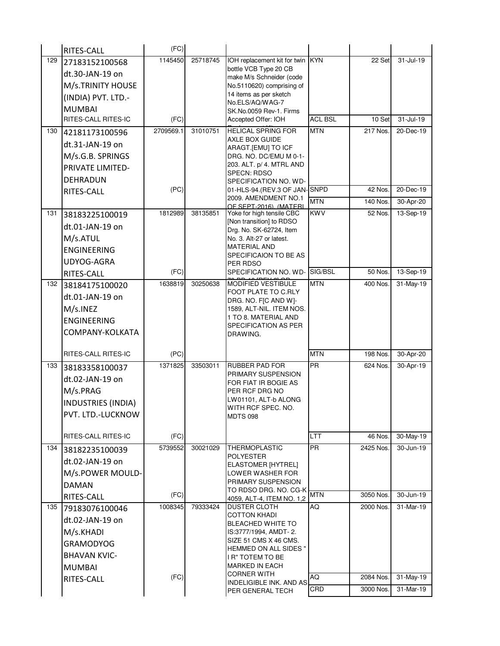|     | RITES-CALL                | (FC)      |          |                                                     |                |           |                         |
|-----|---------------------------|-----------|----------|-----------------------------------------------------|----------------|-----------|-------------------------|
| 129 | 27183152100568            | 1145450   | 25718745 | IOH replacement kit for twin KYN                    |                | 22 Set    | 31-Jul-19               |
|     | dt.30-JAN-19 on           |           |          | bottle VCB Type 20 CB<br>make M/s Schneider (code   |                |           |                         |
|     | M/s.TRINITY HOUSE         |           |          | No.5110620) comprising of                           |                |           |                         |
|     | (INDIA) PVT. LTD.-        |           |          | 14 items as per sketch                              |                |           |                         |
|     | <b>MUMBAI</b>             |           |          | No.ELS/AQ/WAG-7<br>SK.No.0059 Rev-1. Firms          |                |           |                         |
|     | RITES-CALL RITES-IC       | (FC)      |          | Accepted Offer: IOH                                 | <b>ACL BSL</b> | 10 Set    | 31-Jul-19               |
| 130 | 42181173100596            | 2709569.1 | 31010751 | <b>HELICAL SPRING FOR</b>                           | <b>MTN</b>     | 217 Nos.  | 20-Dec-19               |
|     | dt.31-JAN-19 on           |           |          | AXLE BOX GUIDE<br>ARAGT.[EMU] TO ICF                |                |           |                         |
|     | M/s.G.B. SPRINGS          |           |          | DRG. NO. DC/EMU M 0-1-                              |                |           |                         |
|     | PRIVATE LIMITED-          |           |          | 203. ALT. p/ 4. MTRL AND                            |                |           |                         |
|     | <b>DEHRADUN</b>           |           |          | SPECN: RDSO<br>SPECIFICATION NO. WD-                |                |           |                         |
|     | RITES-CALL                | (PC)      |          | 01-HLS-94.(REV.3 OF JAN-SNPD                        |                | 42 Nos.   | 20-Dec-19               |
|     |                           |           |          | 2009. AMENDMENT NO.1<br>OF SEPT-2016) (MATERI       | <b>MTN</b>     | 140 Nos.  | 30-Apr-20               |
| 131 | 38183225100019            | 1812989   | 38135851 | Yoke for high tensile CBC                           | <b>KWV</b>     | 52 Nos.   | 13-Sep-19               |
|     | dt.01-JAN-19 on           |           |          | [Non transition] to RDSO<br>Drg. No. SK-62724, Item |                |           |                         |
|     | M/s.ATUL                  |           |          | No. 3. Alt-27 or latest.                            |                |           |                         |
|     | <b>ENGINEERING</b>        |           |          | <b>MATERIAL AND</b>                                 |                |           |                         |
|     | UDYOG-AGRA                |           |          | SPECIFICAION TO BE AS<br>PER RDSO                   |                |           |                         |
|     | RITES-CALL                | (FC)      |          | SPECIFICATION NO. WD-                               | SIG/BSL        | 50 Nos.   | 13-Sep-19               |
| 132 | 38184175100020            | 1638819   | 30250638 | <b>MODIFIED VESTIBULE</b>                           | <b>MTN</b>     | 400 Nos.  | 31-May-19               |
|     | dt.01-JAN-19 on           |           |          | FOOT PLATE TO C.RLY<br>DRG. NO. F[C AND W]-         |                |           |                         |
|     | M/s.INEZ                  |           |          | 1589, ALT-NIL. ITEM NOS.                            |                |           |                         |
|     | <b>ENGINEERING</b>        |           |          | 1 TO 8. MATERIAL AND                                |                |           |                         |
|     | COMPANY-KOLKATA           |           |          | SPECIFICATION AS PER<br>DRAWING.                    |                |           |                         |
|     |                           |           |          |                                                     |                |           |                         |
|     | RITES-CALL RITES-IC       | (PC)      |          |                                                     | <b>MTN</b>     | 198 Nos.  | 30-Apr-20               |
| 133 | 38183358100037            | 1371825   | 33503011 | <b>RUBBER PAD FOR</b>                               | PR             | 624 Nos.  | 30-Apr-19               |
|     | dt.02-JAN-19 on           |           |          | PRIMARY SUSPENSION<br>FOR FIAT IR BOGIE AS          |                |           |                         |
|     | M/s.PRAG                  |           |          | PER RCF DRG NO                                      |                |           |                         |
|     | <b>INDUSTRIES (INDIA)</b> |           |          | LW01101, ALT-b ALONG                                |                |           |                         |
|     | PVT. LTD.-LUCKNOW         |           |          | WITH RCF SPEC. NO.<br><b>MDTS 098</b>               |                |           |                         |
|     |                           |           |          |                                                     |                |           |                         |
|     | RITES-CALL RITES-IC       | (FC)      |          |                                                     | LTT            | 46 Nos.   | $\overline{30}$ -May-19 |
| 134 | 38182235100039            | 5739552   | 30021029 | <b>THERMOPLASTIC</b>                                | <b>PR</b>      | 2425 Nos. | 30-Jun-19               |
|     | dt.02-JAN-19 on           |           |          | <b>POLYESTER</b><br><b>ELASTOMER [HYTREL]</b>       |                |           |                         |
|     | M/s.POWER MOULD-          |           |          | LOWER WASHER FOR                                    |                |           |                         |
|     | <b>DAMAN</b>              |           |          | PRIMARY SUSPENSION<br>TO RDSO DRG. NO. CG-K         |                |           |                         |
|     | RITES-CALL                | (FC)      |          | 4059, ALT-4, ITEM NO. 1,2                           | <b>MTN</b>     | 3050 Nos. | 30-Jun-19               |
| 135 | 79183076100046            | 1008345   | 79333424 | <b>DUSTER CLOTH</b><br><b>COTTON KHADI</b>          | AQ             | 2000 Nos. | 31-Mar-19               |
|     | dt.02-JAN-19 on           |           |          | BLEACHED WHITE TO                                   |                |           |                         |
|     | M/s.KHADI                 |           |          | IS:3777/1994, AMDT-2.                               |                |           |                         |
|     | <b>GRAMODYOG</b>          |           |          | SIZE 51 CMS X 46 CMS.<br>HEMMED ON ALL SIDES "      |                |           |                         |
|     | <b>BHAVAN KVIC-</b>       |           |          | I R" TOTEM TO BE                                    |                |           |                         |
|     | <b>MUMBAI</b>             |           |          | <b>MARKED IN EACH</b>                               |                |           |                         |
|     | RITES-CALL                | (FC)      |          | <b>CORNER WITH</b><br>INDELIGIBLE INK. AND AS       | AQ             | 2084 Nos. | 31-May-19               |
|     |                           |           |          | PER GENERAL TECH                                    | CRD            | 3000 Nos. | 31-Mar-19               |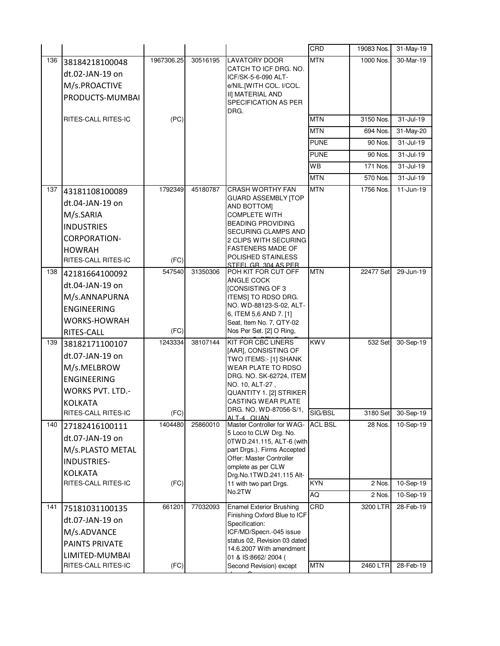|     |                         |            |          |                                                        | CRD            | 19083 Nos. | 31-May-19    |
|-----|-------------------------|------------|----------|--------------------------------------------------------|----------------|------------|--------------|
| 136 | 38184218100048          | 1967306.25 | 30516195 | <b>LAVATORY DOOR</b>                                   | <b>MTN</b>     | 1000 Nos.  | 30-Mar-19    |
|     | dt.02-JAN-19 on         |            |          | CATCH TO ICF DRG. NO.<br>ICF/SK-5-6-090 ALT-           |                |            |              |
|     | M/s.PROACTIVE           |            |          | e/NIL.[WITH COL. I/COL.                                |                |            |              |
|     | PRODUCTS-MUMBAI         |            |          | II] MATERIAL AND                                       |                |            |              |
|     |                         |            |          | SPECIFICATION AS PER<br>DRG.                           |                |            |              |
|     | RITES-CALL RITES-IC     | (PC)       |          |                                                        | <b>MTN</b>     | 3150 Nos.  | 31-Jul-19    |
|     |                         |            |          |                                                        | <b>MTN</b>     | 694 Nos.   | 31-May-20    |
|     |                         |            |          |                                                        | PUNE           | 90 Nos.    | 31-Jul-19    |
|     |                         |            |          |                                                        | <b>PUNE</b>    | 90 Nos.    | 31-Jul-19    |
|     |                         |            |          |                                                        | <b>WB</b>      | 171 Nos.   | $31$ -Jul-19 |
|     |                         |            |          |                                                        | <b>MTN</b>     | 570 Nos.   | 31-Jul-19    |
| 137 | 43181108100089          | 1792349    | 45180787 | <b>CRASH WORTHY FAN</b><br><b>GUARD ASSEMBLY ITOP</b>  | <b>MTN</b>     | 1756 Nos.  | $11$ -Jun-19 |
|     | dt.04-JAN-19 on         |            |          | AND BOTTOM]                                            |                |            |              |
|     | M/s.SARIA               |            |          | <b>COMPLETE WITH</b>                                   |                |            |              |
|     | <b>INDUSTRIES</b>       |            |          | <b>BEADING PROVIDING</b><br><b>SECURING CLAMPS AND</b> |                |            |              |
|     | <b>CORPORATION-</b>     |            |          | 2 CLIPS WITH SECURING                                  |                |            |              |
|     | <b>HOWRAH</b>           |            |          | <b>FASTENERS MADE OF</b>                               |                |            |              |
|     | RITES-CALL RITES-IC     | (FC)       |          | POLISHED STAINLESS<br>STEEL GR 304 AS PER              |                |            |              |
| 138 | 42181664100092          | 547540     | 31350306 | POH KIT FOR CUT OFF                                    | <b>MTN</b>     | 22477 Set  | 29-Jun-19    |
|     | dt.04-JAN-19 on         |            |          | ANGLE COCK<br>[CONSISTING OF 3                         |                |            |              |
|     | M/s.ANNAPURNA           |            |          | ITEMS] TO RDSO DRG.                                    |                |            |              |
|     | <b>ENGINEERING</b>      |            |          | NO. WD-88123-S-02, ALT-                                |                |            |              |
|     | <b>WORKS-HOWRAH</b>     |            |          | 6, ITEM 5,6 AND 7. [1]<br>Seat, Item No. 7, QTY-02     |                |            |              |
|     | RITES-CALL              | (FC)       |          | Nos Per Set. [2] O Ring,                               |                |            |              |
| 139 | 38182171100107          | 1243334    | 38107144 | <b>KIT FOR CBC LINERS</b>                              | <b>KWV</b>     | 532 Set    | 30-Sep-19    |
|     | dt.07-JAN-19 on         |            |          | [AAR], CONSISTING OF<br>TWO ITEMS:- [1] SHANK          |                |            |              |
|     | M/s.MELBROW             |            |          | <b>WEAR PLATE TO RDSO</b>                              |                |            |              |
|     | <b>ENGINEERING</b>      |            |          | DRG. NO. SK-62724, ITEM                                |                |            |              |
|     | <b>WORKS PVT. LTD.-</b> |            |          | NO. 10, ALT-27,<br>QUANTITY 1. [2] STRIKER             |                |            |              |
|     | <b>KOLKATA</b>          |            |          | <b>CASTING WEAR PLATE</b>                              |                |            |              |
|     | RITES-CALL RITES-IC     | (FC)       |          | DRG. NO. WD-87056-S/1,<br>ALT-4 OUAN                   | SIG/BSL        | 3180 Set   | 30-Sep-19    |
| 140 | 27182416100111          | 1404480    | 25860010 | Master Controller for WAG-                             | <b>ACL BSL</b> | 28 Nos.    | 10-Sep-19    |
|     | dt.07-JAN-19 on         |            |          | 5 Loco to CLW Drg. No.<br>0TWD.241.115, ALT-6 (with    |                |            |              |
|     | M/s.PLASTO METAL        |            |          | part Drgs.). Firms Accepted                            |                |            |              |
|     | <b>INDUSTRIES-</b>      |            |          | Offer: Master Controller<br>omplete as per CLW         |                |            |              |
|     | <b>KOLKATA</b>          |            |          | Drg.No.1TWD.241.115 Alt-                               |                |            |              |
|     | RITES-CALL RITES-IC     | (FC)       |          | 11 with two part Drgs.                                 | <b>KYN</b>     | 2 Nos.     | 10-Sep-19    |
|     |                         |            |          | No.2TW                                                 | AQ             | 2 Nos.     | 10-Sep-19    |
| 141 | 75181031100135          | 661201     | 77032093 | <b>Enamel Exterior Brushing</b>                        | CRD            | 3200 LTR   | 28-Feb-19    |
|     | dt.07-JAN-19 on         |            |          | Finishing Oxford Blue to ICF<br>Specification:         |                |            |              |
|     | M/s.ADVANCE             |            |          | ICF/MD/Specn.-045 issue                                |                |            |              |
|     | <b>PAINTS PRIVATE</b>   |            |          | status 02, Revision 03 dated                           |                |            |              |
|     | LIMITED-MUMBAI          |            |          | 14.6.2007 With amendment<br>01 & IS:8662/2004 (        |                |            |              |
|     | RITES-CALL RITES-IC     | (FC)       |          | Second Revision) except                                | <b>MTN</b>     | 2460 LTR   | 28-Feb-19    |
|     |                         |            |          |                                                        |                |            |              |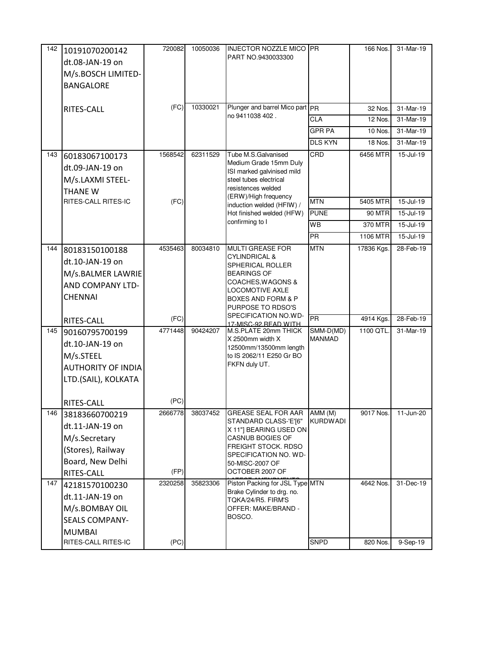| 142 | 10191070200142            | 720082  | 10050036 | <b>INJECTOR NOZZLE MICO PR</b>                                |                            | 166 Nos.      | 31-Mar-19 |
|-----|---------------------------|---------|----------|---------------------------------------------------------------|----------------------------|---------------|-----------|
|     | dt.08-JAN-19 on           |         |          | PART NO.9430033300                                            |                            |               |           |
|     | M/s.BOSCH LIMITED-        |         |          |                                                               |                            |               |           |
|     | <b>BANGALORE</b>          |         |          |                                                               |                            |               |           |
|     |                           |         |          |                                                               |                            |               |           |
|     | RITES-CALL                | (FC)    | 10330021 | Plunger and barrel Mico part PR                               |                            | 32 Nos.       | 31-Mar-19 |
|     |                           |         |          | no 9411038 402.                                               | CLA                        | 12 Nos.       | 31-Mar-19 |
|     |                           |         |          |                                                               | <b>GPR PA</b>              | 10 Nos.       | 31-Mar-19 |
|     |                           |         |          |                                                               | <b>DLS KYN</b>             | 18 Nos.       | 31-Mar-19 |
| 143 | 60183067100173            | 1568542 | 62311529 | Tube M.S.Galvanised                                           | CRD                        | 6456 MTR      | 15-Jul-19 |
|     | dt.09-JAN-19 on           |         |          | Medium Grade 15mm Duly<br>ISI marked galvinised mild          |                            |               |           |
|     | M/s.LAXMI STEEL-          |         |          | steel tubes electrical                                        |                            |               |           |
|     | <b>THANE W</b>            |         |          | resistences welded<br>(ERW)/High frequency                    |                            |               |           |
|     | RITES-CALL RITES-IC       | (FC)    |          | induction welded (HFIW) /                                     | <b>MTN</b>                 | 5405 MTR      | 15-Jul-19 |
|     |                           |         |          | Hot finished welded (HFW)                                     | <b>PUNE</b>                | <b>90 MTR</b> | 15-Jul-19 |
|     |                           |         |          | confirming to I                                               | WB                         | 370 MTR       | 15-Jul-19 |
|     |                           |         |          |                                                               | <b>PR</b>                  | 1106 MTR      | 15-Jul-19 |
| 144 | 80183150100188            | 4535463 | 80034810 | <b>MULTI GREASE FOR</b>                                       | <b>MTN</b>                 | 17836 Kgs.    | 28-Feb-19 |
|     | dt.10-JAN-19 on           |         |          | <b>CYLINDRICAL &amp;</b><br>SPHERICAL ROLLER                  |                            |               |           |
|     | M/s.BALMER LAWRIE         |         |          | <b>BEARINGS OF</b>                                            |                            |               |           |
|     | AND COMPANY LTD-          |         |          | COACHES, WAGONS &<br><b>LOCOMOTIVE AXLE</b>                   |                            |               |           |
|     | <b>CHENNAI</b>            |         |          | <b>BOXES AND FORM &amp; P</b>                                 |                            |               |           |
|     |                           |         |          | PURPOSE TO RDSO'S                                             |                            |               |           |
|     | RITES-CALL                | (FC)    |          | SPECIFICATION NO.WD-<br>17-MISC-92 READ WITH                  | PR                         | 4914 Kgs.     | 28-Feb-19 |
| 145 | 90160795700199            | 4771448 | 90424207 | M.S.PLATE 20mm THICK                                          | SMM-D(MD)                  | 1100 QTL.     | 31-Mar-19 |
|     | dt.10-JAN-19 on           |         |          | X 2500mm width X<br>12500mm/13500mm length                    | <b>MANMAD</b>              |               |           |
|     | M/s.STEEL                 |         |          | to IS 2062/11 E250 Gr BO                                      |                            |               |           |
|     | <b>AUTHORITY OF INDIA</b> |         |          | FKFN duly UT.                                                 |                            |               |           |
|     | LTD.(SAIL), KOLKATA       |         |          |                                                               |                            |               |           |
|     |                           |         |          |                                                               |                            |               |           |
|     | RITES-CALL                | (PC)    |          |                                                               |                            |               |           |
| 146 | 38183660700219            | 2666778 | 38037452 | <b>GREASE SEAL FOR AAR</b><br>STANDARD CLASS-'E'[6"           | AMM (M)<br><b>KURDWADI</b> | 9017 Nos.     | 11-Jun-20 |
|     | dt.11-JAN-19 on           |         |          | X 11"] BEARING USED ON                                        |                            |               |           |
|     | M/s.Secretary             |         |          | <b>CASNUB BOGIES OF</b>                                       |                            |               |           |
|     | (Stores), Railway         |         |          | FREIGHT STOCK. RDSO<br>SPECIFICATION NO. WD-                  |                            |               |           |
|     | Board, New Delhi          |         |          | 50-MISC-2007 OF                                               |                            |               |           |
|     | RITES-CALL                | (FP)    |          | OCTOBER 2007 OF                                               |                            |               |           |
| 147 | 42181570100230            | 2320258 | 35823306 | Piston Packing for JSL Type MTN<br>Brake Cylinder to drg. no. |                            | 4642 Nos.     | 31-Dec-19 |
|     | dt.11-JAN-19 on           |         |          | TQKA/24/R5. FIRM'S                                            |                            |               |           |
|     | M/s.BOMBAY OIL            |         |          | OFFER: MAKE/BRAND -                                           |                            |               |           |
|     | <b>SEALS COMPANY-</b>     |         |          | BOSCO.                                                        |                            |               |           |
|     | <b>MUMBAI</b>             |         |          |                                                               |                            |               |           |
|     | RITES-CALL RITES-IC       | (PC)    |          |                                                               | SNPD                       | 820 Nos.      | 9-Sep-19  |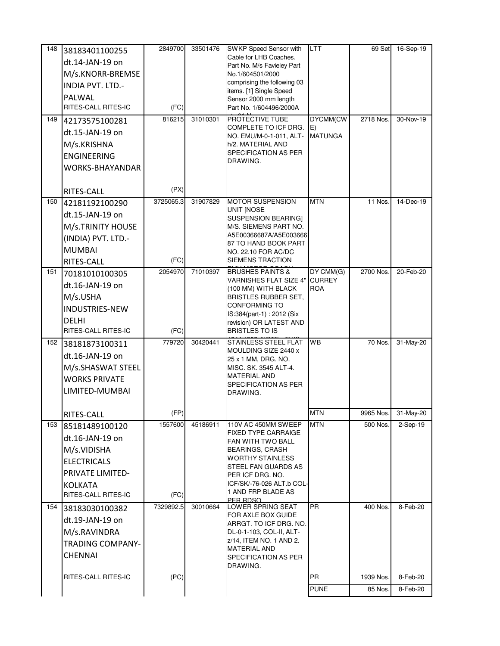| 148 | 38183401100255                | 2849700   | 33501476 | <b>SWKP Speed Sensor with</b>                      | LTT            | 69 Set    | 16-Sep-19 |
|-----|-------------------------------|-----------|----------|----------------------------------------------------|----------------|-----------|-----------|
|     | dt.14-JAN-19 on               |           |          | Cable for LHB Coaches.                             |                |           |           |
|     | M/s.KNORR-BREMSE              |           |          | Part No. M/s Favieley Part<br>No.1/604501/2000     |                |           |           |
|     | INDIA PVT. LTD.-              |           |          | comprising the following 03                        |                |           |           |
|     |                               |           |          | items. [1] Single Speed                            |                |           |           |
|     | PALWAL<br>RITES-CALL RITES-IC | (FC)      |          | Sensor 2000 mm length<br>Part No. 1/604496/2000A   |                |           |           |
|     |                               |           |          |                                                    |                |           |           |
| 149 | 42173575100281                | 816215    | 31010301 | PROTECTIVE TUBE<br>COMPLETE TO ICF DRG.            | DYCMM(CW<br>E) | 2718 Nos. | 30-Nov-19 |
|     | dt.15-JAN-19 on               |           |          | NO. EMU/M-0-1-011, ALT-                            | <b>MATUNGA</b> |           |           |
|     | M/s.KRISHNA                   |           |          | h/2. MATERIAL AND                                  |                |           |           |
|     | <b>ENGINEERING</b>            |           |          | SPECIFICATION AS PER<br>DRAWING.                   |                |           |           |
|     | WORKS-BHAYANDAR               |           |          |                                                    |                |           |           |
|     |                               |           |          |                                                    |                |           |           |
|     | RITES-CALL                    | (PX)      |          |                                                    |                |           |           |
| 150 | 42181192100290                | 3725065.3 | 31907829 | <b>MOTOR SUSPENSION</b>                            | <b>MTN</b>     | 11 Nos.   | 14-Dec-19 |
|     | dt.15-JAN-19 on               |           |          | UNIT INOSE<br>SUSPENSION BEARING]                  |                |           |           |
|     | M/s.TRINITY HOUSE             |           |          | M/S. SIEMENS PART NO.                              |                |           |           |
|     | (INDIA) PVT. LTD.-            |           |          | A5E00366687A/A5E003666                             |                |           |           |
|     | <b>MUMBAI</b>                 |           |          | 87 TO HAND BOOK PART                               |                |           |           |
|     | RITES-CALL                    | (FC)      |          | NO. 22.10 FOR AC/DC<br><b>SIEMENS TRACTION</b>     |                |           |           |
| 151 | 70181010100305                | 2054970   | 71010397 | <b>BRUSHES PAINTS &amp;</b>                        | DY CMM(G)      | 2700 Nos. | 20-Feb-20 |
|     |                               |           |          | VARNISHES FLAT SIZE 4"                             | <b>CURREY</b>  |           |           |
|     | dt.16-JAN-19 on               |           |          | (100 MM) WITH BLACK                                | <b>ROA</b>     |           |           |
|     | M/s.USHA                      |           |          | <b>BRISTLES RUBBER SET,</b><br>CONFORMING TO       |                |           |           |
|     | <b>INDUSTRIES-NEW</b>         |           |          | IS:384(part-1): 2012 (Six                          |                |           |           |
|     | <b>DELHI</b>                  |           |          | revision) OR LATEST AND                            |                |           |           |
|     | RITES-CALL RITES-IC           | (FC)      |          | <b>BRISTLES TO IS</b>                              |                |           |           |
| 152 | 38181873100311                | 779720    | 30420441 | STAINLESS STEEL FLAT                               | <b>WB</b>      | 70 Nos.   | 31-May-20 |
|     | dt.16-JAN-19 on               |           |          | MOULDING SIZE 2440 x<br>25 x 1 MM, DRG. NO.        |                |           |           |
|     | M/s.SHASWAT STEEL             |           |          | MISC. SK. 3545 ALT-4.                              |                |           |           |
|     | <b>WORKS PRIVATE</b>          |           |          | <b>MATERIAL AND</b>                                |                |           |           |
|     | LIMITED-MUMBAI                |           |          | SPECIFICATION AS PER<br>DRAWING.                   |                |           |           |
|     |                               |           |          |                                                    |                |           |           |
|     | RITES-CALL                    | (FP)      |          |                                                    | <b>MTN</b>     | 9965 Nos. | 31-May-20 |
| 153 | 85181489100120                | 1557600   | 45186911 | 110V AC 450MM SWEEP                                | <b>MTN</b>     | 500 Nos.  | 2-Sep-19  |
|     | dt.16-JAN-19 on               |           |          | <b>FIXED TYPE CARRAIGE</b><br>FAN WITH TWO BALL    |                |           |           |
|     | M/s.VIDISHA                   |           |          | <b>BEARINGS, CRASH</b>                             |                |           |           |
|     | <b>ELECTRICALS</b>            |           |          | WORTHY STAINLESS                                   |                |           |           |
|     | PRIVATE LIMITED-              |           |          | STEEL FAN GUARDS AS<br>PER ICF DRG. NO.            |                |           |           |
|     | <b>KOLKATA</b>                |           |          | ICF/SK/-76-026 ALT.b COL-                          |                |           |           |
|     | RITES-CALL RITES-IC           | (FC)      |          | 1 AND FRP BLADE AS                                 |                |           |           |
| 154 | 38183030100382                | 7329892.5 | 30010664 | PER RDSO<br>LOWER SPRING SEAT                      | <b>PR</b>      | 400 Nos.  | 8-Feb-20  |
|     | dt.19-JAN-19 on               |           |          | FOR AXLE BOX GUIDE                                 |                |           |           |
|     | M/s.RAVINDRA                  |           |          | ARRGT. TO ICF DRG. NO.<br>DL-0-1-103, COL-II, ALT- |                |           |           |
|     |                               |           |          | z/14, ITEM NO. 1 AND 2.                            |                |           |           |
|     | <b>TRADING COMPANY-</b>       |           |          | MATERIAL AND                                       |                |           |           |
|     | <b>CHENNAI</b>                |           |          | SPECIFICATION AS PER<br>DRAWING.                   |                |           |           |
|     | RITES-CALL RITES-IC           | (PC)      |          |                                                    | <b>PR</b>      | 1939 Nos. | 8-Feb-20  |
|     |                               |           |          |                                                    | <b>PUNE</b>    | 85 Nos.   | 8-Feb-20  |
|     |                               |           |          |                                                    |                |           |           |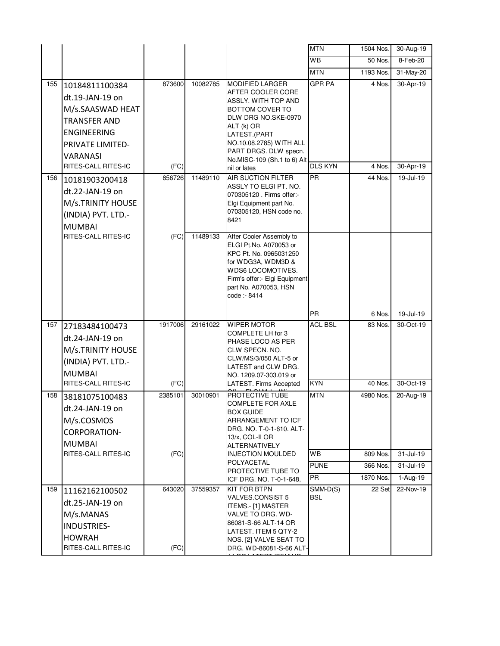|     |                                                                                                                                           |         |          |                                                                                                                                                                                                                               | <b>MTN</b>               | 1504 Nos.           | $\overline{30}$ -Aug-19 |
|-----|-------------------------------------------------------------------------------------------------------------------------------------------|---------|----------|-------------------------------------------------------------------------------------------------------------------------------------------------------------------------------------------------------------------------------|--------------------------|---------------------|-------------------------|
|     |                                                                                                                                           |         |          |                                                                                                                                                                                                                               | WB                       | 50 Nos.             | 8-Feb-20                |
|     |                                                                                                                                           |         |          |                                                                                                                                                                                                                               | <b>MTN</b>               | 1193 Nos.           | 31-May-20               |
| 155 | 10184811100384<br>dt.19-JAN-19 on<br>M/s.SAASWAD HEAT<br><b>TRANSFER AND</b><br><b>ENGINEERING</b><br><b>PRIVATE LIMITED-</b><br>VARANASI | 873600  | 10082785 | <b>MODIFIED LARGER</b><br>AFTER COOLER CORE<br>ASSLY. WITH TOP AND<br>BOTTOM COVER TO<br>DLW DRG NO.SKE-0970<br>ALT (k) OR<br>LATEST.(PART<br>NO.10.08.2785) WITH ALL<br>PART DRGS. DLW specn.<br>No.MISC-109 (Sh.1 to 6) Alt | <b>GPR PA</b>            | 4 Nos.              | 30-Apr-19               |
|     | RITES-CALL RITES-IC                                                                                                                       | (FC)    |          | nil or lates                                                                                                                                                                                                                  | <b>DLS KYN</b>           | 4 Nos.              | 30-Apr-19               |
| 156 | 10181903200418<br>dt.22-JAN-19 on<br>M/s.TRINITY HOUSE<br>(INDIA) PVT. LTD.-<br><b>MUMBAI</b>                                             | 856726  | 11489110 | <b>AIR SUCTION FILTER</b><br>ASSLY TO ELGI PT. NO.<br>070305120 . Firms offer:-<br>Elgi Equipment part No.<br>070305120, HSN code no.<br>8421                                                                                 | <b>PR</b>                | 44 Nos.             | 19-Jul-19               |
|     | RITES-CALL RITES-IC                                                                                                                       | (FC)    | 11489133 | After Cooler Assembly to<br>ELGI Pt.No. A070053 or<br>KPC Pt. No. 0965031250<br>for WDG3A, WDM3D &<br>WDS6 LOCOMOTIVES.<br>Firm's offer:- Elgi Equipment<br>part No. A070053, HSN<br>code: - 8414                             |                          |                     |                         |
|     |                                                                                                                                           |         |          |                                                                                                                                                                                                                               | <b>PR</b>                | 6 Nos.              | 19-Jul-19               |
| 157 | 27183484100473<br>dt.24-JAN-19 on<br>M/s.TRINITY HOUSE<br>(INDIA) PVT. LTD.-<br><b>MUMBAI</b>                                             | 1917006 | 29161022 | <b>WIPER MOTOR</b><br>COMPLETE LH for 3<br>PHASE LOCO AS PER<br>CLW SPECN. NO.<br>CLW/MS/3/050 ALT-5 or<br>LATEST and CLW DRG.<br>NO. 1209.07-303.019 or                                                                      | <b>ACL BSL</b>           | 83 Nos.             | 30-Oct-19               |
|     | RITES-CALL RITES-IC                                                                                                                       | (FC)    |          | LATEST. Firms Accepted                                                                                                                                                                                                        | <b>KYN</b>               | 40 Nos.             | $30-Or-19$              |
| 158 | 38181075100483<br>dt.24-JAN-19 on<br>M/s.COSMOS<br><b>CORPORATION-</b><br><b>MUMBAI</b>                                                   | 2385101 | 30010901 | PROTECTIVE TUBE<br><b>COMPLETE FOR AXLE</b><br>BOX GUIDE<br>ARRANGEMENT TO ICF<br>DRG. NO. T-0-1-610. ALT-<br>13/x, COL-II OR<br>ALTERNATIVELY                                                                                | <b>MTN</b>               | 4980 Nos.           | 20-Aug-19               |
|     | RITES-CALL RITES-IC                                                                                                                       | (FC)    |          | <b>INJECTION MOULDED</b><br>POLYACETAL                                                                                                                                                                                        | <b>WB</b>                | 809 Nos.            | 31-Jul-19               |
|     |                                                                                                                                           |         |          | PROTECTIVE TUBE TO                                                                                                                                                                                                            | <b>PUNE</b>              | 366 Nos.            | 31-Jul-19               |
| 159 |                                                                                                                                           | 643020  | 37559357 | ICF DRG. NO. T-0-1-648,<br><b>KIT FOR BTPN</b>                                                                                                                                                                                | <b>PR</b>                | 1870 Nos.<br>22 Set | 1-Aug-19<br>22-Nov-19   |
|     | 11162162100502<br>dt.25-JAN-19 on<br>M/s.MANAS<br><b>INDUSTRIES-</b><br><b>HOWRAH</b><br>RITES-CALL RITES-IC                              | (FC)    |          | VALVES.CONSIST 5<br>ITEMS.- [1] MASTER<br>VALVE TO DRG. WD-<br>86081-S-66 ALT-14 OR<br>LATEST. ITEM 5 QTY-2<br>NOS. [2] VALVE SEAT TO<br>DRG. WD-86081-S-66 ALT-                                                              | $SMM-D(S)$<br><b>BSL</b> |                     |                         |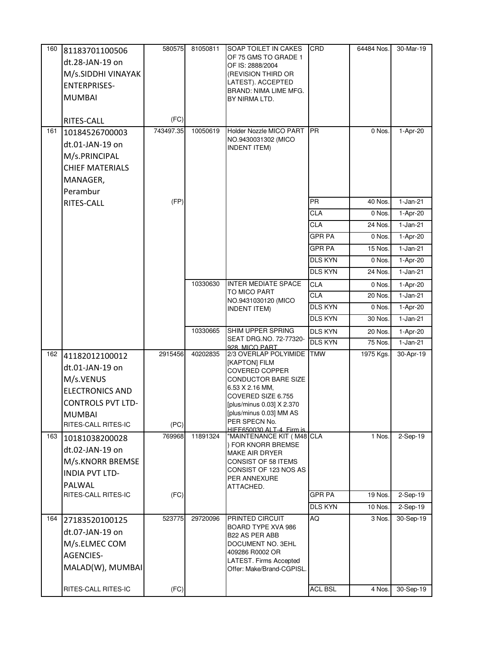| 160 | 81183701100506           | 580575    | 81050811 | SOAP TOILET IN CAKES                                | CRD            | 64484 Nos. | 30-Mar-19     |
|-----|--------------------------|-----------|----------|-----------------------------------------------------|----------------|------------|---------------|
|     | dt.28-JAN-19 on          |           |          | OF 75 GMS TO GRADE 1                                |                |            |               |
|     | M/s.SIDDHI VINAYAK       |           |          | OF IS: 2888/2004<br>(REVISION THIRD OR              |                |            |               |
|     | <b>ENTERPRISES-</b>      |           |          | LATEST). ACCEPTED                                   |                |            |               |
|     | <b>MUMBAI</b>            |           |          | BRAND: NIMA LIME MFG.                               |                |            |               |
|     |                          |           |          | BY NIRMA LTD.                                       |                |            |               |
|     | RITES-CALL               | (FC)      |          |                                                     |                |            |               |
| 161 | 10184526700003           | 743497.35 | 10050619 | Holder Nozzle MICO PART                             | <b>PR</b>      | 0 Nos.     | 1-Apr-20      |
|     | dt.01-JAN-19 on          |           |          | NO.9430031302 (MICO<br><b>INDENT ITEM)</b>          |                |            |               |
|     | M/s.PRINCIPAL            |           |          |                                                     |                |            |               |
|     | <b>CHIEF MATERIALS</b>   |           |          |                                                     |                |            |               |
|     | MANAGER,                 |           |          |                                                     |                |            |               |
|     | Perambur                 |           |          |                                                     |                |            |               |
|     | RITES-CALL               | (FP)      |          |                                                     | <b>PR</b>      | 40 Nos.    | $1-Jan-21$    |
|     |                          |           |          |                                                     | <b>CLA</b>     | 0 Nos.     | 1-Apr-20      |
|     |                          |           |          |                                                     | <b>CLA</b>     | 24 Nos.    | $1-Jan-21$    |
|     |                          |           |          |                                                     | <b>GPR PA</b>  | 0 Nos.     | 1-Apr-20      |
|     |                          |           |          |                                                     | <b>GPR PA</b>  | 15 Nos.    | $1-Jan-21$    |
|     |                          |           |          |                                                     | <b>DLS KYN</b> | 0 Nos.     | 1-Apr-20      |
|     |                          |           |          |                                                     | <b>DLS KYN</b> | 24 Nos.    | $1-Jan-21$    |
|     |                          |           | 10330630 | <b>INTER MEDIATE SPACE</b>                          | <b>CLA</b>     | 0 Nos.     | 1-Apr-20      |
|     |                          |           |          | TO MICO PART<br>NO.9431030120 (MICO                 | <b>CLA</b>     | 20 Nos.    | $1-Jan-21$    |
|     |                          |           |          | <b>INDENT ITEM)</b>                                 | <b>DLS KYN</b> | 0 Nos.     | 1-Apr-20      |
|     |                          |           |          |                                                     | <b>DLS KYN</b> | 30 Nos.    | $1-Jan-21$    |
|     |                          |           | 10330665 | SHIM UPPER SPRING                                   | <b>DLS KYN</b> | 20 Nos.    | 1-Apr-20      |
|     |                          |           |          | SEAT DRG.NO. 72-77320-<br>928 MICO PART             | <b>DLS KYN</b> | 75 Nos.    | $1-Jan-21$    |
| 162 | 41182012100012           | 2915456   | 40202835 | 2/3 OVERLAP POLYIMIDE                               | <b>TMW</b>     | 1975 Kgs.  | 30-Apr-19     |
|     | dt.01-JAN-19 on          |           |          | [KAPTON] FILM<br><b>COVERED COPPER</b>              |                |            |               |
|     | M/s.VENUS                |           |          | <b>CONDUCTOR BARE SIZE</b>                          |                |            |               |
|     | <b>ELECTRONICS AND</b>   |           |          | 6.53 X 2.16 MM,                                     |                |            |               |
|     | <b>CONTROLS PVT LTD-</b> |           |          | COVERED SIZE 6.755<br>[plus/minus 0.03] X 2.370     |                |            |               |
|     | <b>MUMBAI</b>            |           |          | [plus/minus 0.03] MM AS                             |                |            |               |
|     | RITES-CALL RITES-IC      | (PC)      |          | PER SPECN No.<br>HIFF650030 AI T-4. Firm is         |                |            |               |
| 163 | 10181038200028           | 769968    | 11891324 | "MAINTENANCE KIT (M48 CLA                           |                | 1 Nos.     | 2-Sep-19      |
|     | dt.02-JAN-19 on          |           |          | ) FOR KNORR BREMSE<br><b>MAKE AIR DRYER</b>         |                |            |               |
|     | M/s.KNORR BREMSE         |           |          | <b>CONSIST OF 58 ITEMS</b>                          |                |            |               |
|     | <b>INDIA PVT LTD-</b>    |           |          | CONSIST OF 123 NOS AS                               |                |            |               |
|     | PALWAL                   |           |          | PER ANNEXURE<br>ATTACHED.                           |                |            |               |
|     | RITES-CALL RITES-IC      | (FC)      |          |                                                     | <b>GPR PA</b>  | 19 Nos.    | $2-Sep-19$    |
|     |                          |           |          |                                                     | <b>DLS KYN</b> | 10 Nos.    | 2-Sep-19      |
| 164 | 27183520100125           | 523775    | 29720096 | PRINTED CIRCUIT                                     | AQ             | 3 Nos.     | 30-Sep-19     |
|     | dt.07-JAN-19 on          |           |          | BOARD TYPE XVA 986                                  |                |            |               |
|     | M/s.ELMEC COM            |           |          | B22 AS PER ABB<br>DOCUMENT NO. 3EHL                 |                |            |               |
|     | <b>AGENCIES-</b>         |           |          | 409286 R0002 OR                                     |                |            |               |
|     | MALAD(W), MUMBAI         |           |          | LATEST. Firms Accepted<br>Offer: Make/Brand-CGPISL. |                |            |               |
|     |                          |           |          |                                                     |                |            |               |
|     | RITES-CALL RITES-IC      | (FC)      |          |                                                     | <b>ACL BSL</b> | 4 Nos.     | $30 - Sep-19$ |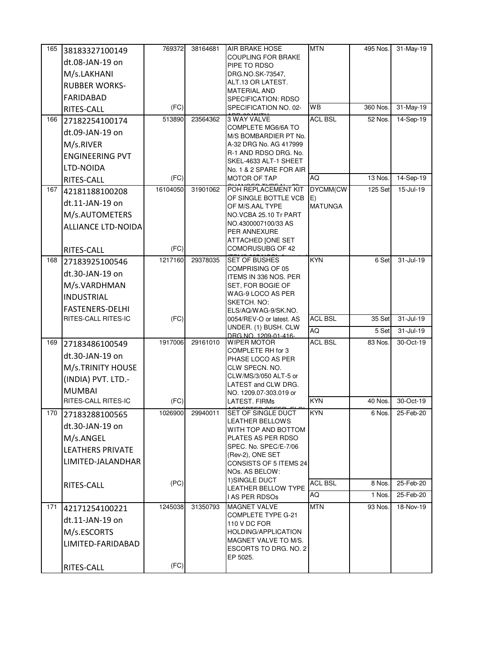| 165 | 38183327100149             | 769372   | 38164681 | <b>AIR BRAKE HOSE</b>                            | <b>MTN</b>     | 495 Nos. | 31-May-19     |
|-----|----------------------------|----------|----------|--------------------------------------------------|----------------|----------|---------------|
|     | dt.08-JAN-19 on            |          |          | <b>COUPLING FOR BRAKE</b>                        |                |          |               |
|     | M/s.LAKHANI                |          |          | PIPE TO RDSO<br>DRG.NO.SK-73547,                 |                |          |               |
|     | <b>RUBBER WORKS-</b>       |          |          | ALT.13 OR LATEST.                                |                |          |               |
|     | <b>FARIDABAD</b>           |          |          | <b>MATERIAL AND</b><br>SPECIFICATION: RDSO       |                |          |               |
|     | RITES-CALL                 | (FC)     |          | SPECIFICATION NO. 02-                            | WB             | 360 Nos. | 31-May-19     |
| 166 | 27182254100174             | 513890   | 23564362 | 3 WAY VALVE                                      | <b>ACL BSL</b> | 52 Nos.  | 14-Sep-19     |
|     | dt.09-JAN-19 on            |          |          | COMPLETE MG6/6A TO                               |                |          |               |
|     | M/s.RIVER                  |          |          | M/S BOMBARDIER PT No.<br>A-32 DRG No. AG 417999  |                |          |               |
|     | <b>ENGINEERING PVT</b>     |          |          | R-1 AND RDSO DRG. No.                            |                |          |               |
|     | LTD-NOIDA                  |          |          | SKEL-4633 ALT-1 SHEET                            |                |          |               |
|     | RITES-CALL                 | (FC)     |          | No. 1 & 2 SPARE FOR AIR<br><b>MOTOR OF TAP</b>   | AQ             | 13 Nos.  | $14-Sep-19$   |
| 167 | 42181188100208             | 16104050 | 31901062 | POH REPLACEMENT KIT                              | DYCMM(CW       | 125 Set  | 15-Jul-19     |
|     |                            |          |          | OF SINGLE BOTTLE VCB                             | E)             |          |               |
|     | dt.11-JAN-19 on            |          |          | OF M/S.AAL TYPE<br>NO.VCBA 25.10 Tr PART         | <b>MATUNGA</b> |          |               |
|     | M/s.AUTOMETERS             |          |          | NO.4300007100/33 AS                              |                |          |               |
|     | ALLIANCE LTD-NOIDA         |          |          | PER ANNEXURE                                     |                |          |               |
|     |                            | (FC)     |          | ATTACHED [ONE SET<br>COMORUSUBG OF 42            |                |          |               |
| 168 | RITES-CALL                 | 1217160  | 29378035 | <b>SET OF BUSHES</b>                             | <b>KYN</b>     | 6 Set    | 31-Jul-19     |
|     | 27183925100546             |          |          | COMPRISING OF 05                                 |                |          |               |
|     | dt.30-JAN-19 on            |          |          | ITEMS IN 336 NOS. PER                            |                |          |               |
|     | M/s.VARDHMAN               |          |          | SET, FOR BOGIE OF<br>WAG-9 LOCO AS PER           |                |          |               |
|     | <b>INDUSTRIAL</b>          |          |          | SKETCH. NO:                                      |                |          |               |
|     | <b>FASTENERS-DELHI</b>     |          |          | ELS/AQ/WAG-9/SK.NO.                              |                |          |               |
|     | RITES-CALL RITES-IC        | (FC)     |          | 0054/REV-O or latest. AS<br>UNDER. (1) BUSH. CLW | <b>ACL BSL</b> | 35 Set   | 31-Jul-19     |
|     |                            |          |          | DRG.NO. 1209-01-416-                             | AQ             | 5 Set    | $31 -$ Jul-19 |
| 169 | 27183486100549             | 1917006  | 29161010 | <b>WIPER MOTOR</b><br>COMPLETE RH for 3          | <b>ACL BSL</b> | 83 Nos.  | 30-Oct-19     |
|     | dt.30-JAN-19 on            |          |          | PHASE LOCO AS PER                                |                |          |               |
|     | M/s.TRINITY HOUSE          |          |          | CLW SPECN. NO.                                   |                |          |               |
|     | (INDIA) PVT. LTD.-         |          |          | CLW/MS/3/050 ALT-5 or<br>LATEST and CLW DRG.     |                |          |               |
|     | <b>MUMBAI</b>              |          |          | NO. 1209.07-303.019 or                           |                |          |               |
|     | <b>RITES-CALL RITES-IC</b> | (FC)     |          | LATEST. FIRMs                                    | <b>KYN</b>     | 40 Nos.  | 30-Oct-19     |
| 170 | 27183288100565             | 1026900  | 29940011 | SET OF SINGLE DUCT<br><b>LEATHER BELLOWS</b>     | <b>KYN</b>     | 6 Nos.   | 25-Feb-20     |
|     | dt.30-JAN-19 on            |          |          | WITH TOP AND BOTTOM                              |                |          |               |
|     | M/s.ANGEL                  |          |          | PLATES AS PER RDSO                               |                |          |               |
|     | <b>LEATHERS PRIVATE</b>    |          |          | SPEC. No. SPEC/E-7/06<br>(Rev-2), ONE SET        |                |          |               |
|     | LIMITED-JALANDHAR          |          |          | CONSISTS OF 5 ITEMS 24                           |                |          |               |
|     |                            |          |          | NOs. AS BELOW:                                   |                |          |               |
|     | RITES-CALL                 | (PC)     |          | 1) SINGLE DUCT<br>LEATHER BELLOW TYPE            | <b>ACL BSL</b> | 8 Nos.   | 25-Feb-20     |
|     |                            |          |          | I AS PER RDSOs                                   | AQ             | 1 Nos.   | 25-Feb-20     |
| 171 | 42171254100221             | 1245038  | 31350793 | <b>MAGNET VALVE</b>                              | <b>MTN</b>     | 93 Nos.  | 18-Nov-19     |
|     | dt.11-JAN-19 on            |          |          | COMPLETE TYPE G-21<br>110 V DC FOR               |                |          |               |
|     | M/s.ESCORTS                |          |          | HOLDING/APPLICATION                              |                |          |               |
|     | LIMITED-FARIDABAD          |          |          | MAGNET VALVE TO M/S.                             |                |          |               |
|     |                            |          |          | ESCORTS TO DRG. NO. 2<br>EP 5025.                |                |          |               |
|     | RITES-CALL                 | (FC)     |          |                                                  |                |          |               |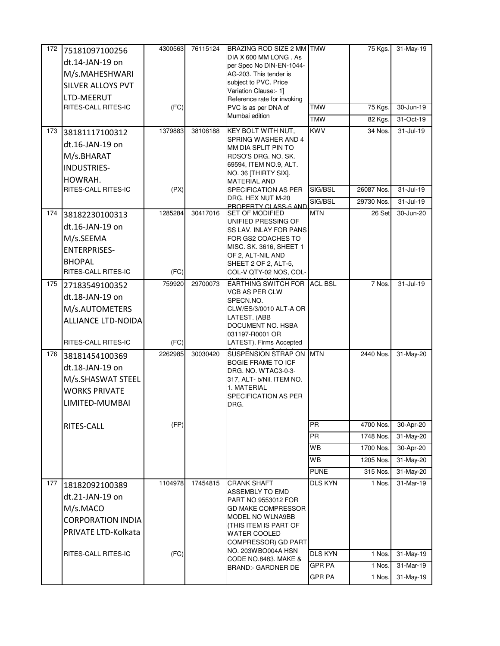| 172 | 75181097100256                    | 4300563 | 76115124 | BRAZING ROD SIZE 2 MM TMW                          |                | 75 Kgs.    | 31-May-19     |
|-----|-----------------------------------|---------|----------|----------------------------------------------------|----------------|------------|---------------|
|     | dt.14-JAN-19 on                   |         |          | DIA X 600 MM LONG. As                              |                |            |               |
|     | M/s.MAHESHWARI                    |         |          | per Spec No DIN-EN-1044-<br>AG-203. This tender is |                |            |               |
|     | <b>SILVER ALLOYS PVT</b>          |         |          | subject to PVC. Price                              |                |            |               |
|     |                                   |         |          | Variation Clause:- 1]                              |                |            |               |
|     | LTD-MEERUT<br>RITES-CALL RITES-IC | (FC)    |          | Reference rate for invoking                        | <b>TMW</b>     | 75 Kgs.    | 30-Jun-19     |
|     |                                   |         |          | PVC is as per DNA of<br>Mumbai edition             |                |            |               |
|     |                                   |         |          |                                                    | <b>TMW</b>     | 82 Kgs.    | 31-Oct-19     |
| 173 | 38181117100312                    | 1379883 | 38106188 | KEY BOLT WITH NUT,<br>SPRING WASHER AND 4          | <b>KWV</b>     | 34 Nos.    | $31 -$ Jul-19 |
|     | dt.16-JAN-19 on                   |         |          | MM DIA SPLIT PIN TO                                |                |            |               |
|     | M/s.BHARAT                        |         |          | RDSO'S DRG. NO. SK.                                |                |            |               |
|     | INDUSTRIES-                       |         |          | 69594, ITEM NO.9, ALT.<br>NO. 36 [THIRTY SIX].     |                |            |               |
|     | HOWRAH.                           |         |          | <b>MATERIAL AND</b>                                |                |            |               |
|     | RITES-CALL RITES-IC               | (PX)    |          | SPECIFICATION AS PER                               | SIG/BSL        | 26087 Nos. | 31-Jul-19     |
|     |                                   |         |          | DRG. HEX NUT M-20                                  | SIG/BSL        | 29730 Nos. | 31-Jul-19     |
| 174 | 38182230100313                    | 1285284 | 30417016 | PROPERTY CLASS-5 AND<br><b>SET OF MODIFIED</b>     | <b>MTN</b>     | 26 Set     | 30-Jun-20     |
|     | dt.16-JAN-19 on                   |         |          | UNIFIED PRESSING OF                                |                |            |               |
|     | M/s.SEEMA                         |         |          | SS LAV. INLAY FOR PANS<br>FOR GS2 COACHES TO       |                |            |               |
|     |                                   |         |          | MISC. SK. 3616, SHEET 1                            |                |            |               |
|     | <b>ENTERPRISES-</b>               |         |          | OF 2. ALT-NIL AND                                  |                |            |               |
|     | <b>BHOPAL</b>                     |         |          | SHEET 2 OF 2, ALT-5,                               |                |            |               |
|     | RITES-CALL RITES-IC               | (FC)    |          | COL-V QTY-02 NOS, COL-                             |                |            |               |
| 175 | 27183549100352                    | 759920  | 29700073 | EARTHING SWITCH FOR ACL BSL<br>VCB AS PER CLW      |                | 7 Nos.     | $31 -$ Jul-19 |
|     | dt.18-JAN-19 on                   |         |          | SPECN.NO.                                          |                |            |               |
|     | M/s.AUTOMETERS                    |         |          | CLW/ES/3/0010 ALT-A OR                             |                |            |               |
|     | <b>ALLIANCE LTD-NOIDA</b>         |         |          | LATEST. (ABB                                       |                |            |               |
|     |                                   |         |          | DOCUMENT NO. HSBA<br>031197-R0001 OR               |                |            |               |
|     | RITES-CALL RITES-IC               | (FC)    |          | LATEST). Firms Accepted                            |                |            |               |
| 176 | 38181454100369                    | 2262985 | 30030420 | SUSPENSION STRAP ON MTN                            |                | 2440 Nos.  | 31-May-20     |
|     | dt.18-JAN-19 on                   |         |          | <b>BOGIE FRAME TO ICF</b>                          |                |            |               |
|     | M/s.SHASWAT STEEL                 |         |          | DRG. NO. WTAC3-0-3-<br>317, ALT- b/Nil. ITEM NO.   |                |            |               |
|     | <b>WORKS PRIVATE</b>              |         |          | 1. MATERIAL                                        |                |            |               |
|     | LIMITED-MUMBAI                    |         |          | SPECIFICATION AS PER                               |                |            |               |
|     |                                   |         |          | DRG.                                               |                |            |               |
|     |                                   | (FP)    |          |                                                    | <b>PR</b>      | 4700 Nos.  | 30-Apr-20     |
|     | RITES-CALL                        |         |          |                                                    | <b>PR</b>      | 1748 Nos.  | 31-May-20     |
|     |                                   |         |          |                                                    | <b>WB</b>      |            |               |
|     |                                   |         |          |                                                    |                | 1700 Nos.  | 30-Apr-20     |
|     |                                   |         |          |                                                    | WB.            | 1205 Nos.  | 31-May-20     |
|     |                                   |         |          |                                                    | <b>PUNE</b>    | 315 Nos.   | 31-May-20     |
| 177 | 18182092100389                    | 1104978 | 17454815 | <b>CRANK SHAFT</b><br>ASSEMBLY TO EMD              | <b>DLS KYN</b> | 1 Nos.     | 31-Mar-19     |
|     | dt.21-JAN-19 on                   |         |          | PART NO 9553012 FOR                                |                |            |               |
|     | M/s.MACO                          |         |          | <b>GD MAKE COMPRESSOR</b>                          |                |            |               |
|     | <b>CORPORATION INDIA</b>          |         |          | MODEL NO WLNA9BB                                   |                |            |               |
|     | PRIVATE LTD-Kolkata               |         |          | (THIS ITEM IS PART OF<br>WATER COOLED              |                |            |               |
|     |                                   |         |          | COMPRESSOR) GD PART                                |                |            |               |
|     | RITES-CALL RITES-IC               | (FC)    |          | NO. 203WBO004A HSN                                 | <b>DLS KYN</b> | 1 Nos.     | 31-May-19     |
|     |                                   |         |          | CODE NO.8483. MAKE &                               | <b>GPR PA</b>  | 1 Nos.     | $31-Mar-19$   |
|     |                                   |         |          | <b>BRAND:- GARDNER DE</b>                          |                |            |               |
|     |                                   |         |          |                                                    | GPR PA         | 1 Nos.     | 31-May-19     |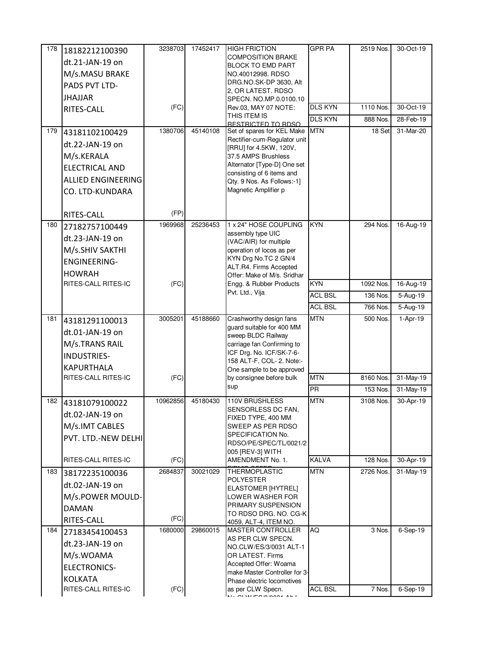| 178 | 18182212100390                        | 3238703  | 17452417 | <b>HIGH FRICTION</b>                                     | <b>GPR PA</b>  | 2519 Nos. | 30-Oct-19   |
|-----|---------------------------------------|----------|----------|----------------------------------------------------------|----------------|-----------|-------------|
|     | dt.21-JAN-19 on                       |          |          | <b>COMPOSITION BRAKE</b>                                 |                |           |             |
|     | M/s.MASU BRAKE                        |          |          | <b>BLOCK TO EMD PART</b><br>NO.40012998. RDSO            |                |           |             |
|     | PADS PVT LTD-                         |          |          | DRG.NO.SK-DP 3630, Alt                                   |                |           |             |
|     | <b>JHAJJAR</b>                        |          |          | 2, OR LATEST. RDSO                                       |                |           |             |
|     |                                       | (FC)     |          | SPECN. NO.MP.0.0100.10<br>Rev.03, MAY 07 NOTE:           | <b>DLS KYN</b> | 1110 Nos. | 30-Oct-19   |
|     | RITES-CALL                            |          |          | THIS ITEM IS                                             | <b>DLS KYN</b> | 888 Nos.  | 28-Feb-19   |
| 179 |                                       | 1380706  | 45140108 | <b>RESTRICTED TO RDSO</b><br>Set of spares for KEL Make  | <b>MTN</b>     | 18 Set    | 31-Mar-20   |
|     | 43181102100429                        |          |          | Rectifier-cum-Regulator unit                             |                |           |             |
|     | dt.22-JAN-19 on                       |          |          | [RRU] for 4.5KW, 120V,                                   |                |           |             |
|     | M/s.KERALA                            |          |          | 37.5 AMPS Brushless                                      |                |           |             |
|     | <b>ELECTRICAL AND</b>                 |          |          | Alternator [Type-D] One set<br>consisting of 6 items and |                |           |             |
|     | <b>ALLIED ENGINEERING</b>             |          |          | Qty. 9 Nos. As Follows:-1]                               |                |           |             |
|     | CO. LTD-KUNDARA                       |          |          | Magnetic Amplifier p                                     |                |           |             |
|     |                                       |          |          |                                                          |                |           |             |
|     | RITES-CALL                            | (FP)     |          |                                                          |                |           |             |
| 180 | 27182757100449                        | 1969968  | 25236453 | 1 x 24" HOSE COUPLING<br>assembly type UIC               | <b>KYN</b>     | 294 Nos.  | 16-Aug-19   |
|     | dt.23-JAN-19 on                       |          |          | (VAC/AIR) for multiple                                   |                |           |             |
|     | M/s.SHIV SAKTHI                       |          |          | operation of locos as per                                |                |           |             |
|     | <b>ENGINEERING-</b>                   |          |          | KYN Drg No.TC 2 GN/4<br>ALT.R4. Firms Accepted           |                |           |             |
|     | <b>HOWRAH</b>                         |          |          | Offer: Make of M/s. Sridhar                              |                |           |             |
|     | RITES-CALL RITES-IC                   | (FC)     |          | Engg. & Rubber Products                                  | <b>KYN</b>     | 1092 Nos. | 16-Aug-19   |
|     |                                       |          |          | Pvt. Ltd., Vija                                          | <b>ACL BSL</b> | 136 Nos.  | 5-Aug-19    |
|     |                                       |          |          |                                                          | <b>ACL BSL</b> | 766 Nos.  | 5-Aug-19    |
| 181 | 43181291100013                        | 3005201  | 45188660 | Crashworthy design fans                                  | <b>MTN</b>     | 500 Nos.  | 1-Apr-19    |
|     | dt.01-JAN-19 on                       |          |          | guard suitable for 400 MM<br>sweep BLDC Railway          |                |           |             |
|     | M/s.TRANS RAIL                        |          |          | carriage fan Confirming to                               |                |           |             |
|     | INDUSTRIES-                           |          |          | ICF Drg. No. ICF/SK-7-6-                                 |                |           |             |
|     | <b>KAPURTHALA</b>                     |          |          | 158 ALT-F, COL- 2. Note:-<br>One sample to be approved   |                |           |             |
|     | RITES-CALL RITES-IC                   | (FC)     |          | by consignee before bulk                                 | <b>MTN</b>     | 8160 Nos. | 31-May-19   |
|     |                                       |          |          | sup                                                      | <b>PR</b>      | 153 Nos.  | $31-May-19$ |
| 182 | 43181079100022                        | 10962856 | 45180430 | 110V BRUSHLESS                                           | <b>MTN</b>     | 3108 Nos. | 30-Apr-19   |
|     | dt.02-JAN-19 on                       |          |          | SENSORLESS DC FAN,                                       |                |           |             |
|     | M/s.IMT CABLES                        |          |          | FIXED TYPE, 400 MM<br>SWEEP AS PER RDSO                  |                |           |             |
|     | PVT. LTD.-NEW DELHI                   |          |          | SPECIFICATION No.                                        |                |           |             |
|     |                                       |          |          | RDSO/PE/SPEC/TL/0021/2                                   |                |           |             |
|     | RITES-CALL RITES-IC                   | (FC)     |          | 005 [REV-3] WITH<br>AMENDMENT No. 1.                     | <b>KALVA</b>   | 128 Nos.  | 30-Apr-19   |
| 183 | 38172235100036                        | 2684837  | 30021029 | <b>THERMOPLASTIC</b>                                     | <b>MTN</b>     | 2726 Nos. | 31-May-19   |
|     | dt.02-JAN-19 on                       |          |          | <b>POLYESTER</b>                                         |                |           |             |
|     | M/s.POWER MOULD-                      |          |          | ELASTOMER [HYTREL]<br>LOWER WASHER FOR                   |                |           |             |
|     | <b>DAMAN</b>                          |          |          | PRIMARY SUSPENSION                                       |                |           |             |
|     | RITES-CALL                            | (FC)     |          | TO RDSO DRG. NO. CG-K                                    |                |           |             |
| 184 | 27183454100453                        | 1680000  | 29860015 | 4059, ALT-4, ITEM NO.<br>MASTER CONTROLLER               | AQ             | 3 Nos.    | 6-Sep-19    |
|     | dt.23-JAN-19 on                       |          |          | AS PER CLW SPECN.                                        |                |           |             |
|     | M/s.WOAMA                             |          |          | NO.CLW/ES/3/0031 ALT-1<br>OR LATEST. Firms               |                |           |             |
|     | <b>ELECTRONICS-</b>                   |          |          | Accepted Offer: Woama                                    |                |           |             |
|     |                                       |          |          | make Master Controller for 3-                            |                |           |             |
|     | <b>KOLKATA</b><br>RITES-CALL RITES-IC | (FC)     |          | Phase electric locomotives<br>as per CLW Specn.          | <b>ACL BSL</b> | 7 Nos.    | 6-Sep-19    |
|     |                                       |          |          | NI OI WIFO AMOON ALL                                     |                |           |             |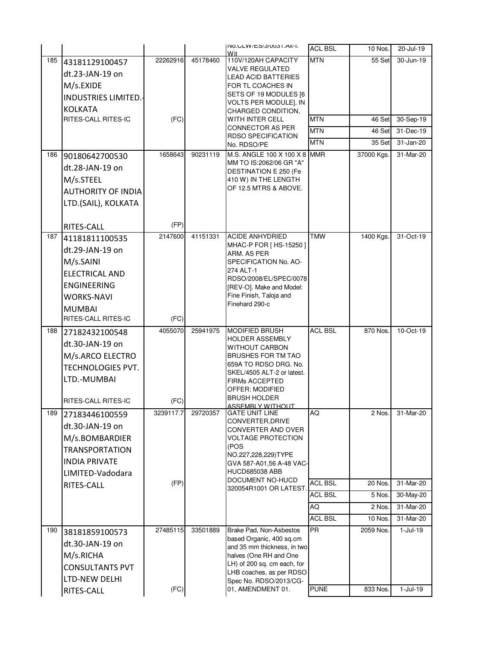|     |                            |           |          | INO.ULW/ES/3/UU31.AII-I.<br>Wit                         | <b>ACL BSL</b> | 10 Nos.    | 20-Jul-19     |
|-----|----------------------------|-----------|----------|---------------------------------------------------------|----------------|------------|---------------|
| 185 | 43181129100457             | 22262916  | 45178460 | 110V/120AH CAPACITY                                     | <b>MTN</b>     | 55 Set     | 30-Jun-19     |
|     | dt.23-JAN-19 on            |           |          | <b>VALVE REGULATED</b><br><b>LEAD ACID BATTERIES</b>    |                |            |               |
|     | M/s.EXIDE                  |           |          | FOR TL COACHES IN                                       |                |            |               |
|     | <b>INDUSTRIES LIMITED.</b> |           |          | SETS OF 19 MODULES [6                                   |                |            |               |
|     | <b>KOLKATA</b>             |           |          | VOLTS PER MODULE], IN<br>CHARGED CONDITION,             |                |            |               |
|     | RITES-CALL RITES-IC        | (FC)      |          | WITH INTER CELL                                         | <b>MTN</b>     | 46 Set     | 30-Sep-19     |
|     |                            |           |          | <b>CONNECTOR AS PER</b>                                 | <b>MTN</b>     | 46 Set     | $31 - Dec-19$ |
|     |                            |           |          | <b>RDSO SPECIFICATION</b><br>No. RDSO/PE                | MTN            | 35 Set     | 31-Jan-20     |
| 186 | 90180642700530             | 1658643   | 90231119 | M.S. ANGLE 100 X 100 X 8 MMR                            |                | 37000 Kgs. | 31-Mar-20     |
|     | dt.28-JAN-19 on            |           |          | MM TO IS:2062/06 GR "A"                                 |                |            |               |
|     | M/s.STEEL                  |           |          | DESTINATION E 250 (Fe<br>410 W) IN THE LENGTH           |                |            |               |
|     | <b>AUTHORITY OF INDIA</b>  |           |          | OF 12.5 MTRS & ABOVE.                                   |                |            |               |
|     |                            |           |          |                                                         |                |            |               |
|     | LTD.(SAIL), KOLKATA        |           |          |                                                         |                |            |               |
|     | RITES-CALL                 | (FP)      |          |                                                         |                |            |               |
| 187 | 41181811100535             | 2147600   | 41151331 | <b>ACIDE ANHYDRIED</b>                                  | TMW            | 1400 Kgs.  | 31-Oct-19     |
|     |                            |           |          | MHAC-P FOR [ HS-15250 ]                                 |                |            |               |
|     | dt.29-JAN-19 on            |           |          | ARM. AS PER                                             |                |            |               |
|     | M/s.SAINI                  |           |          | SPECIFICATION No. AO-<br>274 ALT-1                      |                |            |               |
|     | <b>ELECTRICAL AND</b>      |           |          | RDSO/2008/EL/SPEC/0078                                  |                |            |               |
|     | <b>ENGINEERING</b>         |           |          | [REV-O]. Make and Model:                                |                |            |               |
|     | <b>WORKS-NAVI</b>          |           |          | Fine Finish, Taloja and<br>Finehard 290-c               |                |            |               |
|     | <b>MUMBAI</b>              |           |          |                                                         |                |            |               |
|     | RITES-CALL RITES-IC        | (FC)      |          |                                                         |                |            |               |
| 188 | 27182432100548             | 4055070   | 25941975 | <b>MODIFIED BRUSH</b><br><b>HOLDER ASSEMBLY</b>         | <b>ACL BSL</b> | 870 Nos.   | 10-Oct-19     |
|     | dt.30-JAN-19 on            |           |          | <b>WITHOUT CARBON</b>                                   |                |            |               |
|     | M/s.ARCO ELECTRO           |           |          | <b>BRUSHES FOR TM TAO</b>                               |                |            |               |
|     | TECHNOLOGIES PVT.          |           |          | 659A TO RDSO DRG. No.<br>SKEL/4505 ALT-2 or latest.     |                |            |               |
|     | LTD.-MUMBAI                |           |          | <b>FIRMs ACCEPTED</b>                                   |                |            |               |
|     |                            |           |          | OFFER: MODIFIED                                         |                |            |               |
|     | RITES-CALL RITES-IC        | (FC)      |          | <b>BRUSH HOLDER</b><br><u>ASSEMBI Y WITHOUT</u>         |                |            |               |
| 189 | 27183446100559             | 3239117.7 | 29720357 | <b>GATE UNIT LINE</b>                                   | ΟK             | 2 Nos.     | 31-Mar-20     |
|     | dt.30-JAN-19 on            |           |          | CONVERTER, DRIVE<br>CONVERTER AND OVER                  |                |            |               |
|     | M/s.BOMBARDIER             |           |          | <b>VOLTAGE PROTECTION</b>                               |                |            |               |
|     | <b>TRANSPORTATION</b>      |           |          | (POS<br>NO.227,228,229)TYPE                             |                |            |               |
|     | <b>INDIA PRIVATE</b>       |           |          | GVA 587-A01,56 A-48 VAC-                                |                |            |               |
|     | LIMITED-Vadodara           |           |          | <b>HUCD685038 ABB</b>                                   |                |            |               |
|     | RITES-CALL                 | (FP)      |          | DOCUMENT NO-HUCD<br>320054R1001 OR LATEST.              | <b>ACL BSL</b> | 20 Nos.    | 31-Mar-20     |
|     |                            |           |          |                                                         | <b>ACL BSL</b> | 5 Nos.     | 30-May-20     |
|     |                            |           |          |                                                         | AQ             | 2 Nos.     | 31-Mar-20     |
|     |                            |           |          |                                                         | <b>ACL BSL</b> | 10 Nos.    | 31-Mar-20     |
| 190 | 38181859100573             | 27485115  | 33501889 | Brake Pad, Non-Asbestos                                 | <b>PR</b>      | 2059 Nos.  | $1-Jul-19$    |
|     | dt.30-JAN-19 on            |           |          | based Organic, 400 sq.cm<br>and 35 mm thickness, in two |                |            |               |
|     | M/s.RICHA                  |           |          | halves (One RH and One                                  |                |            |               |
|     | <b>CONSULTANTS PVT</b>     |           |          | LH) of 200 sq. cm each, for                             |                |            |               |
|     | LTD-NEW DELHI              |           |          | LHB coaches, as per RDSO<br>Spec No. RDSO/2013/CG-      |                |            |               |
|     | RITES-CALL                 | (FC)      |          | 01, AMENDMENT 01.                                       | <b>PUNE</b>    | 833 Nos.   | $1-Jul-19$    |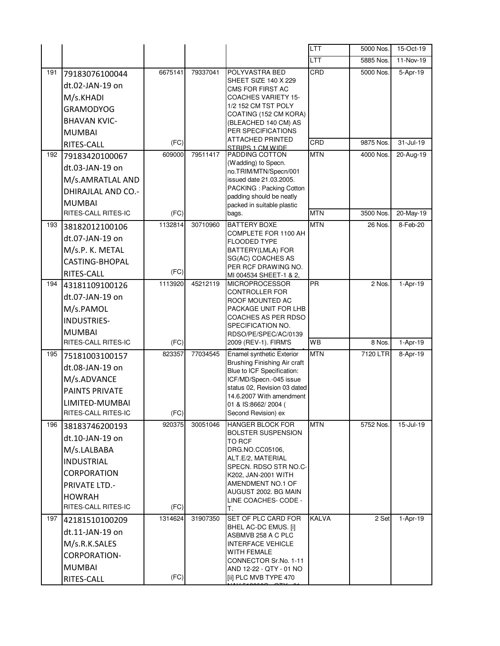|     |                           |         |          |                                                            | LTT          | 5000 Nos. | 15-Oct-19    |
|-----|---------------------------|---------|----------|------------------------------------------------------------|--------------|-----------|--------------|
|     |                           |         |          |                                                            | LTT          | 5885 Nos. | 11-Nov-19    |
| 191 | 79183076100044            | 6675141 | 79337041 | POLYVASTRA BED                                             | CRD          | 5000 Nos. | 5-Apr-19     |
|     | dt.02-JAN-19 on           |         |          | <b>SHEET SIZE 140 X 229</b><br>CMS FOR FIRST AC            |              |           |              |
|     | M/s.KHADI                 |         |          | <b>COACHES VARIETY 15-</b>                                 |              |           |              |
|     | <b>GRAMODYOG</b>          |         |          | 1/2 152 CM TST POLY                                        |              |           |              |
|     | <b>BHAVAN KVIC-</b>       |         |          | COATING (152 CM KORA)<br>(BLEACHED 140 CM) AS              |              |           |              |
|     | <b>MUMBAI</b>             |         |          | PER SPECIFICATIONS                                         |              |           |              |
|     | RITES-CALL                | (FC)    |          | <b>ATTACHED PRINTED</b><br>STRIPS 1 CM WIDE                | CRD          | 9875 Nos. | 31-Jul-19    |
| 192 | 79183420100067            | 609000  | 79511417 | PADDING COTTON                                             | <b>MTN</b>   | 4000 Nos. | 20-Aug-19    |
|     | dt.03-JAN-19 on           |         |          | (Wadding) to Specn.<br>no.TRIM/MTN/Specn/001               |              |           |              |
|     | M/s.AMRATLAL AND          |         |          | issued date 21.03.2005.                                    |              |           |              |
|     | <b>DHIRAJLAL AND CO.-</b> |         |          | PACKING: Packing Cotton                                    |              |           |              |
|     | <b>MUMBAI</b>             |         |          | padding should be neatly<br>packed in suitable plastic     |              |           |              |
|     | RITES-CALL RITES-IC       | (FC)    |          | bags.                                                      | <b>MTN</b>   | 3500 Nos. | $20$ -May-19 |
| 193 | 38182012100106            | 1132814 | 30710960 | <b>BATTERY BOXE</b>                                        | <b>MTN</b>   | 26 Nos.   | 8-Feb-20     |
|     | dt.07-JAN-19 on           |         |          | COMPLETE FOR 1100 AH<br><b>FLOODED TYPE</b>                |              |           |              |
|     | M/s.P. K. METAL           |         |          | BATTERY(LMLA) FOR                                          |              |           |              |
|     | <b>CASTING-BHOPAL</b>     |         |          | SG(AC) COACHES AS                                          |              |           |              |
|     | RITES-CALL                | (FC)    |          | PER RCF DRAWING NO.<br>MI 004534 SHEET-1 & 2,              |              |           |              |
| 194 | 43181109100126            | 1113920 | 45212119 | <b>MICROPROCESSOR</b>                                      | PR           | 2 Nos.    | 1-Apr-19     |
|     | dt.07-JAN-19 on           |         |          | CONTROLLER FOR<br>ROOF MOUNTED AC                          |              |           |              |
|     | M/s.PAMOL                 |         |          | PACKAGE UNIT FOR LHB                                       |              |           |              |
|     | <b>INDUSTRIES-</b>        |         |          | COACHES AS PER RDSO                                        |              |           |              |
|     | <b>MUMBAI</b>             |         |          | SPECIFICATION NO.<br>RDSO/PE/SPEC/AC/0139                  |              |           |              |
|     | RITES-CALL RITES-IC       | (FC)    |          | 2009 (REV-1). FIRM'S                                       | WB           | 8 Nos.    | 1-Apr-19     |
| 195 | 75181003100157            | 823357  | 77034545 | Enamel synthetic Exterior                                  | <b>MTN</b>   | 7120 LTR  | 8-Apr-19     |
|     | dt.08-JAN-19 on           |         |          | Brushing Finishing Air craft<br>Blue to ICF Specification: |              |           |              |
|     | M/s.ADVANCE               |         |          | ICF/MD/Specn.-045 issue                                    |              |           |              |
|     | <b>PAINTS PRIVATE</b>     |         |          | status 02, Revision 03 dated                               |              |           |              |
|     | LIMITED-MUMBAI            |         |          | 14.6.2007 With amendment<br>01 & IS:8662/2004 (            |              |           |              |
|     | RITES-CALL RITES-IC       | (FC)    |          | Second Revision) ex                                        |              |           |              |
| 196 | 38183746200193            | 920375  | 30051046 | <b>HANGER BLOCK FOR</b>                                    | <b>MTN</b>   | 5752 Nos. | 15-Jul-19    |
|     | dt.10-JAN-19 on           |         |          | <b>BOLSTER SUSPENSION</b><br>TO RCF                        |              |           |              |
|     | M/s.LALBABA               |         |          | DRG.NO.CC05106,                                            |              |           |              |
|     | <b>INDUSTRIAL</b>         |         |          | ALT.E/2. MATERIAL<br>SPECN. RDSO STR NO.C-                 |              |           |              |
|     | <b>CORPORATION</b>        |         |          | K202, JAN-2001 WITH                                        |              |           |              |
|     | <b>PRIVATE LTD.-</b>      |         |          | AMENDMENT NO.1 OF                                          |              |           |              |
|     | <b>HOWRAH</b>             |         |          | AUGUST 2002. BG MAIN<br>LINE COACHES- CODE -               |              |           |              |
|     | RITES-CALL RITES-IC       | (FC)    |          | Т.                                                         |              |           |              |
| 197 | 42181510100209            | 1314624 | 31907350 | SET OF PLC CARD FOR                                        | <b>KALVA</b> | 2 Set     | 1-Apr-19     |
|     | dt.11-JAN-19 on           |         |          | BHEL AC-DC EMUS. [i]<br>ASBMVB 258 A C PLC                 |              |           |              |
|     | M/s.R.K.SALES             |         |          | <b>INTERFACE VEHICLE</b>                                   |              |           |              |
|     |                           |         |          | <b>WITH FEMALE</b>                                         |              |           |              |
|     | CORPORATION-              |         |          |                                                            |              |           |              |
|     | <b>MUMBAI</b>             |         |          | CONNECTOR Sr.No. 1-11<br>AND 12-22 - QTY - 01 NO           |              |           |              |
|     |                           |         |          |                                                            |              |           |              |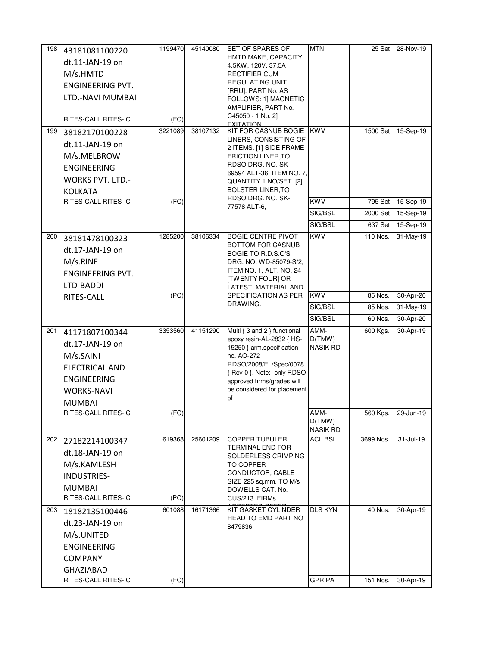| 198 | 43181081100220          | 1199470 | 45140080 | <b>SET OF SPARES OF</b>                                   | <b>MTN</b>      | 25 Set    | 28-Nov-19     |
|-----|-------------------------|---------|----------|-----------------------------------------------------------|-----------------|-----------|---------------|
|     | dt.11-JAN-19 on         |         |          | HMTD MAKE, CAPACITY<br>4.5KW, 120V, 37.5A                 |                 |           |               |
|     | M/s.HMTD                |         |          | <b>RECTIFIER CUM</b>                                      |                 |           |               |
|     | ENGINEERING PVT.        |         |          | <b>REGULATING UNIT</b>                                    |                 |           |               |
|     | LTD.-NAVI MUMBAI        |         |          | [RRU]. PART No. AS                                        |                 |           |               |
|     |                         |         |          | FOLLOWS: 1] MAGNETIC<br>AMPLIFIER, PART No.               |                 |           |               |
|     | RITES-CALL RITES-IC     | (FC)    |          | C45050 - 1 No. 2]                                         |                 |           |               |
| 199 |                         | 3221089 | 38107132 | <b>FXITATION</b><br>KIT FOR CASNUB BOGIE KWV              |                 | 1500 Set  | 15-Sep-19     |
|     | 38182170100228          |         |          | LINERS, CONSISTING OF                                     |                 |           |               |
|     | dt.11-JAN-19 on         |         |          | 2 ITEMS. [1] SIDE FRAME                                   |                 |           |               |
|     | M/s.MELBROW             |         |          | <b>FRICTION LINER, TO</b><br>RDSO DRG. NO. SK-            |                 |           |               |
|     | <b>ENGINEERING</b>      |         |          | 69594 ALT-36. ITEM NO. 7,                                 |                 |           |               |
|     | <b>WORKS PVT. LTD.-</b> |         |          | QUANTITY 1 NO/SET. [2]                                    |                 |           |               |
|     | <b>KOLKATA</b>          |         |          | <b>BOLSTER LINER, TO</b><br>RDSO DRG. NO. SK-             |                 |           |               |
|     | RITES-CALL RITES-IC     | (FC)    |          | 77578 ALT-6, I                                            | <b>KWV</b>      | 795 Set   | 15-Sep-19     |
|     |                         |         |          |                                                           | SIG/BSL         | 2000 Set  | 15-Sep-19     |
|     |                         |         |          |                                                           | SIG/BSL         | 637 Set   | 15-Sep-19     |
| 200 | 38181478100323          | 1285200 | 38106334 | <b>BOGIE CENTRE PIVOT</b>                                 | <b>KWV</b>      | 110 Nos.  | 31-May-19     |
|     | dt.17-JAN-19 on         |         |          | BOTTOM FOR CASNUB<br>BOGIE TO R.D.S.O'S                   |                 |           |               |
|     | M/s.RINE                |         |          | DRG. NO. WD-85079-S/2,                                    |                 |           |               |
|     | <b>ENGINEERING PVT.</b> |         |          | ITEM NO. 1, ALT. NO. 24                                   |                 |           |               |
|     | LTD-BADDI               |         |          | <b>[TWENTY FOUR] OR</b><br>LATEST. MATERIAL AND           |                 |           |               |
|     | RITES-CALL              | (PC)    |          | SPECIFICATION AS PER                                      | <b>KWV</b>      | 85 Nos.   | 30-Apr-20     |
|     |                         |         |          | DRAWING.                                                  | SIG/BSL         | 85 Nos.   | 31-May-19     |
|     |                         |         |          |                                                           | SIG/BSL         | 60 Nos.   | 30-Apr-20     |
| 201 | 41171807100344          | 3353560 | 41151290 | Multi { 3 and 2 } functional                              | AMM-            | 600 Kgs.  | 30-Apr-19     |
|     | dt.17-JAN-19 on         |         |          | epoxy resin-AL-2832 { HS-                                 | D(TMW)          |           |               |
|     | M/s.SAINI               |         |          | 15250 } arm.specification<br>no. AO-272                   | <b>NASIK RD</b> |           |               |
|     |                         |         |          | RDSO/2008/EL/Spec/0078                                    |                 |           |               |
|     | <b>ELECTRICAL AND</b>   |         |          | {Rev-0 }. Note:- only RDSO                                |                 |           |               |
|     | <b>ENGINEERING</b>      |         |          | approved firms/grades will<br>be considered for placement |                 |           |               |
|     | <b>WORKS-NAVI</b>       |         |          | of                                                        |                 |           |               |
|     | <b>MUMBAI</b>           |         |          |                                                           |                 |           |               |
|     | RITES-CALL RITES-IC     | (FC)    |          |                                                           | AMM-<br>D(TMW)  | 560 Kgs.  | 29-Jun-19     |
|     |                         |         |          |                                                           | <b>NASIK RD</b> |           |               |
| 202 | 27182214100347          | 619368  | 25601209 | <b>COPPER TUBULER</b>                                     | <b>ACL BSL</b>  | 3699 Nos. | $31 -$ Jul-19 |
|     | dt.18-JAN-19 on         |         |          | TERMINAL END FOR<br>SOLDERLESS CRIMPING                   |                 |           |               |
|     | M/s.KAMLESH             |         |          | TO COPPER                                                 |                 |           |               |
|     | INDUSTRIES-             |         |          | CONDUCTOR, CABLE                                          |                 |           |               |
|     | <b>MUMBAI</b>           |         |          | SIZE 225 sq.mm. TO M/s<br>DOWELLS CAT. No.                |                 |           |               |
|     | RITES-CALL RITES-IC     | (PC)    |          | CUS/213. FIRMs                                            |                 |           |               |
| 203 | 18182135100446          | 601088  | 16171366 | KIT GASKET CYLINDER                                       | <b>DLS KYN</b>  | 40 Nos.   | 30-Apr-19     |
|     | dt.23-JAN-19 on         |         |          | HEAD TO EMD PART NO                                       |                 |           |               |
|     | M/s.UNITED              |         |          | 8479836                                                   |                 |           |               |
|     | <b>ENGINEERING</b>      |         |          |                                                           |                 |           |               |
|     |                         |         |          |                                                           |                 |           |               |
|     | COMPANY-                |         |          |                                                           |                 |           |               |
|     | <b>GHAZIABAD</b>        |         |          |                                                           |                 |           |               |
|     | RITES-CALL RITES-IC     | (FC)    |          |                                                           | GPR PA          | 151 Nos.  | 30-Apr-19     |